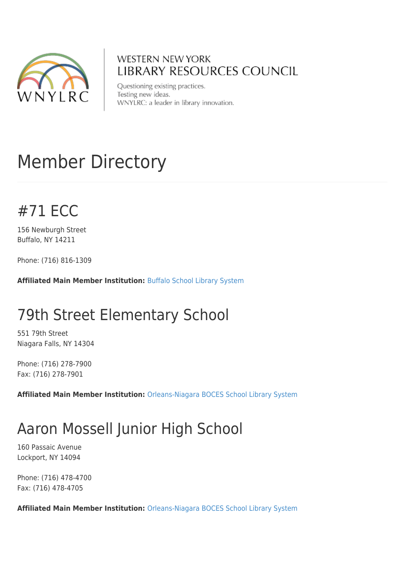

#### **WESTERN NEW YORK** LIBRARY RESOURCES COUNCIL

Questioning existing practices. Testing new ideas. WNYLRC: a leader in library innovation.

# Member Directory

### #71 ECC

156 Newburgh Street Buffalo, NY 14211

Phone: (716) 816-1309

**Affiliated Main Member Institution:** [Buffalo School Library System](http://www.wnylrc.org/membership/member/12)

### 79th Street Elementary School

551 79th Street Niagara Falls, NY 14304

Phone: (716) 278-7900 Fax: (716) 278-7901

**Affiliated Main Member Institution:** [Orleans-Niagara BOCES School Library System](http://www.wnylrc.org/membership/member/62)

## Aaron Mossell Junior High School

160 Passaic Avenue Lockport, NY 14094

Phone: (716) 478-4700 Fax: (716) 478-4705

**Affiliated Main Member Institution:** [Orleans-Niagara BOCES School Library System](http://www.wnylrc.org/membership/member/62)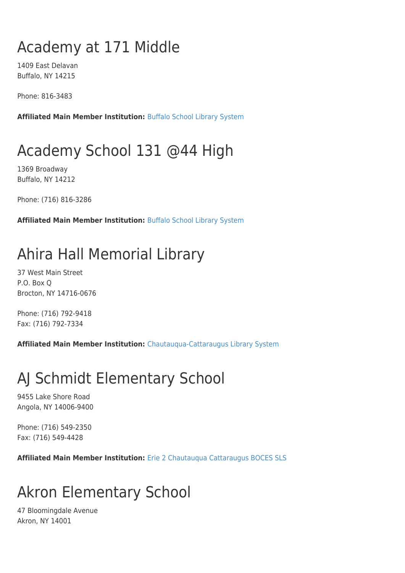## Academy at 171 Middle

1409 East Delavan Buffalo, NY 14215

Phone: 816-3483

**Affiliated Main Member Institution:** [Buffalo School Library System](http://www.wnylrc.org/membership/member/12)

### Academy School 131 @44 High

1369 Broadway Buffalo, NY 14212

Phone: (716) 816-3286

**Affiliated Main Member Institution:** [Buffalo School Library System](http://www.wnylrc.org/membership/member/12)

## Ahira Hall Memorial Library

37 West Main Street P.O. Box Q Brocton, NY 14716-0676

Phone: (716) 792-9418 Fax: (716) 792-7334

**Affiliated Main Member Institution:** [Chautauqua-Cattaraugus Library System](http://www.wnylrc.org/membership/member/20)

#### AJ Schmidt Elementary School

9455 Lake Shore Road Angola, NY 14006-9400

Phone: (716) 549-2350 Fax: (716) 549-4428

**Affiliated Main Member Institution:** [Erie 2 Chautauqua Cattaraugus BOCES SLS](http://www.wnylrc.org/membership/member/29)

### Akron Elementary School

47 Bloomingdale Avenue Akron, NY 14001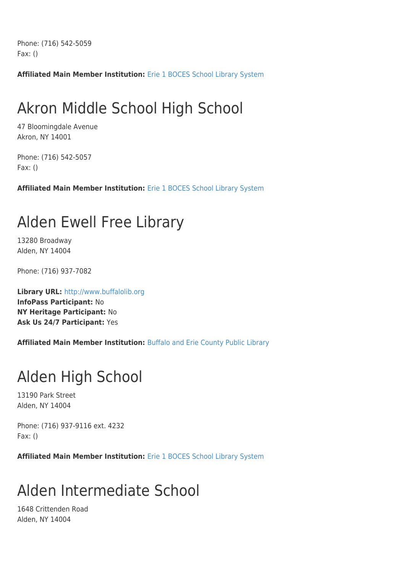Phone: (716) 542-5059 Fax: ()

**Affiliated Main Member Institution:** [Erie 1 BOCES School Library System](http://www.wnylrc.org/membership/member/28)

### Akron Middle School High School

47 Bloomingdale Avenue Akron, NY 14001

Phone: (716) 542-5057 Fax: ()

**Affiliated Main Member Institution:** [Erie 1 BOCES School Library System](http://www.wnylrc.org/membership/member/28)

#### Alden Ewell Free Library

13280 Broadway Alden, NY 14004

Phone: (716) 937-7082

**Library URL:** <http://www.buffalolib.org> **InfoPass Participant:** No **NY Heritage Participant:** No **Ask Us 24/7 Participant:** Yes

**Affiliated Main Member Institution:** [Buffalo and Erie County Public Library](http://www.wnylrc.org/membership/member/6)

### Alden High School

13190 Park Street Alden, NY 14004

Phone: (716) 937-9116 ext. 4232 Fax: ()

**Affiliated Main Member Institution:** [Erie 1 BOCES School Library System](http://www.wnylrc.org/membership/member/28)

### Alden Intermediate School

1648 Crittenden Road Alden, NY 14004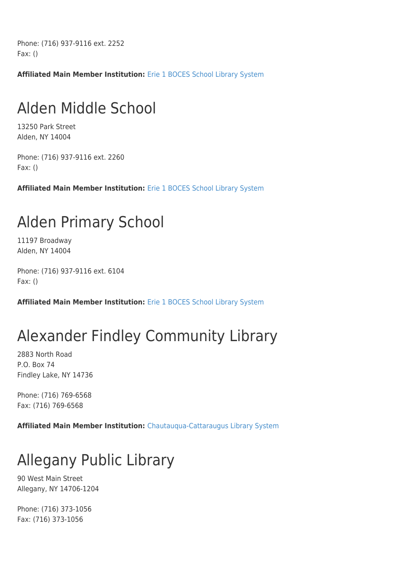Phone: (716) 937-9116 ext. 2252 Fax: ()

**Affiliated Main Member Institution:** [Erie 1 BOCES School Library System](http://www.wnylrc.org/membership/member/28)

### Alden Middle School

13250 Park Street Alden, NY 14004

Phone: (716) 937-9116 ext. 2260 Fax: ()

**Affiliated Main Member Institution:** [Erie 1 BOCES School Library System](http://www.wnylrc.org/membership/member/28)

### Alden Primary School

11197 Broadway Alden, NY 14004

Phone: (716) 937-9116 ext. 6104 Fax: ()

**Affiliated Main Member Institution:** [Erie 1 BOCES School Library System](http://www.wnylrc.org/membership/member/28)

## Alexander Findley Community Library

2883 North Road P.O. Box 74 Findley Lake, NY 14736

Phone: (716) 769-6568 Fax: (716) 769-6568

**Affiliated Main Member Institution:** [Chautauqua-Cattaraugus Library System](http://www.wnylrc.org/membership/member/20)

### Allegany Public Library

90 West Main Street Allegany, NY 14706-1204

Phone: (716) 373-1056 Fax: (716) 373-1056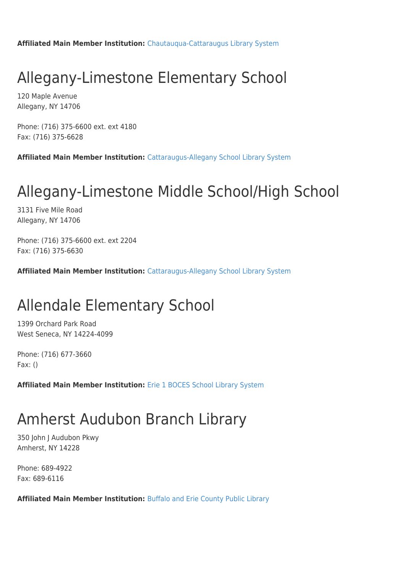**Affiliated Main Member Institution:** [Chautauqua-Cattaraugus Library System](http://www.wnylrc.org/membership/member/20)

### Allegany-Limestone Elementary School

120 Maple Avenue Allegany, NY 14706

Phone: (716) 375-6600 ext. ext 4180 Fax: (716) 375-6628

**Affiliated Main Member Institution:** [Cattaraugus-Allegany School Library System](http://www.wnylrc.org/membership/member/17)

### Allegany-Limestone Middle School/High School

3131 Five Mile Road Allegany, NY 14706

Phone: (716) 375-6600 ext. ext 2204 Fax: (716) 375-6630

**Affiliated Main Member Institution:** [Cattaraugus-Allegany School Library System](http://www.wnylrc.org/membership/member/17)

#### Allendale Elementary School

1399 Orchard Park Road West Seneca, NY 14224-4099

Phone: (716) 677-3660 Fax: ()

**Affiliated Main Member Institution:** [Erie 1 BOCES School Library System](http://www.wnylrc.org/membership/member/28)

### Amherst Audubon Branch Library

350 John J Audubon Pkwy Amherst, NY 14228

Phone: 689-4922 Fax: 689-6116

**Affiliated Main Member Institution:** [Buffalo and Erie County Public Library](http://www.wnylrc.org/membership/member/6)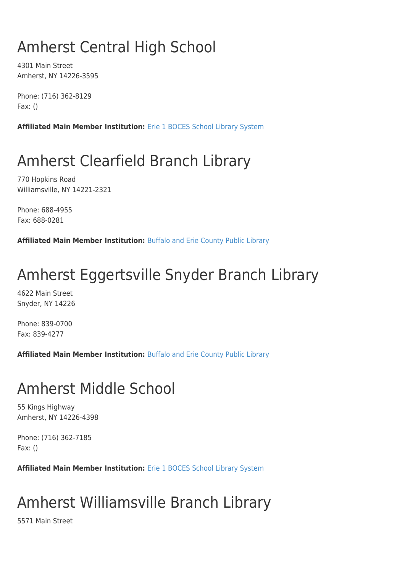## Amherst Central High School

4301 Main Street Amherst, NY 14226-3595

Phone: (716) 362-8129 Fax: ()

**Affiliated Main Member Institution:** [Erie 1 BOCES School Library System](http://www.wnylrc.org/membership/member/28)

## Amherst Clearfield Branch Library

770 Hopkins Road Williamsville, NY 14221-2321

Phone: 688-4955 Fax: 688-0281

**Affiliated Main Member Institution:** [Buffalo and Erie County Public Library](http://www.wnylrc.org/membership/member/6)

### Amherst Eggertsville Snyder Branch Library

4622 Main Street Snyder, NY 14226

Phone: 839-0700 Fax: 839-4277

**Affiliated Main Member Institution:** [Buffalo and Erie County Public Library](http://www.wnylrc.org/membership/member/6)

### Amherst Middle School

55 Kings Highway Amherst, NY 14226-4398

Phone: (716) 362-7185 Fax: ()

**Affiliated Main Member Institution:** [Erie 1 BOCES School Library System](http://www.wnylrc.org/membership/member/28)

### Amherst Williamsville Branch Library

5571 Main Street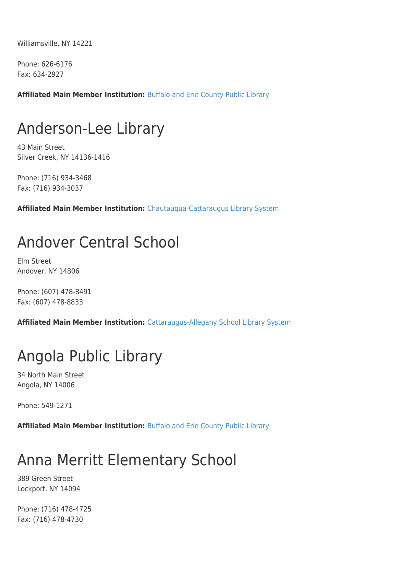Williamsville, NY 14221

Phone: 626-6176 Fax: 634-2927

**Affiliated Main Member Institution:** [Buffalo and Erie County Public Library](http://www.wnylrc.org/membership/member/6)

#### Anderson-Lee Library

43 Main Street Silver Creek, NY 14136-1416

Phone: (716) 934-3468 Fax: (716) 934-3037

**Affiliated Main Member Institution:** [Chautauqua-Cattaraugus Library System](http://www.wnylrc.org/membership/member/20)

#### Andover Central School

Elm Street Andover, NY 14806

Phone: (607) 478-8491 Fax: (607) 478-8833

**Affiliated Main Member Institution:** [Cattaraugus-Allegany School Library System](http://www.wnylrc.org/membership/member/17)

### Angola Public Library

34 North Main Street Angola, NY 14006

Phone: 549-1271

**Affiliated Main Member Institution:** [Buffalo and Erie County Public Library](http://www.wnylrc.org/membership/member/6)

### Anna Merritt Elementary School

389 Green Street Lockport, NY 14094

Phone: (716) 478-4725 Fax: (716) 478-4730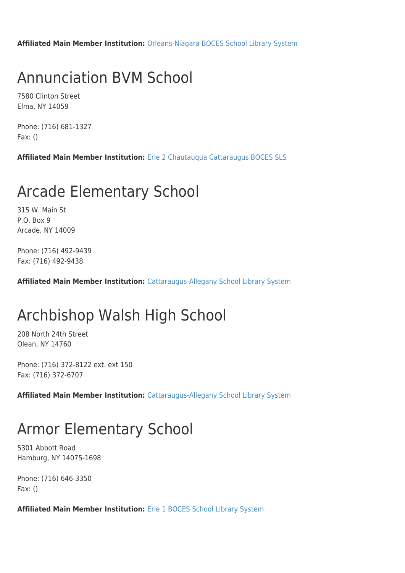**Affiliated Main Member Institution:** [Orleans-Niagara BOCES School Library System](http://www.wnylrc.org/membership/member/62)

#### Annunciation BVM School

7580 Clinton Street Elma, NY 14059

Phone: (716) 681-1327 Fax: ()

**Affiliated Main Member Institution:** [Erie 2 Chautauqua Cattaraugus BOCES SLS](http://www.wnylrc.org/membership/member/29)

#### Arcade Elementary School

315 W. Main St P.O. Box 9 Arcade, NY 14009

Phone: (716) 492-9439 Fax: (716) 492-9438

**Affiliated Main Member Institution:** [Cattaraugus-Allegany School Library System](http://www.wnylrc.org/membership/member/17)

### Archbishop Walsh High School

208 North 24th Street Olean, NY 14760

Phone: (716) 372-8122 ext. ext 150 Fax: (716) 372-6707

**Affiliated Main Member Institution:** [Cattaraugus-Allegany School Library System](http://www.wnylrc.org/membership/member/17)

### Armor Elementary School

5301 Abbott Road Hamburg, NY 14075-1698

Phone: (716) 646-3350 Fax: ()

**Affiliated Main Member Institution:** [Erie 1 BOCES School Library System](http://www.wnylrc.org/membership/member/28)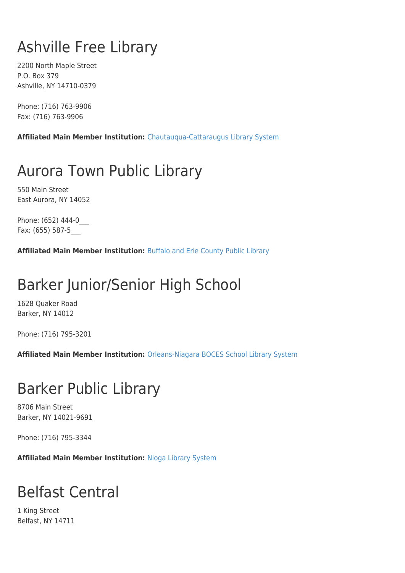## Ashville Free Library

2200 North Maple Street P.O. Box 379 Ashville, NY 14710-0379

Phone: (716) 763-9906 Fax: (716) 763-9906

**Affiliated Main Member Institution:** [Chautauqua-Cattaraugus Library System](http://www.wnylrc.org/membership/member/20)

## Aurora Town Public Library

550 Main Street East Aurora, NY 14052

Phone: (652) 444-0\_\_\_ Fax: (655) 587-5\_\_\_

**Affiliated Main Member Institution:** [Buffalo and Erie County Public Library](http://www.wnylrc.org/membership/member/6)

## Barker Junior/Senior High School

1628 Quaker Road Barker, NY 14012

Phone: (716) 795-3201

**Affiliated Main Member Institution:** [Orleans-Niagara BOCES School Library System](http://www.wnylrc.org/membership/member/62)

### Barker Public Library

8706 Main Street Barker, NY 14021-9691

Phone: (716) 795-3344

**Affiliated Main Member Institution:** [Nioga Library System](http://www.wnylrc.org/membership/member/59)

## Belfast Central

1 King Street Belfast, NY 14711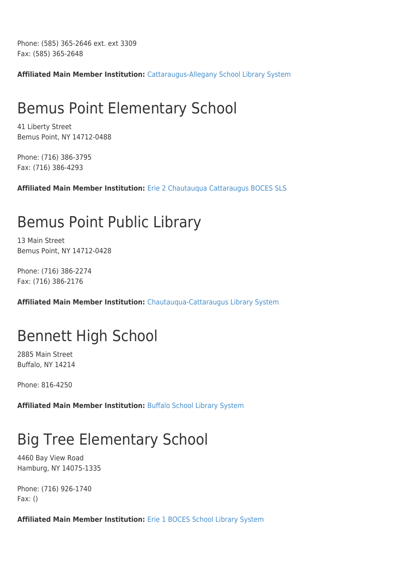Phone: (585) 365-2646 ext. ext 3309 Fax: (585) 365-2648

**Affiliated Main Member Institution:** [Cattaraugus-Allegany School Library System](http://www.wnylrc.org/membership/member/17)

## Bemus Point Elementary School

41 Liberty Street Bemus Point, NY 14712-0488

Phone: (716) 386-3795 Fax: (716) 386-4293

**Affiliated Main Member Institution:** [Erie 2 Chautauqua Cattaraugus BOCES SLS](http://www.wnylrc.org/membership/member/29)

### Bemus Point Public Library

13 Main Street Bemus Point, NY 14712-0428

Phone: (716) 386-2274 Fax: (716) 386-2176

**Affiliated Main Member Institution:** [Chautauqua-Cattaraugus Library System](http://www.wnylrc.org/membership/member/20)

### Bennett High School

2885 Main Street Buffalo, NY 14214

Phone: 816-4250

**Affiliated Main Member Institution:** [Buffalo School Library System](http://www.wnylrc.org/membership/member/12)

### Big Tree Elementary School

4460 Bay View Road Hamburg, NY 14075-1335

Phone: (716) 926-1740 Fax: ()

**Affiliated Main Member Institution:** [Erie 1 BOCES School Library System](http://www.wnylrc.org/membership/member/28)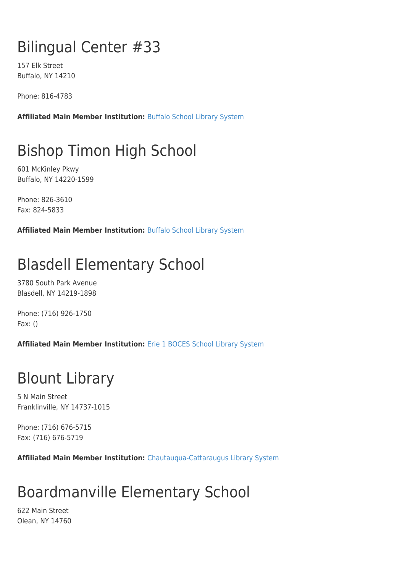## Bilingual Center #33

157 Elk Street Buffalo, NY 14210

Phone: 816-4783

**Affiliated Main Member Institution:** [Buffalo School Library System](http://www.wnylrc.org/membership/member/12)

### Bishop Timon High School

601 McKinley Pkwy Buffalo, NY 14220-1599

Phone: 826-3610 Fax: 824-5833

**Affiliated Main Member Institution:** [Buffalo School Library System](http://www.wnylrc.org/membership/member/12)

## Blasdell Elementary School

3780 South Park Avenue Blasdell, NY 14219-1898

Phone: (716) 926-1750 Fax: ()

**Affiliated Main Member Institution:** [Erie 1 BOCES School Library System](http://www.wnylrc.org/membership/member/28)

### Blount Library

5 N Main Street Franklinville, NY 14737-1015

Phone: (716) 676-5715 Fax: (716) 676-5719

**Affiliated Main Member Institution:** [Chautauqua-Cattaraugus Library System](http://www.wnylrc.org/membership/member/20)

## Boardmanville Elementary School

622 Main Street Olean, NY 14760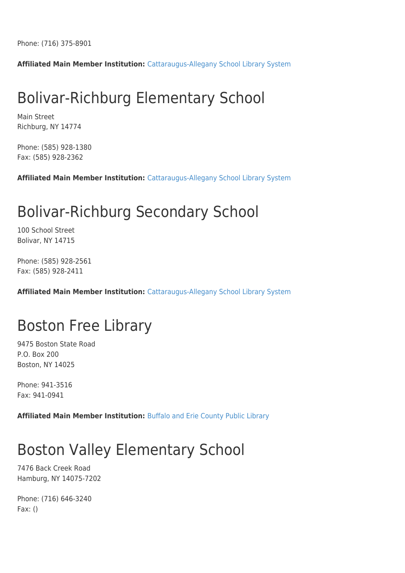Phone: (716) 375-8901

**Affiliated Main Member Institution:** [Cattaraugus-Allegany School Library System](http://www.wnylrc.org/membership/member/17)

#### Bolivar-Richburg Elementary School

Main Street Richburg, NY 14774

Phone: (585) 928-1380 Fax: (585) 928-2362

**Affiliated Main Member Institution:** [Cattaraugus-Allegany School Library System](http://www.wnylrc.org/membership/member/17)

#### Bolivar-Richburg Secondary School

100 School Street Bolivar, NY 14715

Phone: (585) 928-2561 Fax: (585) 928-2411

**Affiliated Main Member Institution:** [Cattaraugus-Allegany School Library System](http://www.wnylrc.org/membership/member/17)

#### Boston Free Library

9475 Boston State Road P.O. Box 200 Boston, NY 14025

Phone: 941-3516 Fax: 941-0941

**Affiliated Main Member Institution:** [Buffalo and Erie County Public Library](http://www.wnylrc.org/membership/member/6)

### Boston Valley Elementary School

7476 Back Creek Road Hamburg, NY 14075-7202

Phone: (716) 646-3240 Fax: ()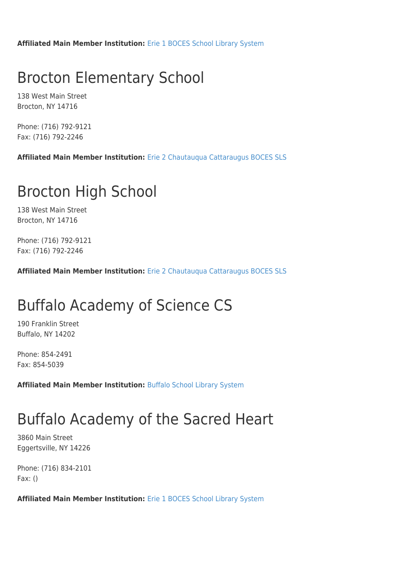**Affiliated Main Member Institution:** [Erie 1 BOCES School Library System](http://www.wnylrc.org/membership/member/28)

#### Brocton Elementary School

138 West Main Street Brocton, NY 14716

Phone: (716) 792-9121 Fax: (716) 792-2246

**Affiliated Main Member Institution:** [Erie 2 Chautauqua Cattaraugus BOCES SLS](http://www.wnylrc.org/membership/member/29)

#### Brocton High School

138 West Main Street Brocton, NY 14716

Phone: (716) 792-9121 Fax: (716) 792-2246

**Affiliated Main Member Institution:** [Erie 2 Chautauqua Cattaraugus BOCES SLS](http://www.wnylrc.org/membership/member/29)

### Buffalo Academy of Science CS

190 Franklin Street Buffalo, NY 14202

Phone: 854-2491 Fax: 854-5039

**Affiliated Main Member Institution:** [Buffalo School Library System](http://www.wnylrc.org/membership/member/12)

## Buffalo Academy of the Sacred Heart

3860 Main Street Eggertsville, NY 14226

Phone: (716) 834-2101 Fax: ()

**Affiliated Main Member Institution:** [Erie 1 BOCES School Library System](http://www.wnylrc.org/membership/member/28)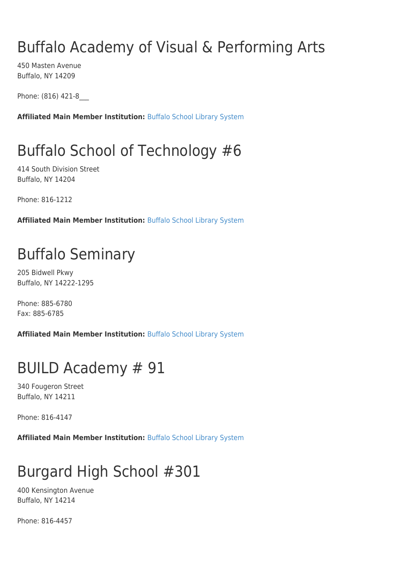## Buffalo Academy of Visual & Performing Arts

450 Masten Avenue Buffalo, NY 14209

Phone: (816) 421-8

**Affiliated Main Member Institution:** [Buffalo School Library System](http://www.wnylrc.org/membership/member/12)

### Buffalo School of Technology #6

414 South Division Street Buffalo, NY 14204

Phone: 816-1212

**Affiliated Main Member Institution:** [Buffalo School Library System](http://www.wnylrc.org/membership/member/12)

### Buffalo Seminary

205 Bidwell Pkwy Buffalo, NY 14222-1295

Phone: 885-6780 Fax: 885-6785

**Affiliated Main Member Institution:** [Buffalo School Library System](http://www.wnylrc.org/membership/member/12)

### BUILD Academy # 91

340 Fougeron Street Buffalo, NY 14211

Phone: 816-4147

**Affiliated Main Member Institution:** [Buffalo School Library System](http://www.wnylrc.org/membership/member/12)

### Burgard High School #301

400 Kensington Avenue Buffalo, NY 14214

Phone: 816-4457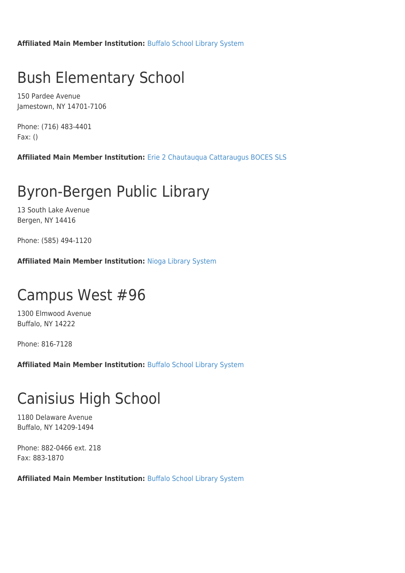**Affiliated Main Member Institution:** [Buffalo School Library System](http://www.wnylrc.org/membership/member/12)

#### Bush Elementary School

150 Pardee Avenue Jamestown, NY 14701-7106

Phone: (716) 483-4401 Fax: ()

**Affiliated Main Member Institution:** [Erie 2 Chautauqua Cattaraugus BOCES SLS](http://www.wnylrc.org/membership/member/29)

### Byron-Bergen Public Library

13 South Lake Avenue Bergen, NY 14416

Phone: (585) 494-1120

**Affiliated Main Member Institution:** [Nioga Library System](http://www.wnylrc.org/membership/member/59)

#### Campus West #96

1300 Elmwood Avenue Buffalo, NY 14222

Phone: 816-7128

**Affiliated Main Member Institution:** [Buffalo School Library System](http://www.wnylrc.org/membership/member/12)

#### Canisius High School

1180 Delaware Avenue Buffalo, NY 14209-1494

Phone: 882-0466 ext. 218 Fax: 883-1870

**Affiliated Main Member Institution:** [Buffalo School Library System](http://www.wnylrc.org/membership/member/12)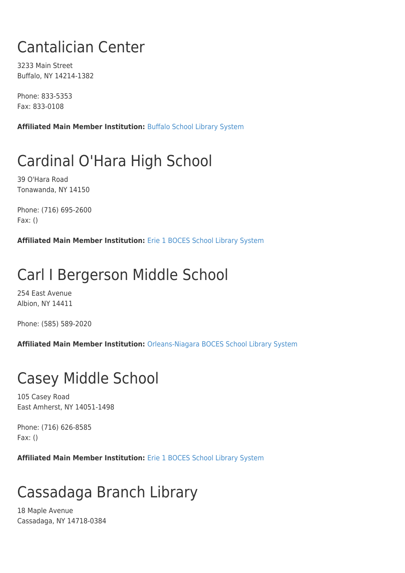## Cantalician Center

3233 Main Street Buffalo, NY 14214-1382

Phone: 833-5353 Fax: 833-0108

**Affiliated Main Member Institution:** [Buffalo School Library System](http://www.wnylrc.org/membership/member/12)

## Cardinal O'Hara High School

39 O'Hara Road Tonawanda, NY 14150

Phone: (716) 695-2600 Fax: ()

**Affiliated Main Member Institution:** [Erie 1 BOCES School Library System](http://www.wnylrc.org/membership/member/28)

### Carl I Bergerson Middle School

254 East Avenue Albion, NY 14411

Phone: (585) 589-2020

**Affiliated Main Member Institution:** [Orleans-Niagara BOCES School Library System](http://www.wnylrc.org/membership/member/62)

### Casey Middle School

105 Casey Road East Amherst, NY 14051-1498

Phone: (716) 626-8585 Fax: ()

**Affiliated Main Member Institution:** [Erie 1 BOCES School Library System](http://www.wnylrc.org/membership/member/28)

### Cassadaga Branch Library

18 Maple Avenue Cassadaga, NY 14718-0384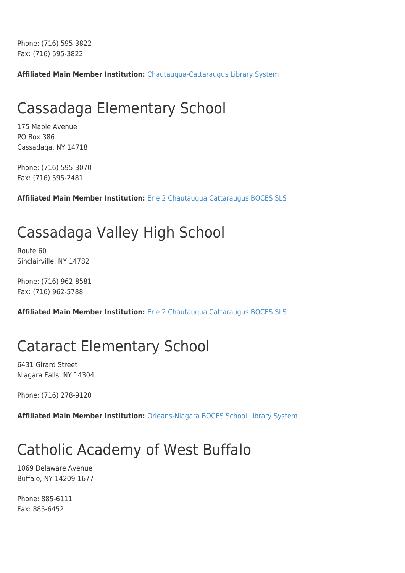Phone: (716) 595-3822 Fax: (716) 595-3822

**Affiliated Main Member Institution:** [Chautauqua-Cattaraugus Library System](http://www.wnylrc.org/membership/member/20)

#### Cassadaga Elementary School

175 Maple Avenue PO Box 386 Cassadaga, NY 14718

Phone: (716) 595-3070 Fax: (716) 595-2481

**Affiliated Main Member Institution:** [Erie 2 Chautauqua Cattaraugus BOCES SLS](http://www.wnylrc.org/membership/member/29)

### Cassadaga Valley High School

Route 60 Sinclairville, NY 14782

Phone: (716) 962-8581 Fax: (716) 962-5788

**Affiliated Main Member Institution:** [Erie 2 Chautauqua Cattaraugus BOCES SLS](http://www.wnylrc.org/membership/member/29)

#### Cataract Elementary School

6431 Girard Street Niagara Falls, NY 14304

Phone: (716) 278-9120

**Affiliated Main Member Institution:** [Orleans-Niagara BOCES School Library System](http://www.wnylrc.org/membership/member/62)

## Catholic Academy of West Buffalo

1069 Delaware Avenue Buffalo, NY 14209-1677

Phone: 885-6111 Fax: 885-6452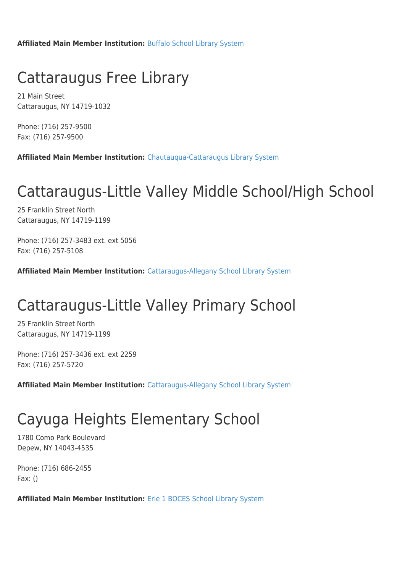**Affiliated Main Member Institution:** [Buffalo School Library System](http://www.wnylrc.org/membership/member/12)

#### Cattaraugus Free Library

21 Main Street Cattaraugus, NY 14719-1032

Phone: (716) 257-9500 Fax: (716) 257-9500

**Affiliated Main Member Institution:** [Chautauqua-Cattaraugus Library System](http://www.wnylrc.org/membership/member/20)

#### Cattaraugus-Little Valley Middle School/High School

25 Franklin Street North Cattaraugus, NY 14719-1199

Phone: (716) 257-3483 ext. ext 5056 Fax: (716) 257-5108

**Affiliated Main Member Institution:** [Cattaraugus-Allegany School Library System](http://www.wnylrc.org/membership/member/17)

#### Cattaraugus-Little Valley Primary School

25 Franklin Street North Cattaraugus, NY 14719-1199

Phone: (716) 257-3436 ext. ext 2259 Fax: (716) 257-5720

**Affiliated Main Member Institution:** [Cattaraugus-Allegany School Library System](http://www.wnylrc.org/membership/member/17)

### Cayuga Heights Elementary School

1780 Como Park Boulevard Depew, NY 14043-4535

Phone: (716) 686-2455 Fax: ()

**Affiliated Main Member Institution:** [Erie 1 BOCES School Library System](http://www.wnylrc.org/membership/member/28)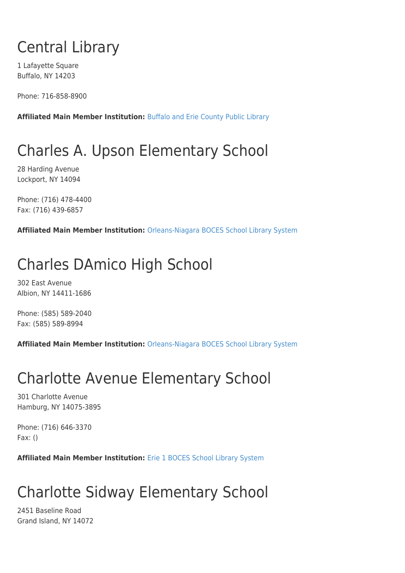## Central Library

1 Lafayette Square Buffalo, NY 14203

Phone: 716-858-8900

**Affiliated Main Member Institution:** [Buffalo and Erie County Public Library](http://www.wnylrc.org/membership/member/6)

### Charles A. Upson Elementary School

28 Harding Avenue Lockport, NY 14094

Phone: (716) 478-4400 Fax: (716) 439-6857

**Affiliated Main Member Institution:** [Orleans-Niagara BOCES School Library System](http://www.wnylrc.org/membership/member/62)

## Charles DAmico High School

302 East Avenue Albion, NY 14411-1686

Phone: (585) 589-2040 Fax: (585) 589-8994

**Affiliated Main Member Institution:** [Orleans-Niagara BOCES School Library System](http://www.wnylrc.org/membership/member/62)

### Charlotte Avenue Elementary School

301 Charlotte Avenue Hamburg, NY 14075-3895

Phone: (716) 646-3370 Fax: ()

**Affiliated Main Member Institution:** [Erie 1 BOCES School Library System](http://www.wnylrc.org/membership/member/28)

## Charlotte Sidway Elementary School

2451 Baseline Road Grand Island, NY 14072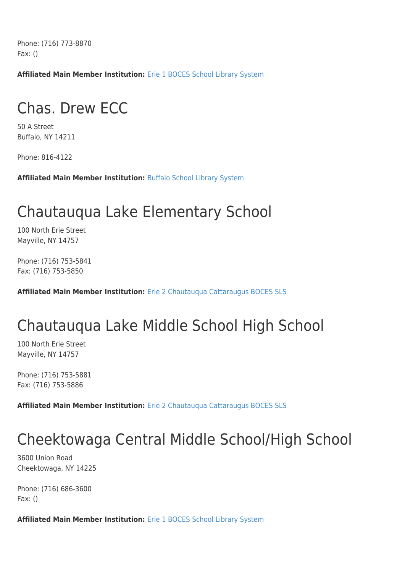Phone: (716) 773-8870 Fax: ()

**Affiliated Main Member Institution:** [Erie 1 BOCES School Library System](http://www.wnylrc.org/membership/member/28)

#### Chas. Drew ECC

50 A Street Buffalo, NY 14211

Phone: 816-4122

**Affiliated Main Member Institution:** [Buffalo School Library System](http://www.wnylrc.org/membership/member/12)

#### Chautauqua Lake Elementary School

100 North Erie Street Mayville, NY 14757

Phone: (716) 753-5841 Fax: (716) 753-5850

**Affiliated Main Member Institution:** [Erie 2 Chautauqua Cattaraugus BOCES SLS](http://www.wnylrc.org/membership/member/29)

### Chautauqua Lake Middle School High School

100 North Erie Street Mayville, NY 14757

Phone: (716) 753-5881 Fax: (716) 753-5886

**Affiliated Main Member Institution:** [Erie 2 Chautauqua Cattaraugus BOCES SLS](http://www.wnylrc.org/membership/member/29)

#### Cheektowaga Central Middle School/High School

3600 Union Road Cheektowaga, NY 14225

Phone: (716) 686-3600 Fax: ()

**Affiliated Main Member Institution:** [Erie 1 BOCES School Library System](http://www.wnylrc.org/membership/member/28)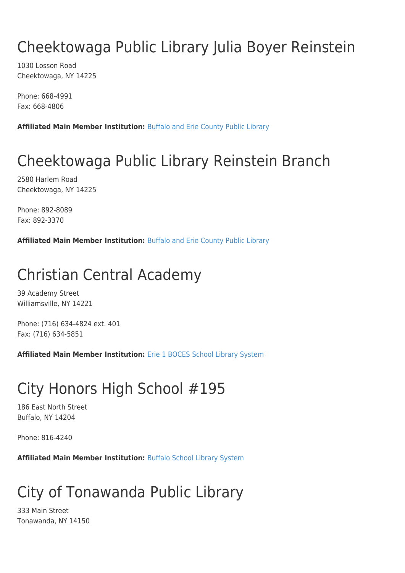## Cheektowaga Public Library Julia Boyer Reinstein

1030 Losson Road Cheektowaga, NY 14225

Phone: 668-4991 Fax: 668-4806

**Affiliated Main Member Institution:** [Buffalo and Erie County Public Library](http://www.wnylrc.org/membership/member/6)

## Cheektowaga Public Library Reinstein Branch

2580 Harlem Road Cheektowaga, NY 14225

Phone: 892-8089 Fax: 892-3370

**Affiliated Main Member Institution:** [Buffalo and Erie County Public Library](http://www.wnylrc.org/membership/member/6)

### Christian Central Academy

39 Academy Street Williamsville, NY 14221

Phone: (716) 634-4824 ext. 401 Fax: (716) 634-5851

**Affiliated Main Member Institution:** [Erie 1 BOCES School Library System](http://www.wnylrc.org/membership/member/28)

## City Honors High School #195

186 East North Street Buffalo, NY 14204

Phone: 816-4240

**Affiliated Main Member Institution:** [Buffalo School Library System](http://www.wnylrc.org/membership/member/12)

## City of Tonawanda Public Library

333 Main Street Tonawanda, NY 14150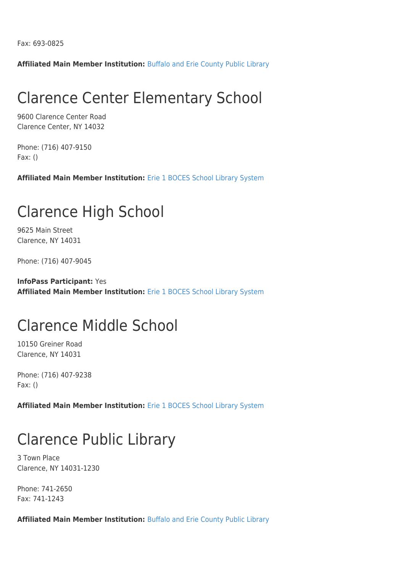Fax: 693-0825

**Affiliated Main Member Institution:** [Buffalo and Erie County Public Library](http://www.wnylrc.org/membership/member/6)

#### Clarence Center Elementary School

9600 Clarence Center Road Clarence Center, NY 14032

Phone: (716) 407-9150 Fax: ()

**Affiliated Main Member Institution:** [Erie 1 BOCES School Library System](http://www.wnylrc.org/membership/member/28)

#### Clarence High School

9625 Main Street Clarence, NY 14031

Phone: (716) 407-9045

**InfoPass Participant:** Yes **Affiliated Main Member Institution:** [Erie 1 BOCES School Library System](http://www.wnylrc.org/membership/member/28)

#### Clarence Middle School

10150 Greiner Road Clarence, NY 14031

Phone: (716) 407-9238 Fax: ()

**Affiliated Main Member Institution:** [Erie 1 BOCES School Library System](http://www.wnylrc.org/membership/member/28)

#### Clarence Public Library

3 Town Place Clarence, NY 14031-1230

Phone: 741-2650 Fax: 741-1243

**Affiliated Main Member Institution:** [Buffalo and Erie County Public Library](http://www.wnylrc.org/membership/member/6)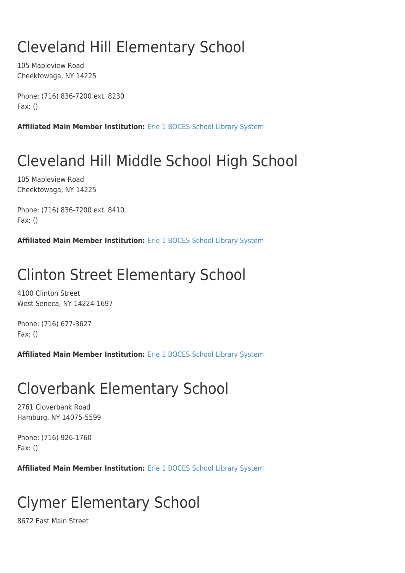## Cleveland Hill Elementary School

105 Mapleview Road Cheektowaga, NY 14225

Phone: (716) 836-7200 ext. 8230 Fax: ()

**Affiliated Main Member Institution:** [Erie 1 BOCES School Library System](http://www.wnylrc.org/membership/member/28)

## Cleveland Hill Middle School High School

105 Mapleview Road Cheektowaga, NY 14225

Phone: (716) 836-7200 ext. 8410 Fax: ()

**Affiliated Main Member Institution:** [Erie 1 BOCES School Library System](http://www.wnylrc.org/membership/member/28)

### Clinton Street Elementary School

4100 Clinton Street West Seneca, NY 14224-1697

Phone: (716) 677-3627 Fax: ()

**Affiliated Main Member Institution:** [Erie 1 BOCES School Library System](http://www.wnylrc.org/membership/member/28)

#### Cloverbank Elementary School

2761 Cloverbank Road Hamburg, NY 14075-5599

Phone: (716) 926-1760 Fax: ()

**Affiliated Main Member Institution:** [Erie 1 BOCES School Library System](http://www.wnylrc.org/membership/member/28)

### Clymer Elementary School

8672 East Main Street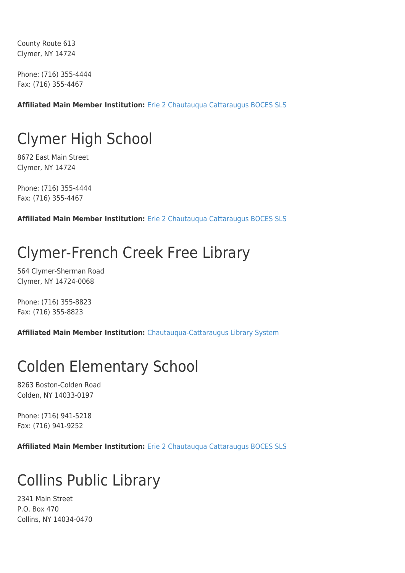County Route 613 Clymer, NY 14724

Phone: (716) 355-4444 Fax: (716) 355-4467

**Affiliated Main Member Institution:** [Erie 2 Chautauqua Cattaraugus BOCES SLS](http://www.wnylrc.org/membership/member/29)

#### Clymer High School

8672 East Main Street Clymer, NY 14724

Phone: (716) 355-4444 Fax: (716) 355-4467

**Affiliated Main Member Institution:** [Erie 2 Chautauqua Cattaraugus BOCES SLS](http://www.wnylrc.org/membership/member/29)

#### Clymer-French Creek Free Library

564 Clymer-Sherman Road Clymer, NY 14724-0068

Phone: (716) 355-8823 Fax: (716) 355-8823

**Affiliated Main Member Institution:** [Chautauqua-Cattaraugus Library System](http://www.wnylrc.org/membership/member/20)

#### Colden Elementary School

8263 Boston-Colden Road Colden, NY 14033-0197

Phone: (716) 941-5218 Fax: (716) 941-9252

**Affiliated Main Member Institution:** [Erie 2 Chautauqua Cattaraugus BOCES SLS](http://www.wnylrc.org/membership/member/29)

#### Collins Public Library

2341 Main Street P.O. Box 470 Collins, NY 14034-0470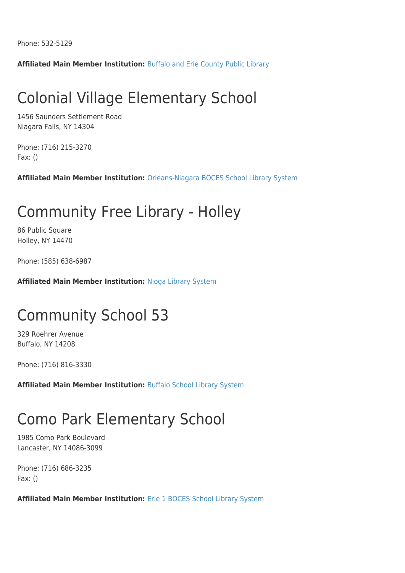Phone: 532-5129

**Affiliated Main Member Institution:** [Buffalo and Erie County Public Library](http://www.wnylrc.org/membership/member/6)

#### Colonial Village Elementary School

1456 Saunders Settlement Road Niagara Falls, NY 14304

Phone: (716) 215-3270 Fax: ()

**Affiliated Main Member Institution:** [Orleans-Niagara BOCES School Library System](http://www.wnylrc.org/membership/member/62)

#### Community Free Library - Holley

86 Public Square Holley, NY 14470

Phone: (585) 638-6987

**Affiliated Main Member Institution:** [Nioga Library System](http://www.wnylrc.org/membership/member/59)

#### Community School 53

329 Roehrer Avenue Buffalo, NY 14208

Phone: (716) 816-3330

**Affiliated Main Member Institution:** [Buffalo School Library System](http://www.wnylrc.org/membership/member/12)

#### Como Park Elementary School

1985 Como Park Boulevard Lancaster, NY 14086-3099

Phone: (716) 686-3235 Fax: ()

**Affiliated Main Member Institution:** [Erie 1 BOCES School Library System](http://www.wnylrc.org/membership/member/28)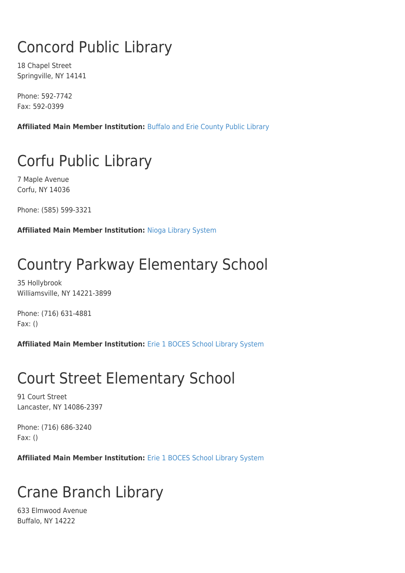## Concord Public Library

18 Chapel Street Springville, NY 14141

Phone: 592-7742 Fax: 592-0399

**Affiliated Main Member Institution:** [Buffalo and Erie County Public Library](http://www.wnylrc.org/membership/member/6)

## Corfu Public Library

7 Maple Avenue Corfu, NY 14036

Phone: (585) 599-3321

**Affiliated Main Member Institution:** [Nioga Library System](http://www.wnylrc.org/membership/member/59)

## Country Parkway Elementary School

35 Hollybrook Williamsville, NY 14221-3899

Phone: (716) 631-4881 Fax: ()

**Affiliated Main Member Institution:** [Erie 1 BOCES School Library System](http://www.wnylrc.org/membership/member/28)

#### Court Street Elementary School

91 Court Street Lancaster, NY 14086-2397

Phone: (716) 686-3240 Fax: ()

**Affiliated Main Member Institution:** [Erie 1 BOCES School Library System](http://www.wnylrc.org/membership/member/28)

### Crane Branch Library

633 Elmwood Avenue Buffalo, NY 14222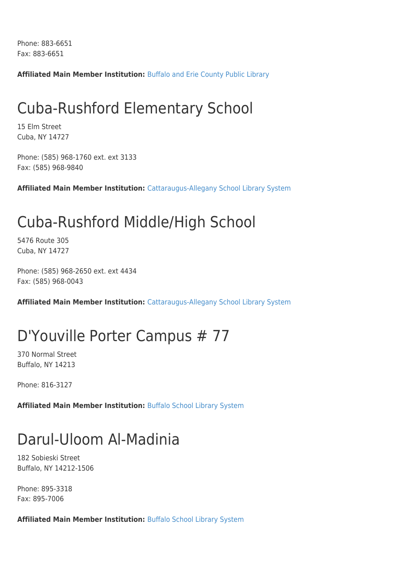Phone: 883-6651 Fax: 883-6651

**Affiliated Main Member Institution:** [Buffalo and Erie County Public Library](http://www.wnylrc.org/membership/member/6)

### Cuba-Rushford Elementary School

15 Elm Street Cuba, NY 14727

Phone: (585) 968-1760 ext. ext 3133 Fax: (585) 968-9840

**Affiliated Main Member Institution:** [Cattaraugus-Allegany School Library System](http://www.wnylrc.org/membership/member/17)

#### Cuba-Rushford Middle/High School

5476 Route 305 Cuba, NY 14727

Phone: (585) 968-2650 ext. ext 4434 Fax: (585) 968-0043

**Affiliated Main Member Institution:** [Cattaraugus-Allegany School Library System](http://www.wnylrc.org/membership/member/17)

### D'Youville Porter Campus # 77

370 Normal Street Buffalo, NY 14213

Phone: 816-3127

**Affiliated Main Member Institution:** [Buffalo School Library System](http://www.wnylrc.org/membership/member/12)

#### Darul-Uloom Al-Madinia

182 Sobieski Street Buffalo, NY 14212-1506

Phone: 895-3318 Fax: 895-7006

**Affiliated Main Member Institution:** [Buffalo School Library System](http://www.wnylrc.org/membership/member/12)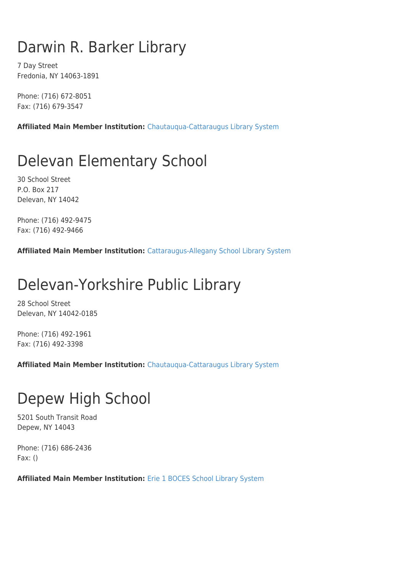## Darwin R. Barker Library

7 Day Street Fredonia, NY 14063-1891

Phone: (716) 672-8051 Fax: (716) 679-3547

**Affiliated Main Member Institution:** [Chautauqua-Cattaraugus Library System](http://www.wnylrc.org/membership/member/20)

### Delevan Elementary School

30 School Street P.O. Box 217 Delevan, NY 14042

Phone: (716) 492-9475 Fax: (716) 492-9466

**Affiliated Main Member Institution:** [Cattaraugus-Allegany School Library System](http://www.wnylrc.org/membership/member/17)

### Delevan-Yorkshire Public Library

28 School Street Delevan, NY 14042-0185

Phone: (716) 492-1961 Fax: (716) 492-3398

**Affiliated Main Member Institution:** [Chautauqua-Cattaraugus Library System](http://www.wnylrc.org/membership/member/20)

### Depew High School

5201 South Transit Road Depew, NY 14043

Phone: (716) 686-2436 Fax: ()

**Affiliated Main Member Institution:** [Erie 1 BOCES School Library System](http://www.wnylrc.org/membership/member/28)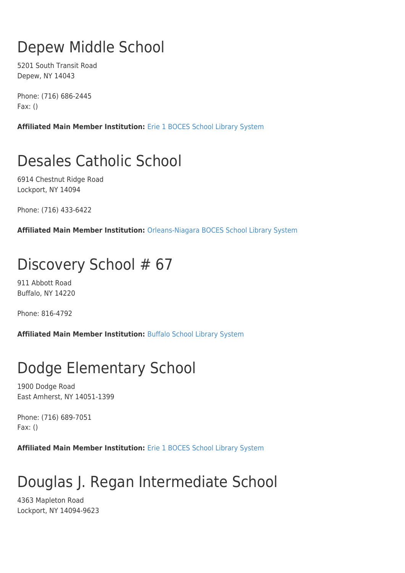## Depew Middle School

5201 South Transit Road Depew, NY 14043

Phone: (716) 686-2445 Fax: ()

**Affiliated Main Member Institution:** [Erie 1 BOCES School Library System](http://www.wnylrc.org/membership/member/28)

### Desales Catholic School

6914 Chestnut Ridge Road Lockport, NY 14094

Phone: (716) 433-6422

**Affiliated Main Member Institution:** [Orleans-Niagara BOCES School Library System](http://www.wnylrc.org/membership/member/62)

### Discovery School # 67

911 Abbott Road Buffalo, NY 14220

Phone: 816-4792

**Affiliated Main Member Institution:** [Buffalo School Library System](http://www.wnylrc.org/membership/member/12)

### Dodge Elementary School

1900 Dodge Road East Amherst, NY 14051-1399

Phone: (716) 689-7051 Fax: ()

**Affiliated Main Member Institution:** [Erie 1 BOCES School Library System](http://www.wnylrc.org/membership/member/28)

## Douglas J. Regan Intermediate School

4363 Mapleton Road Lockport, NY 14094-9623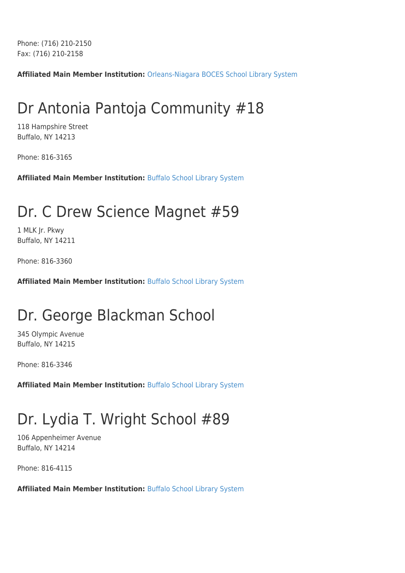Phone: (716) 210-2150 Fax: (716) 210-2158

**Affiliated Main Member Institution:** [Orleans-Niagara BOCES School Library System](http://www.wnylrc.org/membership/member/62)

### Dr Antonia Pantoja Community #18

118 Hampshire Street Buffalo, NY 14213

Phone: 816-3165

**Affiliated Main Member Institution:** [Buffalo School Library System](http://www.wnylrc.org/membership/member/12)

#### Dr. C Drew Science Magnet #59

1 MLK Jr. Pkwy Buffalo, NY 14211

Phone: 816-3360

**Affiliated Main Member Institution:** [Buffalo School Library System](http://www.wnylrc.org/membership/member/12)

#### Dr. George Blackman School

345 Olympic Avenue Buffalo, NY 14215

Phone: 816-3346

**Affiliated Main Member Institution:** [Buffalo School Library System](http://www.wnylrc.org/membership/member/12)

### Dr. Lydia T. Wright School #89

106 Appenheimer Avenue Buffalo, NY 14214

Phone: 816-4115

**Affiliated Main Member Institution:** [Buffalo School Library System](http://www.wnylrc.org/membership/member/12)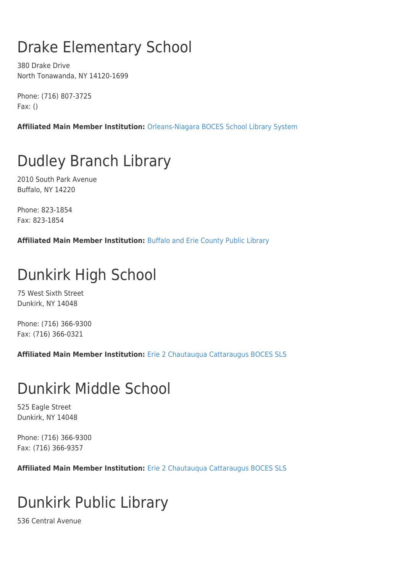## Drake Elementary School

380 Drake Drive North Tonawanda, NY 14120-1699

Phone: (716) 807-3725 Fax: ()

**Affiliated Main Member Institution:** [Orleans-Niagara BOCES School Library System](http://www.wnylrc.org/membership/member/62)

### Dudley Branch Library

2010 South Park Avenue Buffalo, NY 14220

Phone: 823-1854 Fax: 823-1854

**Affiliated Main Member Institution:** [Buffalo and Erie County Public Library](http://www.wnylrc.org/membership/member/6)

## Dunkirk High School

75 West Sixth Street Dunkirk, NY 14048

Phone: (716) 366-9300 Fax: (716) 366-0321

**Affiliated Main Member Institution:** [Erie 2 Chautauqua Cattaraugus BOCES SLS](http://www.wnylrc.org/membership/member/29)

### Dunkirk Middle School

525 Eagle Street Dunkirk, NY 14048

Phone: (716) 366-9300 Fax: (716) 366-9357

**Affiliated Main Member Institution:** [Erie 2 Chautauqua Cattaraugus BOCES SLS](http://www.wnylrc.org/membership/member/29)

### Dunkirk Public Library

536 Central Avenue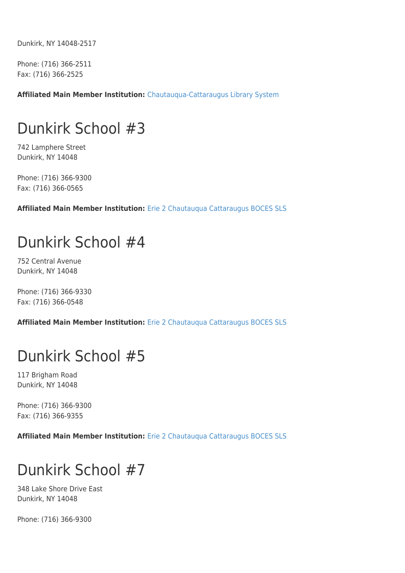Dunkirk, NY 14048-2517

Phone: (716) 366-2511 Fax: (716) 366-2525

**Affiliated Main Member Institution:** [Chautauqua-Cattaraugus Library System](http://www.wnylrc.org/membership/member/20)

#### Dunkirk School #3

742 Lamphere Street Dunkirk, NY 14048

Phone: (716) 366-9300 Fax: (716) 366-0565

**Affiliated Main Member Institution:** [Erie 2 Chautauqua Cattaraugus BOCES SLS](http://www.wnylrc.org/membership/member/29)

#### Dunkirk School #4

752 Central Avenue Dunkirk, NY 14048

Phone: (716) 366-9330 Fax: (716) 366-0548

**Affiliated Main Member Institution:** [Erie 2 Chautauqua Cattaraugus BOCES SLS](http://www.wnylrc.org/membership/member/29)

#### Dunkirk School #5

117 Brigham Road Dunkirk, NY 14048

Phone: (716) 366-9300 Fax: (716) 366-9355

**Affiliated Main Member Institution:** [Erie 2 Chautauqua Cattaraugus BOCES SLS](http://www.wnylrc.org/membership/member/29)

#### Dunkirk School #7

348 Lake Shore Drive East Dunkirk, NY 14048

Phone: (716) 366-9300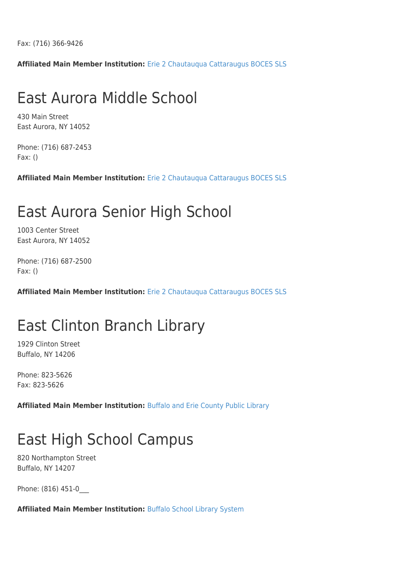Fax: (716) 366-9426

**Affiliated Main Member Institution:** [Erie 2 Chautauqua Cattaraugus BOCES SLS](http://www.wnylrc.org/membership/member/29)

#### East Aurora Middle School

430 Main Street East Aurora, NY 14052

Phone: (716) 687-2453 Fax: ()

**Affiliated Main Member Institution:** [Erie 2 Chautauqua Cattaraugus BOCES SLS](http://www.wnylrc.org/membership/member/29)

#### East Aurora Senior High School

1003 Center Street East Aurora, NY 14052

Phone: (716) 687-2500 Fax: ()

**Affiliated Main Member Institution:** [Erie 2 Chautauqua Cattaraugus BOCES SLS](http://www.wnylrc.org/membership/member/29)

#### East Clinton Branch Library

1929 Clinton Street Buffalo, NY 14206

Phone: 823-5626 Fax: 823-5626

**Affiliated Main Member Institution:** [Buffalo and Erie County Public Library](http://www.wnylrc.org/membership/member/6)

#### East High School Campus

820 Northampton Street Buffalo, NY 14207

Phone: (816) 451-0\_\_\_

**Affiliated Main Member Institution:** [Buffalo School Library System](http://www.wnylrc.org/membership/member/12)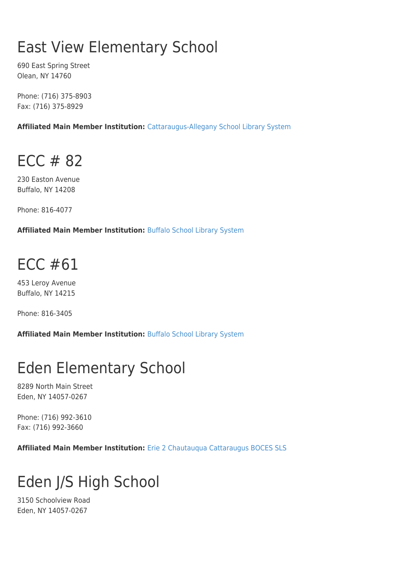## East View Elementary School

690 East Spring Street Olean, NY 14760

Phone: (716) 375-8903 Fax: (716) 375-8929

**Affiliated Main Member Institution:** [Cattaraugus-Allegany School Library System](http://www.wnylrc.org/membership/member/17)

#### ECC # 82

230 Easton Avenue Buffalo, NY 14208

Phone: 816-4077

**Affiliated Main Member Institution:** [Buffalo School Library System](http://www.wnylrc.org/membership/member/12)

#### ECC #61

453 Leroy Avenue Buffalo, NY 14215

Phone: 816-3405

**Affiliated Main Member Institution:** [Buffalo School Library System](http://www.wnylrc.org/membership/member/12)

## Eden Elementary School

8289 North Main Street Eden, NY 14057-0267

Phone: (716) 992-3610 Fax: (716) 992-3660

**Affiliated Main Member Institution:** [Erie 2 Chautauqua Cattaraugus BOCES SLS](http://www.wnylrc.org/membership/member/29)

### Eden J/S High School

3150 Schoolview Road Eden, NY 14057-0267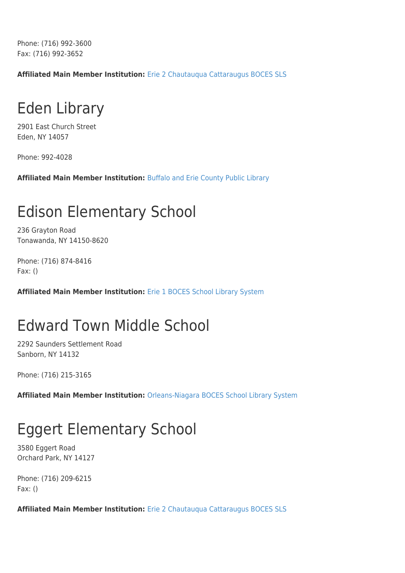Phone: (716) 992-3600 Fax: (716) 992-3652

**Affiliated Main Member Institution:** [Erie 2 Chautauqua Cattaraugus BOCES SLS](http://www.wnylrc.org/membership/member/29)

### Eden Library

2901 East Church Street Eden, NY 14057

Phone: 992-4028

**Affiliated Main Member Institution:** [Buffalo and Erie County Public Library](http://www.wnylrc.org/membership/member/6)

#### Edison Elementary School

236 Grayton Road Tonawanda, NY 14150-8620

Phone: (716) 874-8416 Fax: ()

**Affiliated Main Member Institution:** [Erie 1 BOCES School Library System](http://www.wnylrc.org/membership/member/28)

#### Edward Town Middle School

2292 Saunders Settlement Road Sanborn, NY 14132

Phone: (716) 215-3165

**Affiliated Main Member Institution:** [Orleans-Niagara BOCES School Library System](http://www.wnylrc.org/membership/member/62)

### Eggert Elementary School

3580 Eggert Road Orchard Park, NY 14127

Phone: (716) 209-6215 Fax: ()

**Affiliated Main Member Institution:** [Erie 2 Chautauqua Cattaraugus BOCES SLS](http://www.wnylrc.org/membership/member/29)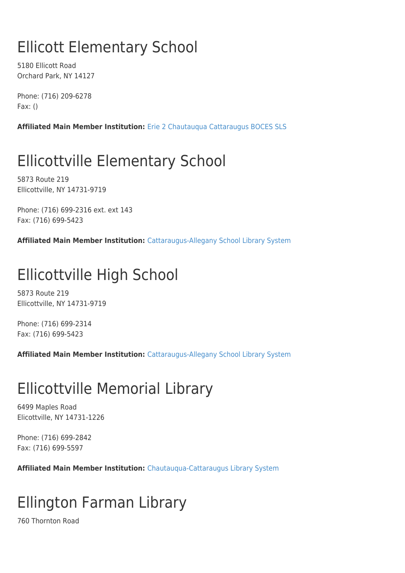## Ellicott Elementary School

5180 Ellicott Road Orchard Park, NY 14127

Phone: (716) 209-6278 Fax: ()

**Affiliated Main Member Institution:** [Erie 2 Chautauqua Cattaraugus BOCES SLS](http://www.wnylrc.org/membership/member/29)

## Ellicottville Elementary School

5873 Route 219 Ellicottville, NY 14731-9719

Phone: (716) 699-2316 ext. ext 143 Fax: (716) 699-5423

**Affiliated Main Member Institution:** [Cattaraugus-Allegany School Library System](http://www.wnylrc.org/membership/member/17)

## Ellicottville High School

5873 Route 219 Ellicottville, NY 14731-9719

Phone: (716) 699-2314 Fax: (716) 699-5423

**Affiliated Main Member Institution:** [Cattaraugus-Allegany School Library System](http://www.wnylrc.org/membership/member/17)

### Ellicottville Memorial Library

6499 Maples Road Elicottville, NY 14731-1226

Phone: (716) 699-2842 Fax: (716) 699-5597

**Affiliated Main Member Institution:** [Chautauqua-Cattaraugus Library System](http://www.wnylrc.org/membership/member/20)

## Ellington Farman Library

760 Thornton Road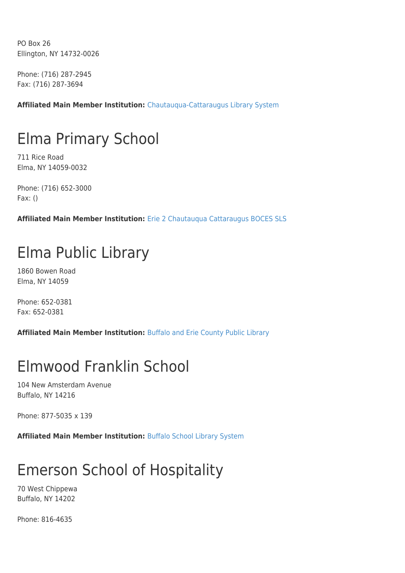PO Box 26 Ellington, NY 14732-0026

Phone: (716) 287-2945 Fax: (716) 287-3694

**Affiliated Main Member Institution:** [Chautauqua-Cattaraugus Library System](http://www.wnylrc.org/membership/member/20)

## Elma Primary School

711 Rice Road Elma, NY 14059-0032

Phone: (716) 652-3000 Fax: ()

**Affiliated Main Member Institution:** [Erie 2 Chautauqua Cattaraugus BOCES SLS](http://www.wnylrc.org/membership/member/29)

# Elma Public Library

1860 Bowen Road Elma, NY 14059

Phone: 652-0381 Fax: 652-0381

**Affiliated Main Member Institution:** [Buffalo and Erie County Public Library](http://www.wnylrc.org/membership/member/6)

## Elmwood Franklin School

104 New Amsterdam Avenue Buffalo, NY 14216

Phone: 877-5035 x 139

**Affiliated Main Member Institution:** [Buffalo School Library System](http://www.wnylrc.org/membership/member/12)

# Emerson School of Hospitality

70 West Chippewa Buffalo, NY 14202

Phone: 816-4635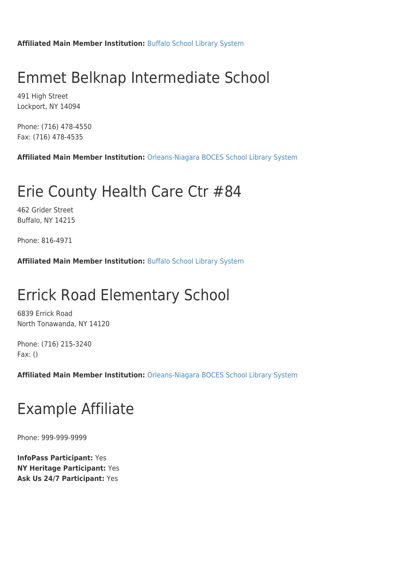**Affiliated Main Member Institution:** [Buffalo School Library System](http://www.wnylrc.org/membership/member/12)

#### Emmet Belknap Intermediate School

491 High Street Lockport, NY 14094

Phone: (716) 478-4550 Fax: (716) 478-4535

**Affiliated Main Member Institution:** [Orleans-Niagara BOCES School Library System](http://www.wnylrc.org/membership/member/62)

#### Erie County Health Care Ctr #84

462 Grider Street Buffalo, NY 14215

Phone: 816-4971

**Affiliated Main Member Institution:** [Buffalo School Library System](http://www.wnylrc.org/membership/member/12)

### Errick Road Elementary School

6839 Errick Road North Tonawanda, NY 14120

Phone: (716) 215-3240 Fax: ()

**Affiliated Main Member Institution:** [Orleans-Niagara BOCES School Library System](http://www.wnylrc.org/membership/member/62)

#### Example Affiliate

Phone: 999-999-9999

**InfoPass Participant:** Yes **NY Heritage Participant:** Yes **Ask Us 24/7 Participant:** Yes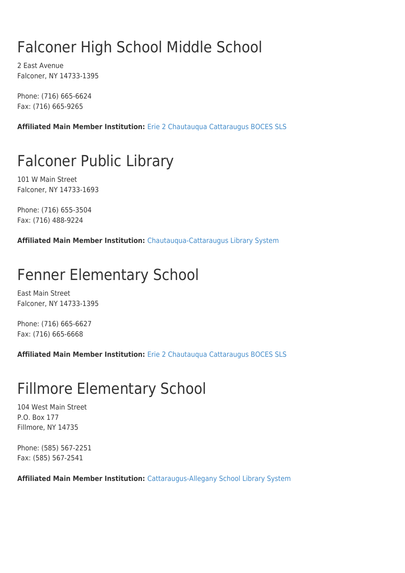# Falconer High School Middle School

2 East Avenue Falconer, NY 14733-1395

Phone: (716) 665-6624 Fax: (716) 665-9265

**Affiliated Main Member Institution:** [Erie 2 Chautauqua Cattaraugus BOCES SLS](http://www.wnylrc.org/membership/member/29)

# Falconer Public Library

101 W Main Street Falconer, NY 14733-1693

Phone: (716) 655-3504 Fax: (716) 488-9224

**Affiliated Main Member Institution:** [Chautauqua-Cattaraugus Library System](http://www.wnylrc.org/membership/member/20)

## Fenner Elementary School

East Main Street Falconer, NY 14733-1395

Phone: (716) 665-6627 Fax: (716) 665-6668

**Affiliated Main Member Institution:** [Erie 2 Chautauqua Cattaraugus BOCES SLS](http://www.wnylrc.org/membership/member/29)

## Fillmore Elementary School

104 West Main Street P.O. Box 177 Fillmore, NY 14735

Phone: (585) 567-2251 Fax: (585) 567-2541

**Affiliated Main Member Institution:** [Cattaraugus-Allegany School Library System](http://www.wnylrc.org/membership/member/17)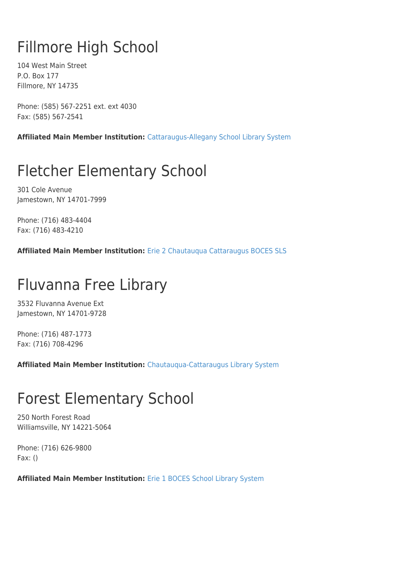# Fillmore High School

104 West Main Street P.O. Box 177 Fillmore, NY 14735

Phone: (585) 567-2251 ext. ext 4030 Fax: (585) 567-2541

**Affiliated Main Member Institution:** [Cattaraugus-Allegany School Library System](http://www.wnylrc.org/membership/member/17)

# Fletcher Elementary School

301 Cole Avenue Jamestown, NY 14701-7999

Phone: (716) 483-4404 Fax: (716) 483-4210

**Affiliated Main Member Institution:** [Erie 2 Chautauqua Cattaraugus BOCES SLS](http://www.wnylrc.org/membership/member/29)

### Fluvanna Free Library

3532 Fluvanna Avenue Ext Jamestown, NY 14701-9728

Phone: (716) 487-1773 Fax: (716) 708-4296

**Affiliated Main Member Institution:** [Chautauqua-Cattaraugus Library System](http://www.wnylrc.org/membership/member/20)

### Forest Elementary School

250 North Forest Road Williamsville, NY 14221-5064

Phone: (716) 626-9800 Fax: ()

**Affiliated Main Member Institution:** [Erie 1 BOCES School Library System](http://www.wnylrc.org/membership/member/28)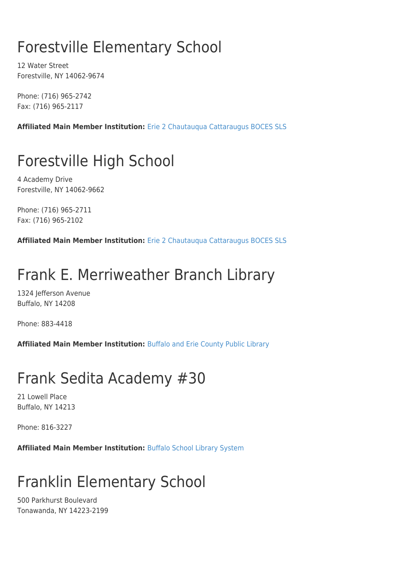# Forestville Elementary School

12 Water Street Forestville, NY 14062-9674

Phone: (716) 965-2742 Fax: (716) 965-2117

**Affiliated Main Member Institution:** [Erie 2 Chautauqua Cattaraugus BOCES SLS](http://www.wnylrc.org/membership/member/29)

# Forestville High School

4 Academy Drive Forestville, NY 14062-9662

Phone: (716) 965-2711 Fax: (716) 965-2102

**Affiliated Main Member Institution:** [Erie 2 Chautauqua Cattaraugus BOCES SLS](http://www.wnylrc.org/membership/member/29)

# Frank E. Merriweather Branch Library

1324 Jefferson Avenue Buffalo, NY 14208

Phone: 883-4418

**Affiliated Main Member Institution:** [Buffalo and Erie County Public Library](http://www.wnylrc.org/membership/member/6)

### Frank Sedita Academy #30

21 Lowell Place Buffalo, NY 14213

Phone: 816-3227

**Affiliated Main Member Institution:** [Buffalo School Library System](http://www.wnylrc.org/membership/member/12)

# Franklin Elementary School

500 Parkhurst Boulevard Tonawanda, NY 14223-2199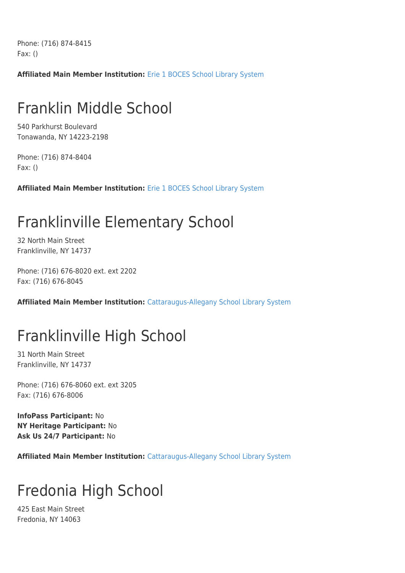Phone: (716) 874-8415 Fax: ()

**Affiliated Main Member Institution:** [Erie 1 BOCES School Library System](http://www.wnylrc.org/membership/member/28)

### Franklin Middle School

540 Parkhurst Boulevard Tonawanda, NY 14223-2198

Phone: (716) 874-8404 Fax: ()

**Affiliated Main Member Institution:** [Erie 1 BOCES School Library System](http://www.wnylrc.org/membership/member/28)

#### Franklinville Elementary School

32 North Main Street Franklinville, NY 14737

Phone: (716) 676-8020 ext. ext 2202 Fax: (716) 676-8045

**Affiliated Main Member Institution:** [Cattaraugus-Allegany School Library System](http://www.wnylrc.org/membership/member/17)

# Franklinville High School

31 North Main Street Franklinville, NY 14737

Phone: (716) 676-8060 ext. ext 3205 Fax: (716) 676-8006

**InfoPass Participant:** No **NY Heritage Participant:** No **Ask Us 24/7 Participant:** No

**Affiliated Main Member Institution:** [Cattaraugus-Allegany School Library System](http://www.wnylrc.org/membership/member/17)

## Fredonia High School

425 East Main Street Fredonia, NY 14063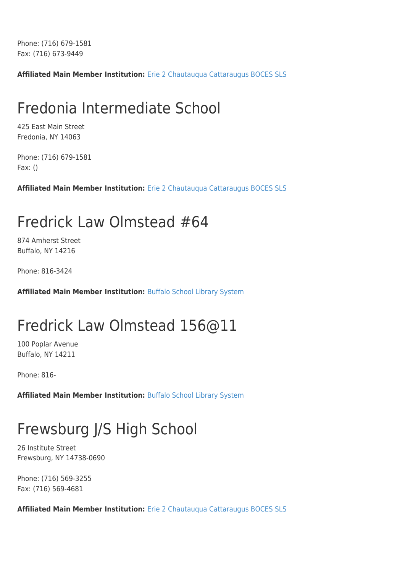Phone: (716) 679-1581 Fax: (716) 673-9449

**Affiliated Main Member Institution:** [Erie 2 Chautauqua Cattaraugus BOCES SLS](http://www.wnylrc.org/membership/member/29)

## Fredonia Intermediate School

425 East Main Street Fredonia, NY 14063

Phone: (716) 679-1581 Fax: ()

**Affiliated Main Member Institution:** [Erie 2 Chautauqua Cattaraugus BOCES SLS](http://www.wnylrc.org/membership/member/29)

#### Fredrick Law Olmstead #64

874 Amherst Street Buffalo, NY 14216

Phone: 816-3424

**Affiliated Main Member Institution:** [Buffalo School Library System](http://www.wnylrc.org/membership/member/12)

# Fredrick Law Olmstead 156@11

100 Poplar Avenue Buffalo, NY 14211

Phone: 816-

**Affiliated Main Member Institution:** [Buffalo School Library System](http://www.wnylrc.org/membership/member/12)

# Frewsburg J/S High School

26 Institute Street Frewsburg, NY 14738-0690

Phone: (716) 569-3255 Fax: (716) 569-4681

**Affiliated Main Member Institution:** [Erie 2 Chautauqua Cattaraugus BOCES SLS](http://www.wnylrc.org/membership/member/29)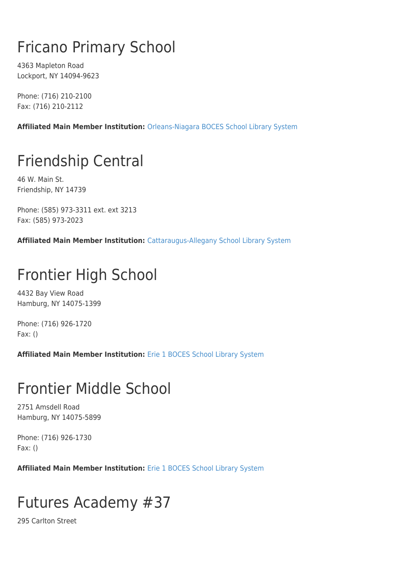# Fricano Primary School

4363 Mapleton Road Lockport, NY 14094-9623

Phone: (716) 210-2100 Fax: (716) 210-2112

**Affiliated Main Member Institution:** [Orleans-Niagara BOCES School Library System](http://www.wnylrc.org/membership/member/62)

# Friendship Central

46 W. Main St. Friendship, NY 14739

Phone: (585) 973-3311 ext. ext 3213 Fax: (585) 973-2023

**Affiliated Main Member Institution:** [Cattaraugus-Allegany School Library System](http://www.wnylrc.org/membership/member/17)

# Frontier High School

4432 Bay View Road Hamburg, NY 14075-1399

Phone: (716) 926-1720 Fax: ()

**Affiliated Main Member Institution:** [Erie 1 BOCES School Library System](http://www.wnylrc.org/membership/member/28)

## Frontier Middle School

2751 Amsdell Road Hamburg, NY 14075-5899

Phone: (716) 926-1730 Fax: ()

**Affiliated Main Member Institution:** [Erie 1 BOCES School Library System](http://www.wnylrc.org/membership/member/28)

# Futures Academy #37

295 Carlton Street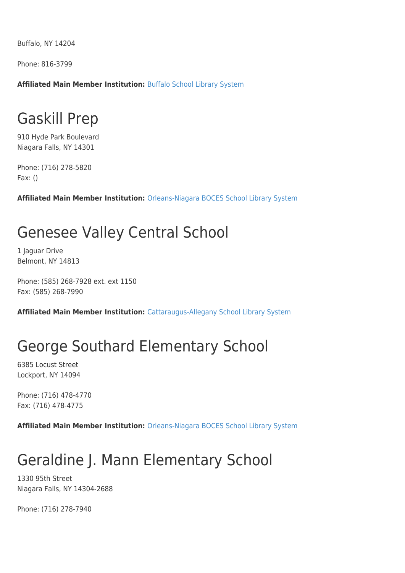Buffalo, NY 14204

Phone: 816-3799

**Affiliated Main Member Institution:** [Buffalo School Library System](http://www.wnylrc.org/membership/member/12)

### Gaskill Prep

910 Hyde Park Boulevard Niagara Falls, NY 14301

Phone: (716) 278-5820 Fax: ()

**Affiliated Main Member Institution:** [Orleans-Niagara BOCES School Library System](http://www.wnylrc.org/membership/member/62)

#### Genesee Valley Central School

1 Jaguar Drive Belmont, NY 14813

Phone: (585) 268-7928 ext. ext 1150 Fax: (585) 268-7990

**Affiliated Main Member Institution:** [Cattaraugus-Allegany School Library System](http://www.wnylrc.org/membership/member/17)

#### George Southard Elementary School

6385 Locust Street Lockport, NY 14094

Phone: (716) 478-4770 Fax: (716) 478-4775

**Affiliated Main Member Institution:** [Orleans-Niagara BOCES School Library System](http://www.wnylrc.org/membership/member/62)

#### Geraldine J. Mann Elementary School

1330 95th Street Niagara Falls, NY 14304-2688

Phone: (716) 278-7940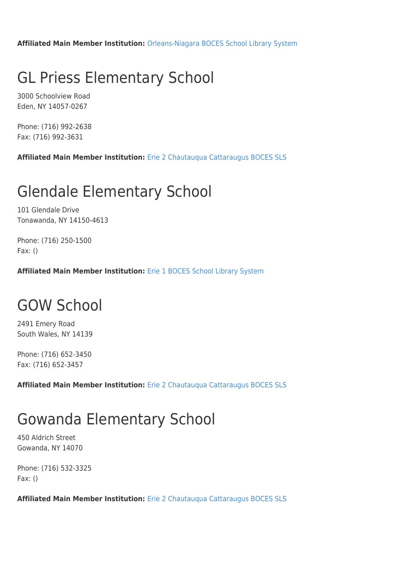**Affiliated Main Member Institution:** [Orleans-Niagara BOCES School Library System](http://www.wnylrc.org/membership/member/62)

## GL Priess Elementary School

3000 Schoolview Road Eden, NY 14057-0267

Phone: (716) 992-2638 Fax: (716) 992-3631

**Affiliated Main Member Institution:** [Erie 2 Chautauqua Cattaraugus BOCES SLS](http://www.wnylrc.org/membership/member/29)

## Glendale Elementary School

101 Glendale Drive Tonawanda, NY 14150-4613

Phone: (716) 250-1500 Fax: ()

**Affiliated Main Member Institution:** [Erie 1 BOCES School Library System](http://www.wnylrc.org/membership/member/28)

### GOW School

2491 Emery Road South Wales, NY 14139

Phone: (716) 652-3450 Fax: (716) 652-3457

**Affiliated Main Member Institution:** [Erie 2 Chautauqua Cattaraugus BOCES SLS](http://www.wnylrc.org/membership/member/29)

### Gowanda Elementary School

450 Aldrich Street Gowanda, NY 14070

Phone: (716) 532-3325 Fax: ()

**Affiliated Main Member Institution:** [Erie 2 Chautauqua Cattaraugus BOCES SLS](http://www.wnylrc.org/membership/member/29)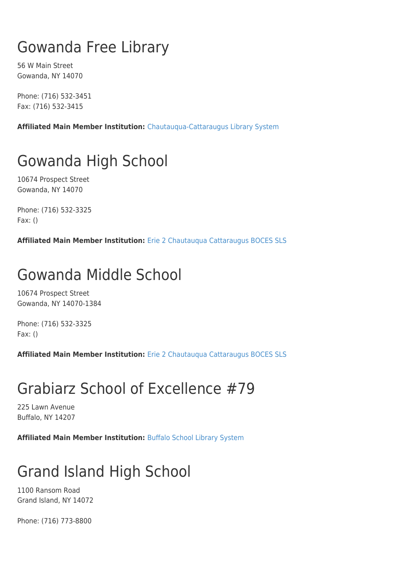# Gowanda Free Library

56 W Main Street Gowanda, NY 14070

Phone: (716) 532-3451 Fax: (716) 532-3415

**Affiliated Main Member Institution:** [Chautauqua-Cattaraugus Library System](http://www.wnylrc.org/membership/member/20)

## Gowanda High School

10674 Prospect Street Gowanda, NY 14070

Phone: (716) 532-3325 Fax: ()

**Affiliated Main Member Institution:** [Erie 2 Chautauqua Cattaraugus BOCES SLS](http://www.wnylrc.org/membership/member/29)

### Gowanda Middle School

10674 Prospect Street Gowanda, NY 14070-1384

Phone: (716) 532-3325 Fax: ()

**Affiliated Main Member Institution:** [Erie 2 Chautauqua Cattaraugus BOCES SLS](http://www.wnylrc.org/membership/member/29)

## Grabiarz School of Excellence #79

225 Lawn Avenue Buffalo, NY 14207

**Affiliated Main Member Institution:** [Buffalo School Library System](http://www.wnylrc.org/membership/member/12)

### Grand Island High School

1100 Ransom Road Grand Island, NY 14072

Phone: (716) 773-8800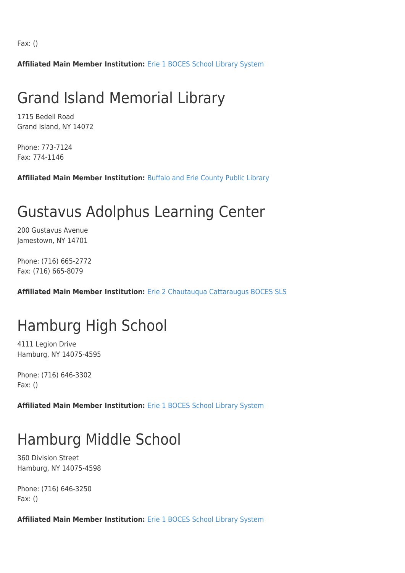Fax: ()

**Affiliated Main Member Institution:** [Erie 1 BOCES School Library System](http://www.wnylrc.org/membership/member/28)

### Grand Island Memorial Library

1715 Bedell Road Grand Island, NY 14072

Phone: 773-7124 Fax: 774-1146

**Affiliated Main Member Institution:** [Buffalo and Erie County Public Library](http://www.wnylrc.org/membership/member/6)

#### Gustavus Adolphus Learning Center

200 Gustavus Avenue Jamestown, NY 14701

Phone: (716) 665-2772 Fax: (716) 665-8079

**Affiliated Main Member Institution:** [Erie 2 Chautauqua Cattaraugus BOCES SLS](http://www.wnylrc.org/membership/member/29)

### Hamburg High School

4111 Legion Drive Hamburg, NY 14075-4595

Phone: (716) 646-3302 Fax: ()

**Affiliated Main Member Institution:** [Erie 1 BOCES School Library System](http://www.wnylrc.org/membership/member/28)

#### Hamburg Middle School

360 Division Street Hamburg, NY 14075-4598

Phone: (716) 646-3250 Fax: ()

**Affiliated Main Member Institution:** [Erie 1 BOCES School Library System](http://www.wnylrc.org/membership/member/28)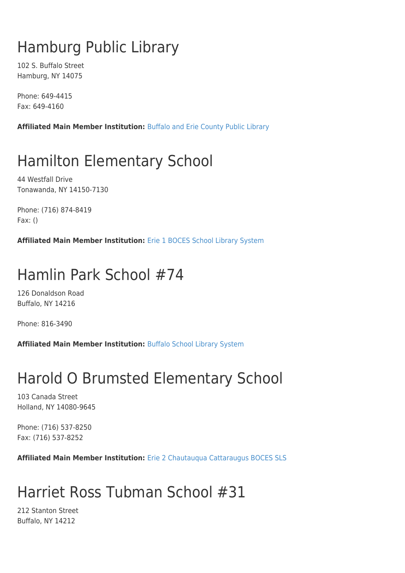# Hamburg Public Library

102 S. Buffalo Street Hamburg, NY 14075

Phone: 649-4415 Fax: 649-4160

**Affiliated Main Member Institution:** [Buffalo and Erie County Public Library](http://www.wnylrc.org/membership/member/6)

# Hamilton Elementary School

44 Westfall Drive Tonawanda, NY 14150-7130

Phone: (716) 874-8419 Fax: ()

**Affiliated Main Member Institution:** [Erie 1 BOCES School Library System](http://www.wnylrc.org/membership/member/28)

## Hamlin Park School #74

126 Donaldson Road Buffalo, NY 14216

Phone: 816-3490

**Affiliated Main Member Institution:** [Buffalo School Library System](http://www.wnylrc.org/membership/member/12)

## Harold O Brumsted Elementary School

103 Canada Street Holland, NY 14080-9645

Phone: (716) 537-8250 Fax: (716) 537-8252

**Affiliated Main Member Institution:** [Erie 2 Chautauqua Cattaraugus BOCES SLS](http://www.wnylrc.org/membership/member/29)

# Harriet Ross Tubman School #31

212 Stanton Street Buffalo, NY 14212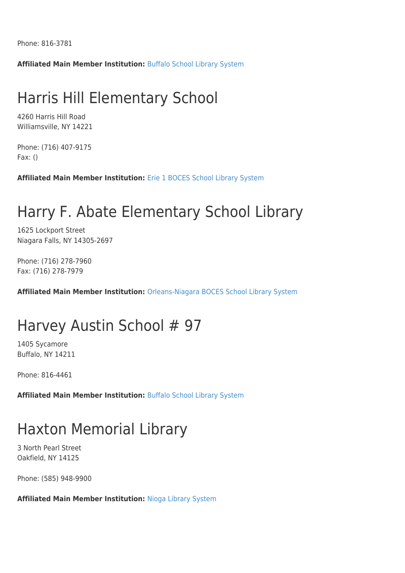Phone: 816-3781

**Affiliated Main Member Institution:** [Buffalo School Library System](http://www.wnylrc.org/membership/member/12)

#### Harris Hill Elementary School

4260 Harris Hill Road Williamsville, NY 14221

Phone: (716) 407-9175 Fax: ()

**Affiliated Main Member Institution:** [Erie 1 BOCES School Library System](http://www.wnylrc.org/membership/member/28)

#### Harry F. Abate Elementary School Library

1625 Lockport Street Niagara Falls, NY 14305-2697

Phone: (716) 278-7960 Fax: (716) 278-7979

**Affiliated Main Member Institution:** [Orleans-Niagara BOCES School Library System](http://www.wnylrc.org/membership/member/62)

#### Harvey Austin School # 97

1405 Sycamore Buffalo, NY 14211

Phone: 816-4461

**Affiliated Main Member Institution:** [Buffalo School Library System](http://www.wnylrc.org/membership/member/12)

#### Haxton Memorial Library

3 North Pearl Street Oakfield, NY 14125

Phone: (585) 948-9900

**Affiliated Main Member Institution:** [Nioga Library System](http://www.wnylrc.org/membership/member/59)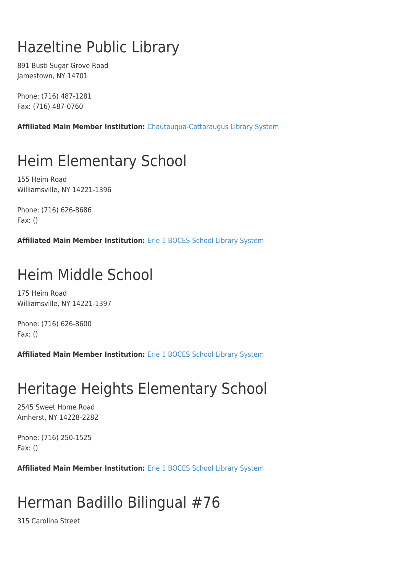# Hazeltine Public Library

891 Busti Sugar Grove Road Jamestown, NY 14701

Phone: (716) 487-1281 Fax: (716) 487-0760

**Affiliated Main Member Institution:** [Chautauqua-Cattaraugus Library System](http://www.wnylrc.org/membership/member/20)

# Heim Elementary School

155 Heim Road Williamsville, NY 14221-1396

Phone: (716) 626-8686 Fax: ()

**Affiliated Main Member Institution:** [Erie 1 BOCES School Library System](http://www.wnylrc.org/membership/member/28)

## Heim Middle School

175 Heim Road Williamsville, NY 14221-1397

Phone: (716) 626-8600 Fax: ()

**Affiliated Main Member Institution:** [Erie 1 BOCES School Library System](http://www.wnylrc.org/membership/member/28)

# Heritage Heights Elementary School

2545 Sweet Home Road Amherst, NY 14228-2282

Phone: (716) 250-1525 Fax: ()

**Affiliated Main Member Institution:** [Erie 1 BOCES School Library System](http://www.wnylrc.org/membership/member/28)

# Herman Badillo Bilingual #76

315 Carolina Street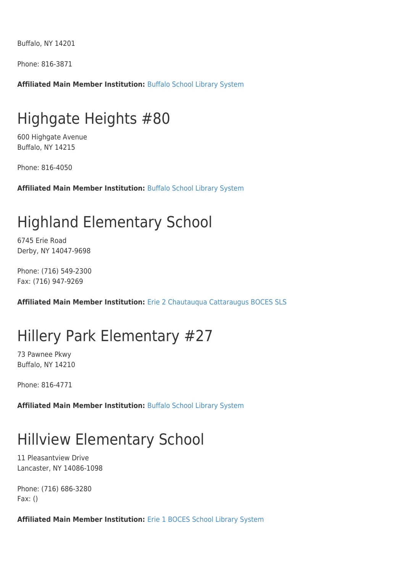Buffalo, NY 14201

Phone: 816-3871

**Affiliated Main Member Institution:** [Buffalo School Library System](http://www.wnylrc.org/membership/member/12)

#### Highgate Heights #80

600 Highgate Avenue Buffalo, NY 14215

Phone: 816-4050

**Affiliated Main Member Institution:** [Buffalo School Library System](http://www.wnylrc.org/membership/member/12)

#### Highland Elementary School

6745 Erie Road Derby, NY 14047-9698

Phone: (716) 549-2300 Fax: (716) 947-9269

**Affiliated Main Member Institution:** [Erie 2 Chautauqua Cattaraugus BOCES SLS](http://www.wnylrc.org/membership/member/29)

### Hillery Park Elementary #27

73 Pawnee Pkwy Buffalo, NY 14210

Phone: 816-4771

**Affiliated Main Member Institution:** [Buffalo School Library System](http://www.wnylrc.org/membership/member/12)

#### Hillview Elementary School

11 Pleasantview Drive Lancaster, NY 14086-1098

Phone: (716) 686-3280 Fax: ()

**Affiliated Main Member Institution:** [Erie 1 BOCES School Library System](http://www.wnylrc.org/membership/member/28)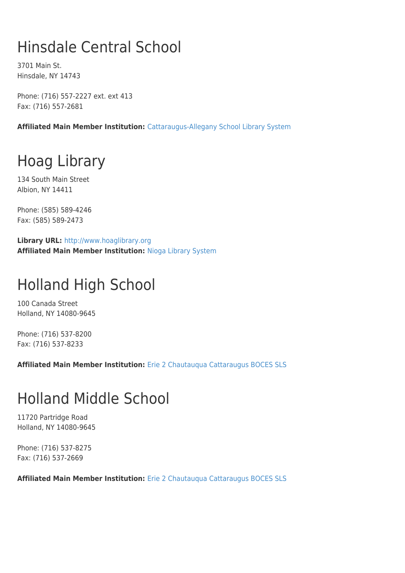# Hinsdale Central School

3701 Main St. Hinsdale, NY 14743

Phone: (716) 557-2227 ext. ext 413 Fax: (716) 557-2681

**Affiliated Main Member Institution:** [Cattaraugus-Allegany School Library System](http://www.wnylrc.org/membership/member/17)

# Hoag Library

134 South Main Street Albion, NY 14411

Phone: (585) 589-4246 Fax: (585) 589-2473

**Library URL:** <http://www.hoaglibrary.org> **Affiliated Main Member Institution:** [Nioga Library System](http://www.wnylrc.org/membership/member/59)

# Holland High School

100 Canada Street Holland, NY 14080-9645

Phone: (716) 537-8200 Fax: (716) 537-8233

**Affiliated Main Member Institution:** [Erie 2 Chautauqua Cattaraugus BOCES SLS](http://www.wnylrc.org/membership/member/29)

# Holland Middle School

11720 Partridge Road Holland, NY 14080-9645

Phone: (716) 537-8275 Fax: (716) 537-2669

**Affiliated Main Member Institution:** [Erie 2 Chautauqua Cattaraugus BOCES SLS](http://www.wnylrc.org/membership/member/29)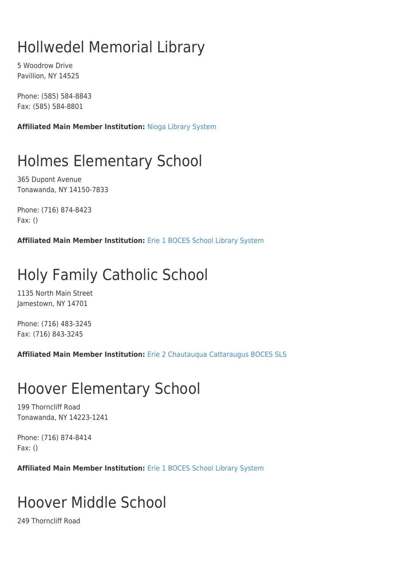# Hollwedel Memorial Library

5 Woodrow Drive Pavillion, NY 14525

Phone: (585) 584-8843 Fax: (585) 584-8801

**Affiliated Main Member Institution:** [Nioga Library System](http://www.wnylrc.org/membership/member/59)

# Holmes Elementary School

365 Dupont Avenue Tonawanda, NY 14150-7833

Phone: (716) 874-8423 Fax: ()

**Affiliated Main Member Institution:** [Erie 1 BOCES School Library System](http://www.wnylrc.org/membership/member/28)

# Holy Family Catholic School

1135 North Main Street Jamestown, NY 14701

Phone: (716) 483-3245 Fax: (716) 843-3245

**Affiliated Main Member Institution:** [Erie 2 Chautauqua Cattaraugus BOCES SLS](http://www.wnylrc.org/membership/member/29)

### Hoover Elementary School

199 Thorncliff Road Tonawanda, NY 14223-1241

Phone: (716) 874-8414 Fax: ()

**Affiliated Main Member Institution:** [Erie 1 BOCES School Library System](http://www.wnylrc.org/membership/member/28)

## Hoover Middle School

249 Thorncliff Road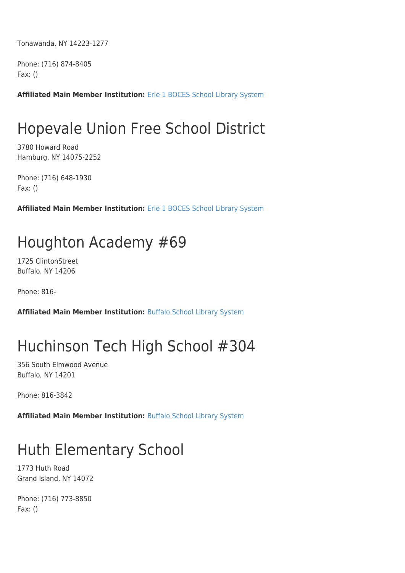Tonawanda, NY 14223-1277

Phone: (716) 874-8405 Fax: ()

**Affiliated Main Member Institution:** [Erie 1 BOCES School Library System](http://www.wnylrc.org/membership/member/28)

## Hopevale Union Free School District

3780 Howard Road Hamburg, NY 14075-2252

Phone: (716) 648-1930 Fax: ()

**Affiliated Main Member Institution:** [Erie 1 BOCES School Library System](http://www.wnylrc.org/membership/member/28)

#### Houghton Academy #69

1725 ClintonStreet Buffalo, NY 14206

Phone: 816-

**Affiliated Main Member Institution:** [Buffalo School Library System](http://www.wnylrc.org/membership/member/12)

## Huchinson Tech High School #304

356 South Elmwood Avenue Buffalo, NY 14201

Phone: 816-3842

**Affiliated Main Member Institution:** [Buffalo School Library System](http://www.wnylrc.org/membership/member/12)

## Huth Elementary School

1773 Huth Road Grand Island, NY 14072

Phone: (716) 773-8850 Fax: ()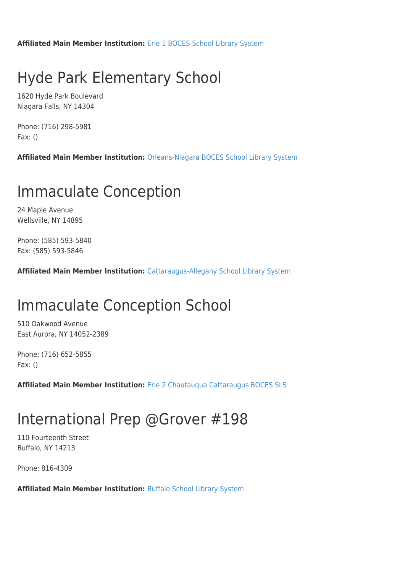**Affiliated Main Member Institution:** [Erie 1 BOCES School Library System](http://www.wnylrc.org/membership/member/28)

# Hyde Park Elementary School

1620 Hyde Park Boulevard Niagara Falls, NY 14304

Phone: (716) 298-5981 Fax: ()

**Affiliated Main Member Institution:** [Orleans-Niagara BOCES School Library System](http://www.wnylrc.org/membership/member/62)

#### Immaculate Conception

24 Maple Avenue Wellsville, NY 14895

Phone: (585) 593-5840 Fax: (585) 593-5846

**Affiliated Main Member Institution:** [Cattaraugus-Allegany School Library System](http://www.wnylrc.org/membership/member/17)

### Immaculate Conception School

510 Oakwood Avenue East Aurora, NY 14052-2389

Phone: (716) 652-5855 Fax: ()

**Affiliated Main Member Institution:** [Erie 2 Chautauqua Cattaraugus BOCES SLS](http://www.wnylrc.org/membership/member/29)

## International Prep @Grover #198

110 Fourteenth Street Buffalo, NY 14213

Phone: 816-4309

**Affiliated Main Member Institution:** [Buffalo School Library System](http://www.wnylrc.org/membership/member/12)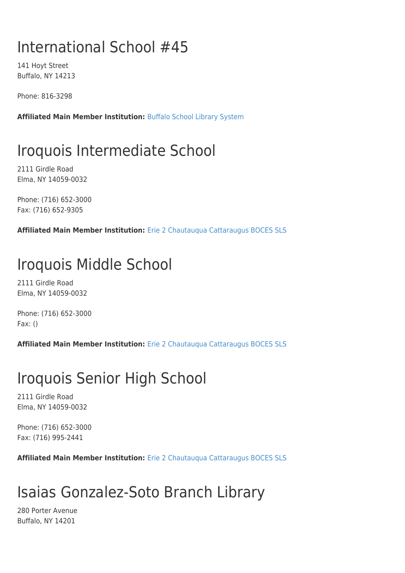# International School #45

141 Hoyt Street Buffalo, NY 14213

Phone: 816-3298

**Affiliated Main Member Institution:** [Buffalo School Library System](http://www.wnylrc.org/membership/member/12)

## Iroquois Intermediate School

2111 Girdle Road Elma, NY 14059-0032

Phone: (716) 652-3000 Fax: (716) 652-9305

**Affiliated Main Member Institution:** [Erie 2 Chautauqua Cattaraugus BOCES SLS](http://www.wnylrc.org/membership/member/29)

## Iroquois Middle School

2111 Girdle Road Elma, NY 14059-0032

Phone: (716) 652-3000 Fax: ()

**Affiliated Main Member Institution:** [Erie 2 Chautauqua Cattaraugus BOCES SLS](http://www.wnylrc.org/membership/member/29)

## Iroquois Senior High School

2111 Girdle Road Elma, NY 14059-0032

Phone: (716) 652-3000 Fax: (716) 995-2441

**Affiliated Main Member Institution:** [Erie 2 Chautauqua Cattaraugus BOCES SLS](http://www.wnylrc.org/membership/member/29)

# Isaias Gonzalez-Soto Branch Library

280 Porter Avenue Buffalo, NY 14201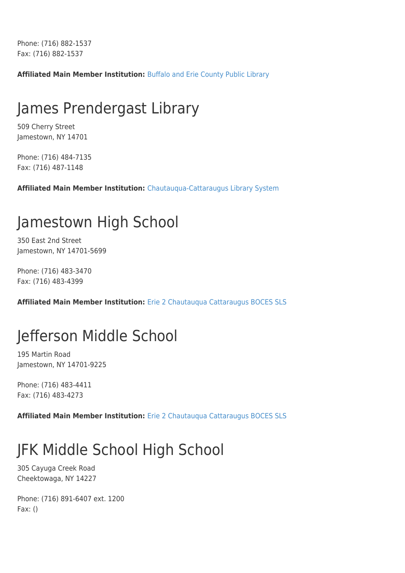Phone: (716) 882-1537 Fax: (716) 882-1537

**Affiliated Main Member Institution:** [Buffalo and Erie County Public Library](http://www.wnylrc.org/membership/member/6)

## James Prendergast Library

509 Cherry Street Jamestown, NY 14701

Phone: (716) 484-7135 Fax: (716) 487-1148

**Affiliated Main Member Institution:** [Chautauqua-Cattaraugus Library System](http://www.wnylrc.org/membership/member/20)

## Jamestown High School

350 East 2nd Street Jamestown, NY 14701-5699

Phone: (716) 483-3470 Fax: (716) 483-4399

**Affiliated Main Member Institution:** [Erie 2 Chautauqua Cattaraugus BOCES SLS](http://www.wnylrc.org/membership/member/29)

# Jefferson Middle School

195 Martin Road Jamestown, NY 14701-9225

Phone: (716) 483-4411 Fax: (716) 483-4273

**Affiliated Main Member Institution:** [Erie 2 Chautauqua Cattaraugus BOCES SLS](http://www.wnylrc.org/membership/member/29)

# JFK Middle School High School

305 Cayuga Creek Road Cheektowaga, NY 14227

Phone: (716) 891-6407 ext. 1200 Fax: ()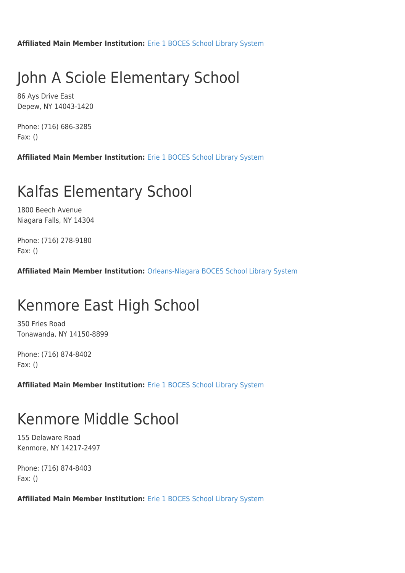**Affiliated Main Member Institution:** [Erie 1 BOCES School Library System](http://www.wnylrc.org/membership/member/28)

## John A Sciole Elementary School

86 Ays Drive East Depew, NY 14043-1420

Phone: (716) 686-3285 Fax: ()

**Affiliated Main Member Institution:** [Erie 1 BOCES School Library System](http://www.wnylrc.org/membership/member/28)

### Kalfas Elementary School

1800 Beech Avenue Niagara Falls, NY 14304

Phone: (716) 278-9180 Fax: ()

**Affiliated Main Member Institution:** [Orleans-Niagara BOCES School Library System](http://www.wnylrc.org/membership/member/62)

### Kenmore East High School

350 Fries Road Tonawanda, NY 14150-8899

Phone: (716) 874-8402 Fax: ()

**Affiliated Main Member Institution:** [Erie 1 BOCES School Library System](http://www.wnylrc.org/membership/member/28)

### Kenmore Middle School

155 Delaware Road Kenmore, NY 14217-2497

Phone: (716) 874-8403 Fax: ()

**Affiliated Main Member Institution:** [Erie 1 BOCES School Library System](http://www.wnylrc.org/membership/member/28)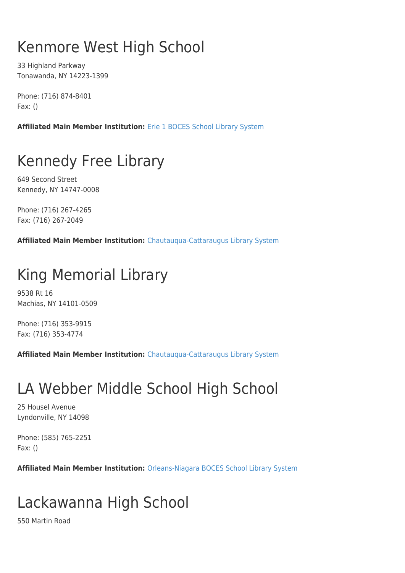# Kenmore West High School

33 Highland Parkway Tonawanda, NY 14223-1399

Phone: (716) 874-8401 Fax: ()

**Affiliated Main Member Institution:** [Erie 1 BOCES School Library System](http://www.wnylrc.org/membership/member/28)

# Kennedy Free Library

649 Second Street Kennedy, NY 14747-0008

Phone: (716) 267-4265 Fax: (716) 267-2049

**Affiliated Main Member Institution:** [Chautauqua-Cattaraugus Library System](http://www.wnylrc.org/membership/member/20)

# King Memorial Library

9538 Rt 16 Machias, NY 14101-0509

Phone: (716) 353-9915 Fax: (716) 353-4774

**Affiliated Main Member Institution:** [Chautauqua-Cattaraugus Library System](http://www.wnylrc.org/membership/member/20)

# LA Webber Middle School High School

25 Housel Avenue Lyndonville, NY 14098

Phone: (585) 765-2251 Fax: ()

**Affiliated Main Member Institution:** [Orleans-Niagara BOCES School Library System](http://www.wnylrc.org/membership/member/62)

## Lackawanna High School

550 Martin Road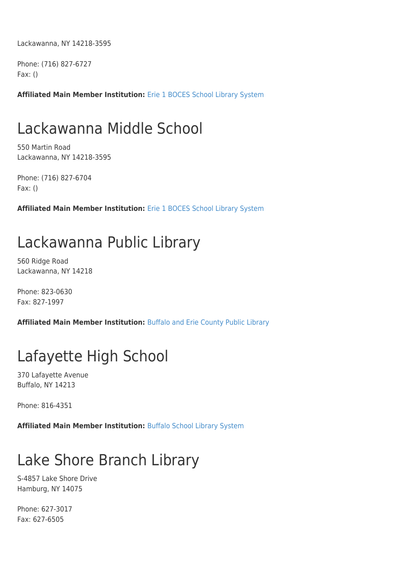Lackawanna, NY 14218-3595

Phone: (716) 827-6727 Fax: ()

**Affiliated Main Member Institution:** [Erie 1 BOCES School Library System](http://www.wnylrc.org/membership/member/28)

#### Lackawanna Middle School

550 Martin Road Lackawanna, NY 14218-3595

Phone: (716) 827-6704 Fax: ()

**Affiliated Main Member Institution:** [Erie 1 BOCES School Library System](http://www.wnylrc.org/membership/member/28)

#### Lackawanna Public Library

560 Ridge Road Lackawanna, NY 14218

Phone: 823-0630 Fax: 827-1997

**Affiliated Main Member Institution:** [Buffalo and Erie County Public Library](http://www.wnylrc.org/membership/member/6)

### Lafayette High School

370 Lafayette Avenue Buffalo, NY 14213

Phone: 816-4351

**Affiliated Main Member Institution:** [Buffalo School Library System](http://www.wnylrc.org/membership/member/12)

#### Lake Shore Branch Library

S-4857 Lake Shore Drive Hamburg, NY 14075

Phone: 627-3017 Fax: 627-6505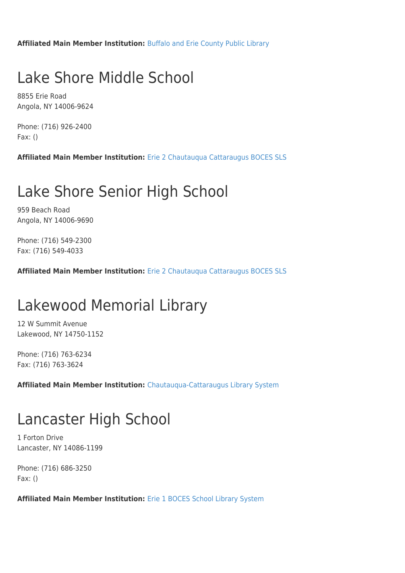**Affiliated Main Member Institution:** [Buffalo and Erie County Public Library](http://www.wnylrc.org/membership/member/6)

#### Lake Shore Middle School

8855 Erie Road Angola, NY 14006-9624

Phone: (716) 926-2400 Fax: ()

**Affiliated Main Member Institution:** [Erie 2 Chautauqua Cattaraugus BOCES SLS](http://www.wnylrc.org/membership/member/29)

## Lake Shore Senior High School

959 Beach Road Angola, NY 14006-9690

Phone: (716) 549-2300 Fax: (716) 549-4033

**Affiliated Main Member Institution:** [Erie 2 Chautauqua Cattaraugus BOCES SLS](http://www.wnylrc.org/membership/member/29)

### Lakewood Memorial Library

12 W Summit Avenue Lakewood, NY 14750-1152

Phone: (716) 763-6234 Fax: (716) 763-3624

**Affiliated Main Member Institution:** [Chautauqua-Cattaraugus Library System](http://www.wnylrc.org/membership/member/20)

## Lancaster High School

1 Forton Drive Lancaster, NY 14086-1199

Phone: (716) 686-3250 Fax: ()

**Affiliated Main Member Institution:** [Erie 1 BOCES School Library System](http://www.wnylrc.org/membership/member/28)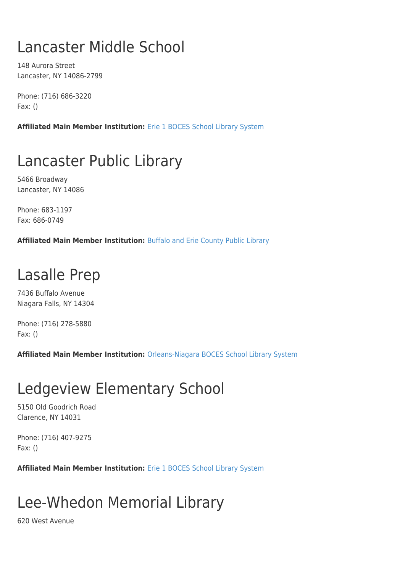# Lancaster Middle School

148 Aurora Street Lancaster, NY 14086-2799

Phone: (716) 686-3220 Fax: ()

**Affiliated Main Member Institution:** [Erie 1 BOCES School Library System](http://www.wnylrc.org/membership/member/28)

## Lancaster Public Library

5466 Broadway Lancaster, NY 14086

Phone: 683-1197 Fax: 686-0749

**Affiliated Main Member Institution:** [Buffalo and Erie County Public Library](http://www.wnylrc.org/membership/member/6)

## Lasalle Prep

7436 Buffalo Avenue Niagara Falls, NY 14304

Phone: (716) 278-5880 Fax: ()

**Affiliated Main Member Institution:** [Orleans-Niagara BOCES School Library System](http://www.wnylrc.org/membership/member/62)

### Ledgeview Elementary School

5150 Old Goodrich Road Clarence, NY 14031

Phone: (716) 407-9275 Fax: ()

**Affiliated Main Member Institution:** [Erie 1 BOCES School Library System](http://www.wnylrc.org/membership/member/28)

# Lee-Whedon Memorial Library

620 West Avenue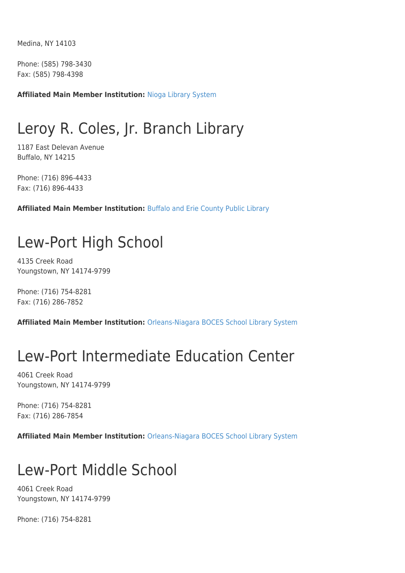Medina, NY 14103

Phone: (585) 798-3430 Fax: (585) 798-4398

**Affiliated Main Member Institution:** [Nioga Library System](http://www.wnylrc.org/membership/member/59)

### Leroy R. Coles, Jr. Branch Library

1187 East Delevan Avenue Buffalo, NY 14215

Phone: (716) 896-4433 Fax: (716) 896-4433

**Affiliated Main Member Institution:** [Buffalo and Erie County Public Library](http://www.wnylrc.org/membership/member/6)

#### Lew-Port High School

4135 Creek Road Youngstown, NY 14174-9799

Phone: (716) 754-8281 Fax: (716) 286-7852

**Affiliated Main Member Institution:** [Orleans-Niagara BOCES School Library System](http://www.wnylrc.org/membership/member/62)

### Lew-Port Intermediate Education Center

4061 Creek Road Youngstown, NY 14174-9799

Phone: (716) 754-8281 Fax: (716) 286-7854

**Affiliated Main Member Institution:** [Orleans-Niagara BOCES School Library System](http://www.wnylrc.org/membership/member/62)

### Lew-Port Middle School

4061 Creek Road Youngstown, NY 14174-9799

Phone: (716) 754-8281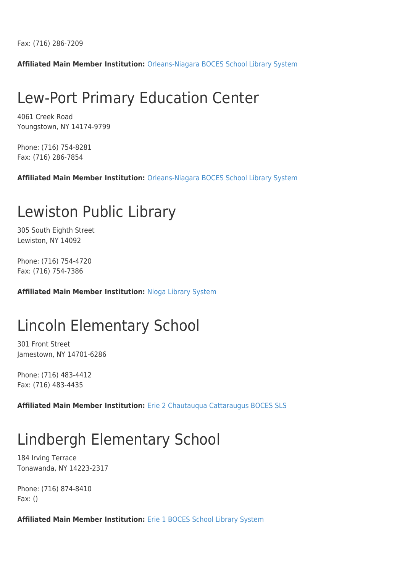Fax: (716) 286-7209

**Affiliated Main Member Institution:** [Orleans-Niagara BOCES School Library System](http://www.wnylrc.org/membership/member/62)

### Lew-Port Primary Education Center

4061 Creek Road Youngstown, NY 14174-9799

Phone: (716) 754-8281 Fax: (716) 286-7854

**Affiliated Main Member Institution:** [Orleans-Niagara BOCES School Library System](http://www.wnylrc.org/membership/member/62)

#### Lewiston Public Library

305 South Eighth Street Lewiston, NY 14092

Phone: (716) 754-4720 Fax: (716) 754-7386

**Affiliated Main Member Institution:** [Nioga Library System](http://www.wnylrc.org/membership/member/59)

### Lincoln Elementary School

301 Front Street Jamestown, NY 14701-6286

Phone: (716) 483-4412 Fax: (716) 483-4435

**Affiliated Main Member Institution:** [Erie 2 Chautauqua Cattaraugus BOCES SLS](http://www.wnylrc.org/membership/member/29)

## Lindbergh Elementary School

184 Irving Terrace Tonawanda, NY 14223-2317

Phone: (716) 874-8410 Fax: ()

**Affiliated Main Member Institution:** [Erie 1 BOCES School Library System](http://www.wnylrc.org/membership/member/28)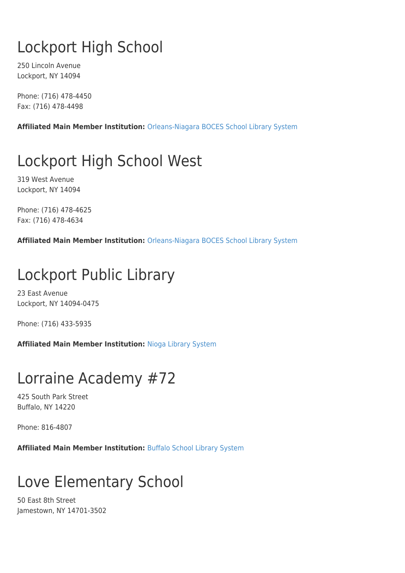# Lockport High School

250 Lincoln Avenue Lockport, NY 14094

Phone: (716) 478-4450 Fax: (716) 478-4498

**Affiliated Main Member Institution:** [Orleans-Niagara BOCES School Library System](http://www.wnylrc.org/membership/member/62)

# Lockport High School West

319 West Avenue Lockport, NY 14094

Phone: (716) 478-4625 Fax: (716) 478-4634

**Affiliated Main Member Institution:** [Orleans-Niagara BOCES School Library System](http://www.wnylrc.org/membership/member/62)

## Lockport Public Library

23 East Avenue Lockport, NY 14094-0475

Phone: (716) 433-5935

**Affiliated Main Member Institution:** [Nioga Library System](http://www.wnylrc.org/membership/member/59)

### Lorraine Academy #72

425 South Park Street Buffalo, NY 14220

Phone: 816-4807

**Affiliated Main Member Institution:** [Buffalo School Library System](http://www.wnylrc.org/membership/member/12)

## Love Elementary School

50 East 8th Street Jamestown, NY 14701-3502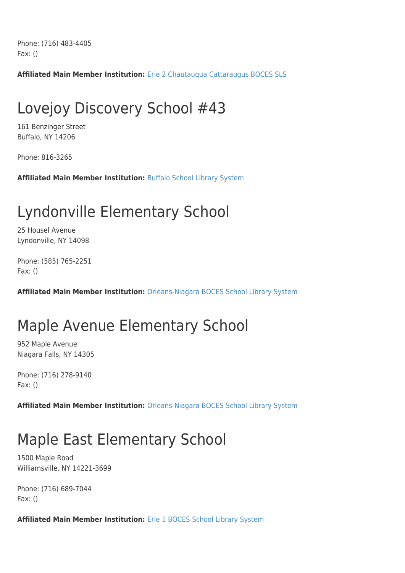Phone: (716) 483-4405 Fax: ()

**Affiliated Main Member Institution:** [Erie 2 Chautauqua Cattaraugus BOCES SLS](http://www.wnylrc.org/membership/member/29)

# Lovejoy Discovery School #43

161 Benzinger Street Buffalo, NY 14206

Phone: 816-3265

**Affiliated Main Member Institution:** [Buffalo School Library System](http://www.wnylrc.org/membership/member/12)

### Lyndonville Elementary School

25 Housel Avenue Lyndonville, NY 14098

Phone: (585) 765-2251 Fax: ()

**Affiliated Main Member Institution:** [Orleans-Niagara BOCES School Library System](http://www.wnylrc.org/membership/member/62)

## Maple Avenue Elementary School

952 Maple Avenue Niagara Falls, NY 14305

Phone: (716) 278-9140 Fax: ()

**Affiliated Main Member Institution:** [Orleans-Niagara BOCES School Library System](http://www.wnylrc.org/membership/member/62)

# Maple East Elementary School

1500 Maple Road Williamsville, NY 14221-3699

Phone: (716) 689-7044 Fax: ()

**Affiliated Main Member Institution:** [Erie 1 BOCES School Library System](http://www.wnylrc.org/membership/member/28)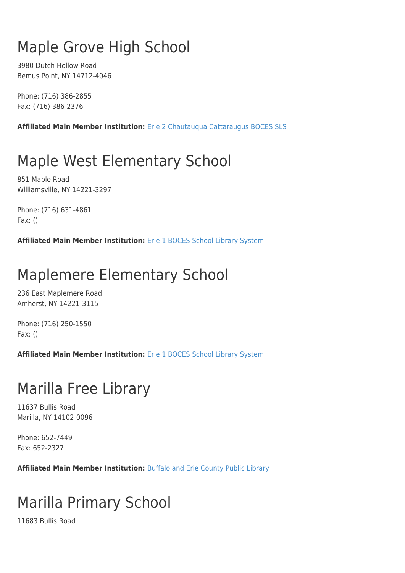# Maple Grove High School

3980 Dutch Hollow Road Bemus Point, NY 14712-4046

Phone: (716) 386-2855 Fax: (716) 386-2376

**Affiliated Main Member Institution:** [Erie 2 Chautauqua Cattaraugus BOCES SLS](http://www.wnylrc.org/membership/member/29)

# Maple West Elementary School

851 Maple Road Williamsville, NY 14221-3297

Phone: (716) 631-4861 Fax: ()

**Affiliated Main Member Institution:** [Erie 1 BOCES School Library System](http://www.wnylrc.org/membership/member/28)

# Maplemere Elementary School

236 East Maplemere Road Amherst, NY 14221-3115

Phone: (716) 250-1550 Fax: ()

**Affiliated Main Member Institution:** [Erie 1 BOCES School Library System](http://www.wnylrc.org/membership/member/28)

### Marilla Free Library

11637 Bullis Road Marilla, NY 14102-0096

Phone: 652-7449 Fax: 652-2327

**Affiliated Main Member Institution:** [Buffalo and Erie County Public Library](http://www.wnylrc.org/membership/member/6)

# Marilla Primary School

11683 Bullis Road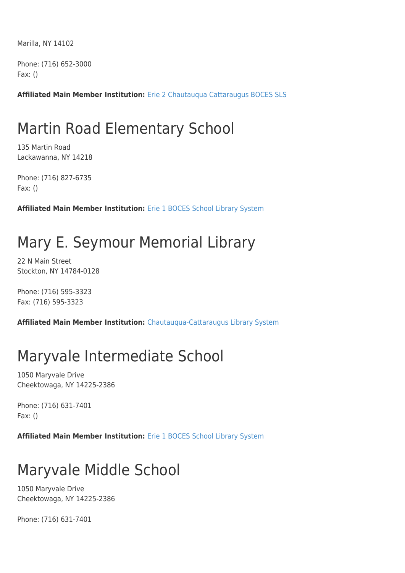Marilla, NY 14102

Phone: (716) 652-3000 Fax: ()

**Affiliated Main Member Institution:** [Erie 2 Chautauqua Cattaraugus BOCES SLS](http://www.wnylrc.org/membership/member/29)

#### Martin Road Elementary School

135 Martin Road Lackawanna, NY 14218

Phone: (716) 827-6735 Fax: ()

**Affiliated Main Member Institution:** [Erie 1 BOCES School Library System](http://www.wnylrc.org/membership/member/28)

#### Mary E. Seymour Memorial Library

22 N Main Street Stockton, NY 14784-0128

Phone: (716) 595-3323 Fax: (716) 595-3323

**Affiliated Main Member Institution:** [Chautauqua-Cattaraugus Library System](http://www.wnylrc.org/membership/member/20)

## Maryvale Intermediate School

1050 Maryvale Drive Cheektowaga, NY 14225-2386

Phone: (716) 631-7401 Fax: ()

**Affiliated Main Member Institution:** [Erie 1 BOCES School Library System](http://www.wnylrc.org/membership/member/28)

### Maryvale Middle School

1050 Maryvale Drive Cheektowaga, NY 14225-2386

Phone: (716) 631-7401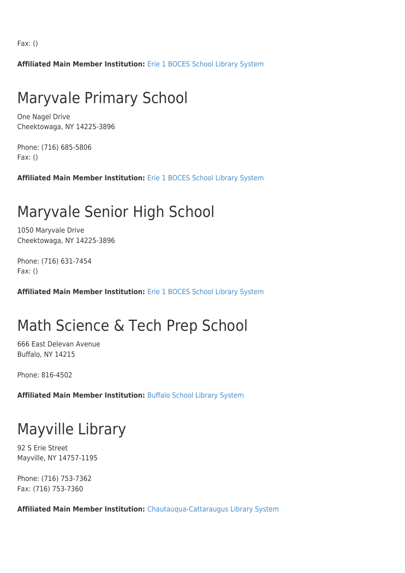Fax: ()

**Affiliated Main Member Institution:** [Erie 1 BOCES School Library System](http://www.wnylrc.org/membership/member/28)

### Maryvale Primary School

One Nagel Drive Cheektowaga, NY 14225-3896

Phone: (716) 685-5806 Fax: ()

**Affiliated Main Member Institution:** [Erie 1 BOCES School Library System](http://www.wnylrc.org/membership/member/28)

#### Maryvale Senior High School

1050 Maryvale Drive Cheektowaga, NY 14225-3896

Phone: (716) 631-7454 Fax: ()

**Affiliated Main Member Institution:** [Erie 1 BOCES School Library System](http://www.wnylrc.org/membership/member/28)

## Math Science & Tech Prep School

666 East Delevan Avenue Buffalo, NY 14215

Phone: 816-4502

**Affiliated Main Member Institution:** [Buffalo School Library System](http://www.wnylrc.org/membership/member/12)

## Mayville Library

92 S Erie Street Mayville, NY 14757-1195

Phone: (716) 753-7362 Fax: (716) 753-7360

**Affiliated Main Member Institution:** [Chautauqua-Cattaraugus Library System](http://www.wnylrc.org/membership/member/20)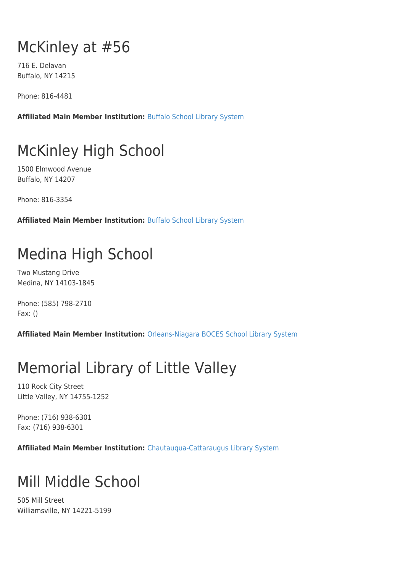# McKinley at #56

716 E. Delavan Buffalo, NY 14215

Phone: 816-4481

**Affiliated Main Member Institution:** [Buffalo School Library System](http://www.wnylrc.org/membership/member/12)

## McKinley High School

1500 Elmwood Avenue Buffalo, NY 14207

Phone: 816-3354

**Affiliated Main Member Institution:** [Buffalo School Library System](http://www.wnylrc.org/membership/member/12)

## Medina High School

Two Mustang Drive Medina, NY 14103-1845

Phone: (585) 798-2710 Fax: ()

**Affiliated Main Member Institution:** [Orleans-Niagara BOCES School Library System](http://www.wnylrc.org/membership/member/62)

## Memorial Library of Little Valley

110 Rock City Street Little Valley, NY 14755-1252

Phone: (716) 938-6301 Fax: (716) 938-6301

**Affiliated Main Member Institution:** [Chautauqua-Cattaraugus Library System](http://www.wnylrc.org/membership/member/20)

### Mill Middle School

505 Mill Street Williamsville, NY 14221-5199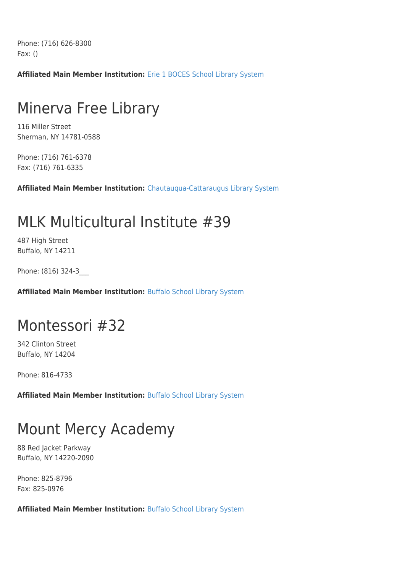Phone: (716) 626-8300 Fax: ()

**Affiliated Main Member Institution:** [Erie 1 BOCES School Library System](http://www.wnylrc.org/membership/member/28)

### Minerva Free Library

116 Miller Street Sherman, NY 14781-0588

Phone: (716) 761-6378 Fax: (716) 761-6335

**Affiliated Main Member Institution:** [Chautauqua-Cattaraugus Library System](http://www.wnylrc.org/membership/member/20)

### MLK Multicultural Institute #39

487 High Street Buffalo, NY 14211

Phone: (816) 324-3\_\_\_

**Affiliated Main Member Institution:** [Buffalo School Library System](http://www.wnylrc.org/membership/member/12)

#### Montessori #32

342 Clinton Street Buffalo, NY 14204

Phone: 816-4733

**Affiliated Main Member Institution:** [Buffalo School Library System](http://www.wnylrc.org/membership/member/12)

# Mount Mercy Academy

88 Red Jacket Parkway Buffalo, NY 14220-2090

Phone: 825-8796 Fax: 825-0976

**Affiliated Main Member Institution:** [Buffalo School Library System](http://www.wnylrc.org/membership/member/12)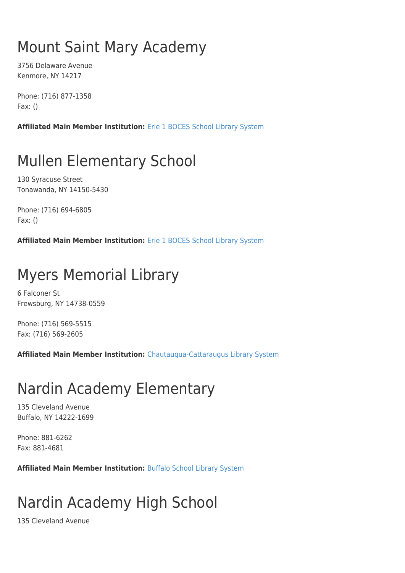# Mount Saint Mary Academy

3756 Delaware Avenue Kenmore, NY 14217

Phone: (716) 877-1358 Fax: ()

**Affiliated Main Member Institution:** [Erie 1 BOCES School Library System](http://www.wnylrc.org/membership/member/28)

# Mullen Elementary School

130 Syracuse Street Tonawanda, NY 14150-5430

Phone: (716) 694-6805 Fax: ()

**Affiliated Main Member Institution:** [Erie 1 BOCES School Library System](http://www.wnylrc.org/membership/member/28)

# Myers Memorial Library

6 Falconer St Frewsburg, NY 14738-0559

Phone: (716) 569-5515 Fax: (716) 569-2605

**Affiliated Main Member Institution:** [Chautauqua-Cattaraugus Library System](http://www.wnylrc.org/membership/member/20)

# Nardin Academy Elementary

135 Cleveland Avenue Buffalo, NY 14222-1699

Phone: 881-6262 Fax: 881-4681

**Affiliated Main Member Institution:** [Buffalo School Library System](http://www.wnylrc.org/membership/member/12)

# Nardin Academy High School

135 Cleveland Avenue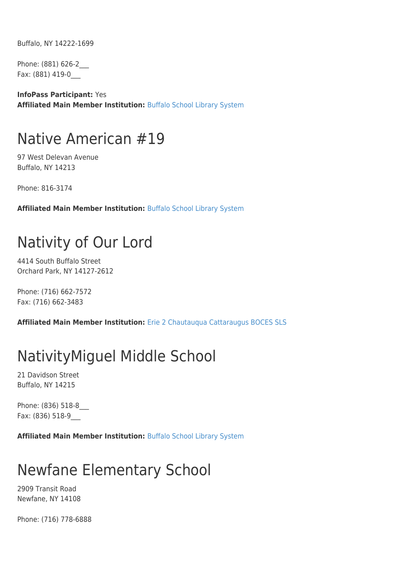Buffalo, NY 14222-1699

Phone: (881) 626-2\_\_\_ Fax: (881) 419-0\_\_\_

**InfoPass Participant:** Yes **Affiliated Main Member Institution:** [Buffalo School Library System](http://www.wnylrc.org/membership/member/12)

#### Native American #19

97 West Delevan Avenue Buffalo, NY 14213

Phone: 816-3174

**Affiliated Main Member Institution:** [Buffalo School Library System](http://www.wnylrc.org/membership/member/12)

#### Nativity of Our Lord

4414 South Buffalo Street Orchard Park, NY 14127-2612

Phone: (716) 662-7572 Fax: (716) 662-3483

**Affiliated Main Member Institution:** [Erie 2 Chautauqua Cattaraugus BOCES SLS](http://www.wnylrc.org/membership/member/29)

### NativityMiguel Middle School

21 Davidson Street Buffalo, NY 14215

Phone: (836) 518-8\_\_\_ Fax: (836) 518-9\_\_\_

**Affiliated Main Member Institution:** [Buffalo School Library System](http://www.wnylrc.org/membership/member/12)

### Newfane Elementary School

2909 Transit Road Newfane, NY 14108

Phone: (716) 778-6888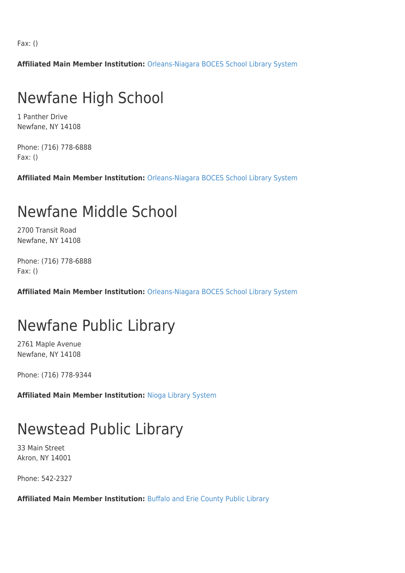Fax: ()

**Affiliated Main Member Institution:** [Orleans-Niagara BOCES School Library System](http://www.wnylrc.org/membership/member/62)

### Newfane High School

1 Panther Drive Newfane, NY 14108

Phone: (716) 778-6888 Fax: ()

**Affiliated Main Member Institution:** [Orleans-Niagara BOCES School Library System](http://www.wnylrc.org/membership/member/62)

#### Newfane Middle School

2700 Transit Road Newfane, NY 14108

Phone: (716) 778-6888 Fax: ()

**Affiliated Main Member Institution:** [Orleans-Niagara BOCES School Library System](http://www.wnylrc.org/membership/member/62)

#### Newfane Public Library

2761 Maple Avenue Newfane, NY 14108

Phone: (716) 778-9344

**Affiliated Main Member Institution:** [Nioga Library System](http://www.wnylrc.org/membership/member/59)

### Newstead Public Library

33 Main Street Akron, NY 14001

Phone: 542-2327

**Affiliated Main Member Institution:** [Buffalo and Erie County Public Library](http://www.wnylrc.org/membership/member/6)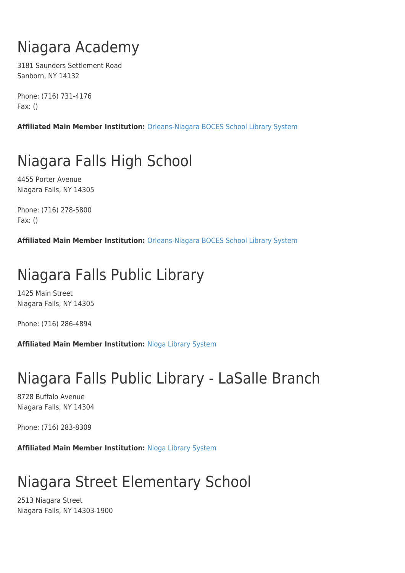# Niagara Academy

3181 Saunders Settlement Road Sanborn, NY 14132

Phone: (716) 731-4176 Fax: ()

**Affiliated Main Member Institution:** [Orleans-Niagara BOCES School Library System](http://www.wnylrc.org/membership/member/62)

# Niagara Falls High School

4455 Porter Avenue Niagara Falls, NY 14305

Phone: (716) 278-5800 Fax: ()

**Affiliated Main Member Institution:** [Orleans-Niagara BOCES School Library System](http://www.wnylrc.org/membership/member/62)

# Niagara Falls Public Library

1425 Main Street Niagara Falls, NY 14305

Phone: (716) 286-4894

**Affiliated Main Member Institution:** [Nioga Library System](http://www.wnylrc.org/membership/member/59)

# Niagara Falls Public Library - LaSalle Branch

8728 Buffalo Avenue Niagara Falls, NY 14304

Phone: (716) 283-8309

**Affiliated Main Member Institution:** [Nioga Library System](http://www.wnylrc.org/membership/member/59)

# Niagara Street Elementary School

2513 Niagara Street Niagara Falls, NY 14303-1900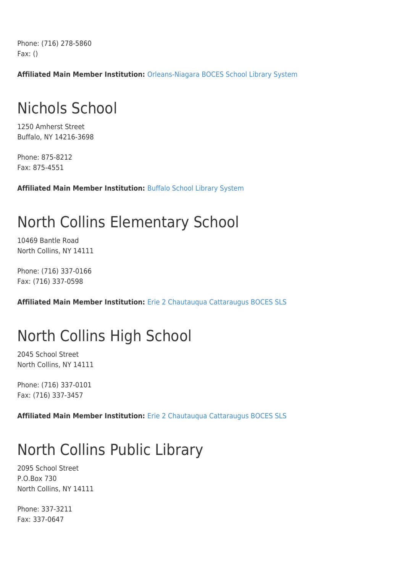Phone: (716) 278-5860 Fax: ()

**Affiliated Main Member Institution:** [Orleans-Niagara BOCES School Library System](http://www.wnylrc.org/membership/member/62)

### Nichols School

1250 Amherst Street Buffalo, NY 14216-3698

Phone: 875-8212 Fax: 875-4551

**Affiliated Main Member Institution:** [Buffalo School Library System](http://www.wnylrc.org/membership/member/12)

#### North Collins Elementary School

10469 Bantle Road North Collins, NY 14111

Phone: (716) 337-0166 Fax: (716) 337-0598

**Affiliated Main Member Institution:** [Erie 2 Chautauqua Cattaraugus BOCES SLS](http://www.wnylrc.org/membership/member/29)

# North Collins High School

2045 School Street North Collins, NY 14111

Phone: (716) 337-0101 Fax: (716) 337-3457

**Affiliated Main Member Institution:** [Erie 2 Chautauqua Cattaraugus BOCES SLS](http://www.wnylrc.org/membership/member/29)

# North Collins Public Library

2095 School Street P.O.Box 730 North Collins, NY 14111

Phone: 337-3211 Fax: 337-0647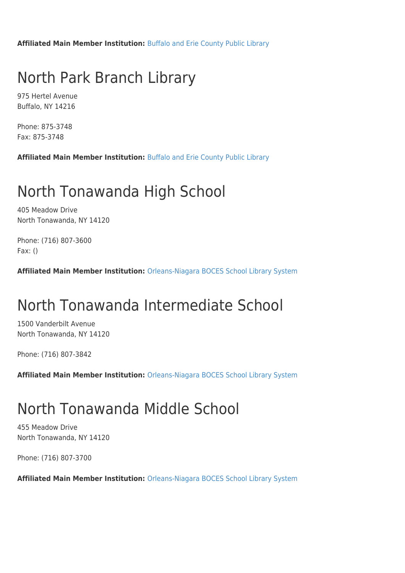**Affiliated Main Member Institution:** [Buffalo and Erie County Public Library](http://www.wnylrc.org/membership/member/6)

### North Park Branch Library

975 Hertel Avenue Buffalo, NY 14216

Phone: 875-3748 Fax: 875-3748

**Affiliated Main Member Institution:** [Buffalo and Erie County Public Library](http://www.wnylrc.org/membership/member/6)

# North Tonawanda High School

405 Meadow Drive North Tonawanda, NY 14120

Phone: (716) 807-3600 Fax: ()

**Affiliated Main Member Institution:** [Orleans-Niagara BOCES School Library System](http://www.wnylrc.org/membership/member/62)

### North Tonawanda Intermediate School

1500 Vanderbilt Avenue North Tonawanda, NY 14120

Phone: (716) 807-3842

**Affiliated Main Member Institution:** [Orleans-Niagara BOCES School Library System](http://www.wnylrc.org/membership/member/62)

#### North Tonawanda Middle School

455 Meadow Drive North Tonawanda, NY 14120

Phone: (716) 807-3700

**Affiliated Main Member Institution:** [Orleans-Niagara BOCES School Library System](http://www.wnylrc.org/membership/member/62)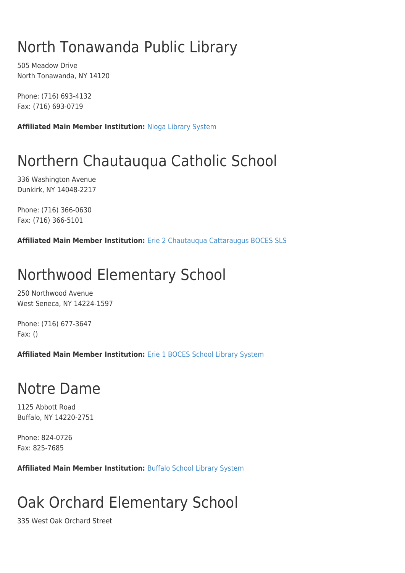# North Tonawanda Public Library

505 Meadow Drive North Tonawanda, NY 14120

Phone: (716) 693-4132 Fax: (716) 693-0719

**Affiliated Main Member Institution:** [Nioga Library System](http://www.wnylrc.org/membership/member/59)

# Northern Chautauqua Catholic School

336 Washington Avenue Dunkirk, NY 14048-2217

Phone: (716) 366-0630 Fax: (716) 366-5101

**Affiliated Main Member Institution:** [Erie 2 Chautauqua Cattaraugus BOCES SLS](http://www.wnylrc.org/membership/member/29)

# Northwood Elementary School

250 Northwood Avenue West Seneca, NY 14224-1597

Phone: (716) 677-3647 Fax: ()

**Affiliated Main Member Institution:** [Erie 1 BOCES School Library System](http://www.wnylrc.org/membership/member/28)

### Notre Dame

1125 Abbott Road Buffalo, NY 14220-2751

Phone: 824-0726 Fax: 825-7685

**Affiliated Main Member Institution:** [Buffalo School Library System](http://www.wnylrc.org/membership/member/12)

# Oak Orchard Elementary School

335 West Oak Orchard Street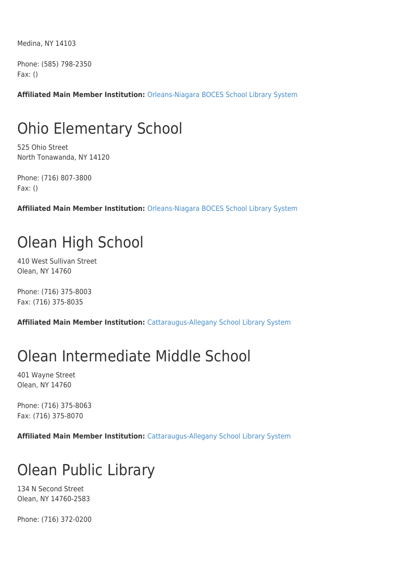Medina, NY 14103

Phone: (585) 798-2350 Fax: ()

**Affiliated Main Member Institution:** [Orleans-Niagara BOCES School Library System](http://www.wnylrc.org/membership/member/62)

# Ohio Elementary School

525 Ohio Street North Tonawanda, NY 14120

Phone: (716) 807-3800 Fax: ()

**Affiliated Main Member Institution:** [Orleans-Niagara BOCES School Library System](http://www.wnylrc.org/membership/member/62)

# Olean High School

410 West Sullivan Street Olean, NY 14760

Phone: (716) 375-8003 Fax: (716) 375-8035

**Affiliated Main Member Institution:** [Cattaraugus-Allegany School Library System](http://www.wnylrc.org/membership/member/17)

### Olean Intermediate Middle School

401 Wayne Street Olean, NY 14760

Phone: (716) 375-8063 Fax: (716) 375-8070

**Affiliated Main Member Institution:** [Cattaraugus-Allegany School Library System](http://www.wnylrc.org/membership/member/17)

# Olean Public Library

134 N Second Street Olean, NY 14760-2583

Phone: (716) 372-0200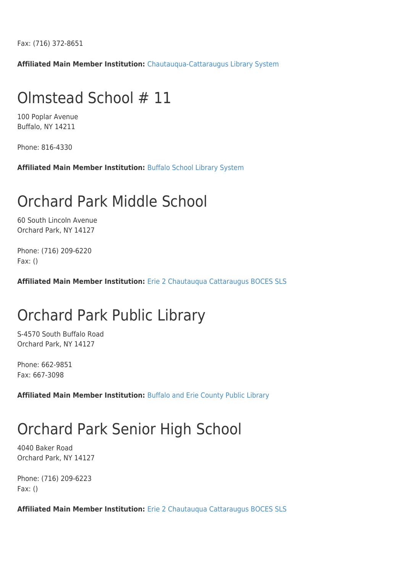Fax: (716) 372-8651

**Affiliated Main Member Institution:** [Chautauqua-Cattaraugus Library System](http://www.wnylrc.org/membership/member/20)

#### Olmstead School # 11

100 Poplar Avenue Buffalo, NY 14211

Phone: 816-4330

**Affiliated Main Member Institution:** [Buffalo School Library System](http://www.wnylrc.org/membership/member/12)

#### Orchard Park Middle School

60 South Lincoln Avenue Orchard Park, NY 14127

Phone: (716) 209-6220 Fax: ()

**Affiliated Main Member Institution:** [Erie 2 Chautauqua Cattaraugus BOCES SLS](http://www.wnylrc.org/membership/member/29)

#### Orchard Park Public Library

S-4570 South Buffalo Road Orchard Park, NY 14127

Phone: 662-9851 Fax: 667-3098

**Affiliated Main Member Institution:** [Buffalo and Erie County Public Library](http://www.wnylrc.org/membership/member/6)

# Orchard Park Senior High School

4040 Baker Road Orchard Park, NY 14127

Phone: (716) 209-6223 Fax: ()

**Affiliated Main Member Institution:** [Erie 2 Chautauqua Cattaraugus BOCES SLS](http://www.wnylrc.org/membership/member/29)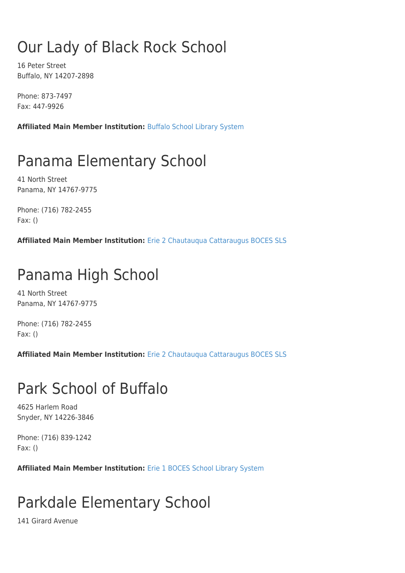# Our Lady of Black Rock School

16 Peter Street Buffalo, NY 14207-2898

Phone: 873-7497 Fax: 447-9926

**Affiliated Main Member Institution:** [Buffalo School Library System](http://www.wnylrc.org/membership/member/12)

# Panama Elementary School

41 North Street Panama, NY 14767-9775

Phone: (716) 782-2455 Fax: ()

**Affiliated Main Member Institution:** [Erie 2 Chautauqua Cattaraugus BOCES SLS](http://www.wnylrc.org/membership/member/29)

# Panama High School

41 North Street Panama, NY 14767-9775

Phone: (716) 782-2455 Fax: ()

**Affiliated Main Member Institution:** [Erie 2 Chautauqua Cattaraugus BOCES SLS](http://www.wnylrc.org/membership/member/29)

# Park School of Buffalo

4625 Harlem Road Snyder, NY 14226-3846

Phone: (716) 839-1242 Fax: ()

**Affiliated Main Member Institution:** [Erie 1 BOCES School Library System](http://www.wnylrc.org/membership/member/28)

# Parkdale Elementary School

141 Girard Avenue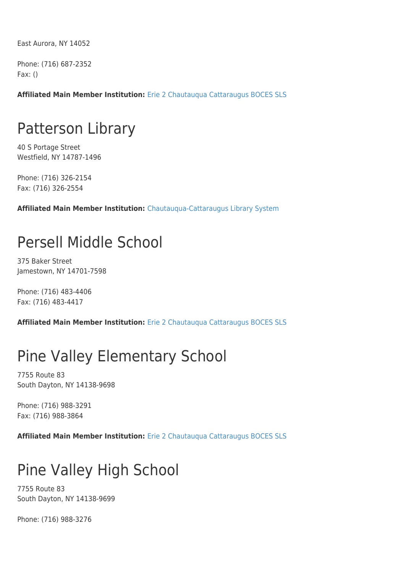East Aurora, NY 14052

Phone: (716) 687-2352 Fax: ()

**Affiliated Main Member Institution:** [Erie 2 Chautauqua Cattaraugus BOCES SLS](http://www.wnylrc.org/membership/member/29)

#### Patterson Library

40 S Portage Street Westfield, NY 14787-1496

Phone: (716) 326-2154 Fax: (716) 326-2554

**Affiliated Main Member Institution:** [Chautauqua-Cattaraugus Library System](http://www.wnylrc.org/membership/member/20)

### Persell Middle School

375 Baker Street Jamestown, NY 14701-7598

Phone: (716) 483-4406 Fax: (716) 483-4417

**Affiliated Main Member Institution:** [Erie 2 Chautauqua Cattaraugus BOCES SLS](http://www.wnylrc.org/membership/member/29)

# Pine Valley Elementary School

7755 Route 83 South Dayton, NY 14138-9698

Phone: (716) 988-3291 Fax: (716) 988-3864

**Affiliated Main Member Institution:** [Erie 2 Chautauqua Cattaraugus BOCES SLS](http://www.wnylrc.org/membership/member/29)

# Pine Valley High School

7755 Route 83 South Dayton, NY 14138-9699

Phone: (716) 988-3276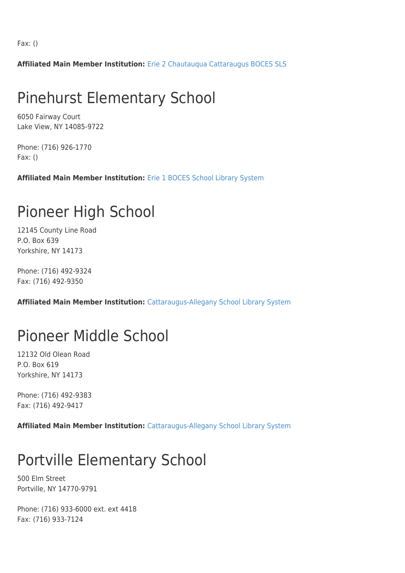Fax: ()

**Affiliated Main Member Institution:** [Erie 2 Chautauqua Cattaraugus BOCES SLS](http://www.wnylrc.org/membership/member/29)

### Pinehurst Elementary School

6050 Fairway Court Lake View, NY 14085-9722

Phone: (716) 926-1770 Fax: ()

**Affiliated Main Member Institution:** [Erie 1 BOCES School Library System](http://www.wnylrc.org/membership/member/28)

#### Pioneer High School

12145 County Line Road P.O. Box 639 Yorkshire, NY 14173

Phone: (716) 492-9324 Fax: (716) 492-9350

**Affiliated Main Member Institution:** [Cattaraugus-Allegany School Library System](http://www.wnylrc.org/membership/member/17)

# Pioneer Middle School

12132 Old Olean Road P.O. Box 619 Yorkshire, NY 14173

Phone: (716) 492-9383 Fax: (716) 492-9417

**Affiliated Main Member Institution:** [Cattaraugus-Allegany School Library System](http://www.wnylrc.org/membership/member/17)

### Portville Elementary School

500 Elm Street Portville, NY 14770-9791

Phone: (716) 933-6000 ext. ext 4418 Fax: (716) 933-7124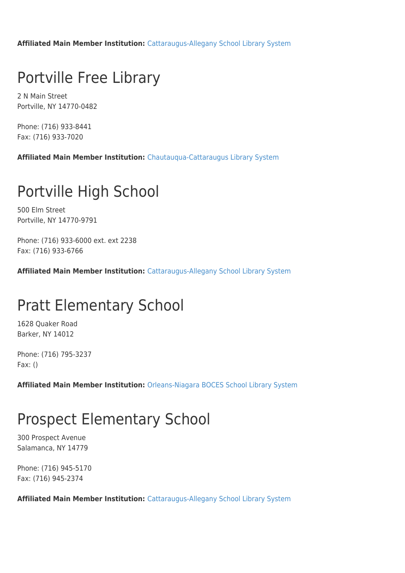**Affiliated Main Member Institution:** [Cattaraugus-Allegany School Library System](http://www.wnylrc.org/membership/member/17)

### Portville Free Library

2 N Main Street Portville, NY 14770-0482

Phone: (716) 933-8441 Fax: (716) 933-7020

**Affiliated Main Member Institution:** [Chautauqua-Cattaraugus Library System](http://www.wnylrc.org/membership/member/20)

#### Portville High School

500 Elm Street Portville, NY 14770-9791

Phone: (716) 933-6000 ext. ext 2238 Fax: (716) 933-6766

**Affiliated Main Member Institution:** [Cattaraugus-Allegany School Library System](http://www.wnylrc.org/membership/member/17)

#### Pratt Elementary School

1628 Quaker Road Barker, NY 14012

Phone: (716) 795-3237 Fax: ()

**Affiliated Main Member Institution:** [Orleans-Niagara BOCES School Library System](http://www.wnylrc.org/membership/member/62)

#### Prospect Elementary School

300 Prospect Avenue Salamanca, NY 14779

Phone: (716) 945-5170 Fax: (716) 945-2374

**Affiliated Main Member Institution:** [Cattaraugus-Allegany School Library System](http://www.wnylrc.org/membership/member/17)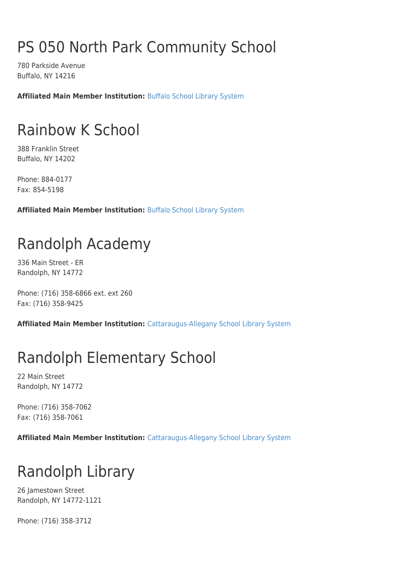# PS 050 North Park Community School

780 Parkside Avenue Buffalo, NY 14216

**Affiliated Main Member Institution:** [Buffalo School Library System](http://www.wnylrc.org/membership/member/12)

# Rainbow K School

388 Franklin Street Buffalo, NY 14202

Phone: 884-0177 Fax: 854-5198

**Affiliated Main Member Institution:** [Buffalo School Library System](http://www.wnylrc.org/membership/member/12)

# Randolph Academy

336 Main Street - ER Randolph, NY 14772

Phone: (716) 358-6866 ext. ext 260 Fax: (716) 358-9425

**Affiliated Main Member Institution:** [Cattaraugus-Allegany School Library System](http://www.wnylrc.org/membership/member/17)

# Randolph Elementary School

22 Main Street Randolph, NY 14772

Phone: (716) 358-7062 Fax: (716) 358-7061

**Affiliated Main Member Institution:** [Cattaraugus-Allegany School Library System](http://www.wnylrc.org/membership/member/17)

# Randolph Library

26 Jamestown Street Randolph, NY 14772-1121

Phone: (716) 358-3712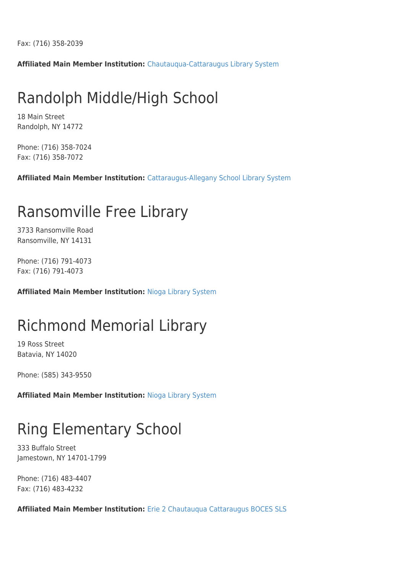Fax: (716) 358-2039

**Affiliated Main Member Institution:** [Chautauqua-Cattaraugus Library System](http://www.wnylrc.org/membership/member/20)

# Randolph Middle/High School

18 Main Street Randolph, NY 14772

Phone: (716) 358-7024 Fax: (716) 358-7072

**Affiliated Main Member Institution:** [Cattaraugus-Allegany School Library System](http://www.wnylrc.org/membership/member/17)

#### Ransomville Free Library

3733 Ransomville Road Ransomville, NY 14131

Phone: (716) 791-4073 Fax: (716) 791-4073

**Affiliated Main Member Institution:** [Nioga Library System](http://www.wnylrc.org/membership/member/59)

### Richmond Memorial Library

19 Ross Street Batavia, NY 14020

Phone: (585) 343-9550

**Affiliated Main Member Institution:** [Nioga Library System](http://www.wnylrc.org/membership/member/59)

# Ring Elementary School

333 Buffalo Street Jamestown, NY 14701-1799

Phone: (716) 483-4407 Fax: (716) 483-4232

**Affiliated Main Member Institution:** [Erie 2 Chautauqua Cattaraugus BOCES SLS](http://www.wnylrc.org/membership/member/29)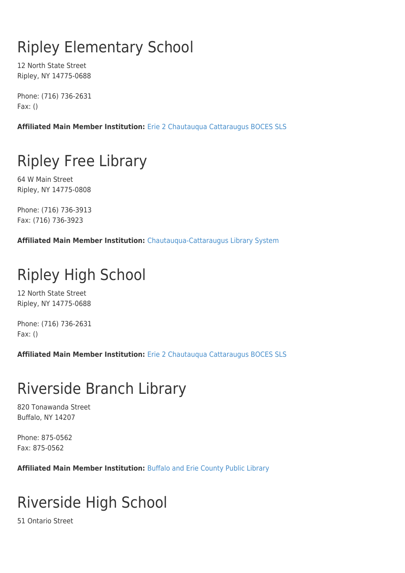# Ripley Elementary School

12 North State Street Ripley, NY 14775-0688

Phone: (716) 736-2631 Fax: ()

**Affiliated Main Member Institution:** [Erie 2 Chautauqua Cattaraugus BOCES SLS](http://www.wnylrc.org/membership/member/29)

# Ripley Free Library

64 W Main Street Ripley, NY 14775-0808

Phone: (716) 736-3913 Fax: (716) 736-3923

**Affiliated Main Member Institution:** [Chautauqua-Cattaraugus Library System](http://www.wnylrc.org/membership/member/20)

# Ripley High School

12 North State Street Ripley, NY 14775-0688

Phone: (716) 736-2631 Fax: ()

**Affiliated Main Member Institution:** [Erie 2 Chautauqua Cattaraugus BOCES SLS](http://www.wnylrc.org/membership/member/29)

# Riverside Branch Library

820 Tonawanda Street Buffalo, NY 14207

Phone: 875-0562 Fax: 875-0562

**Affiliated Main Member Institution:** [Buffalo and Erie County Public Library](http://www.wnylrc.org/membership/member/6)

# Riverside High School

51 Ontario Street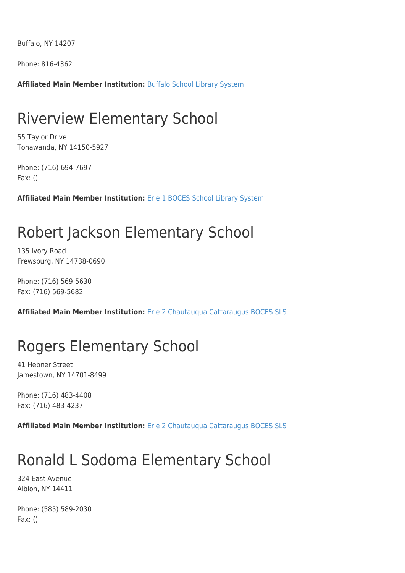Buffalo, NY 14207

Phone: 816-4362

**Affiliated Main Member Institution:** [Buffalo School Library System](http://www.wnylrc.org/membership/member/12)

#### Riverview Elementary School

55 Taylor Drive Tonawanda, NY 14150-5927

Phone: (716) 694-7697 Fax: ()

**Affiliated Main Member Institution:** [Erie 1 BOCES School Library System](http://www.wnylrc.org/membership/member/28)

# Robert Jackson Elementary School

135 Ivory Road Frewsburg, NY 14738-0690

Phone: (716) 569-5630 Fax: (716) 569-5682

**Affiliated Main Member Institution:** [Erie 2 Chautauqua Cattaraugus BOCES SLS](http://www.wnylrc.org/membership/member/29)

#### Rogers Elementary School

41 Hebner Street Jamestown, NY 14701-8499

Phone: (716) 483-4408 Fax: (716) 483-4237

**Affiliated Main Member Institution:** [Erie 2 Chautauqua Cattaraugus BOCES SLS](http://www.wnylrc.org/membership/member/29)

### Ronald L Sodoma Elementary School

324 East Avenue Albion, NY 14411

Phone: (585) 589-2030 Fax: ()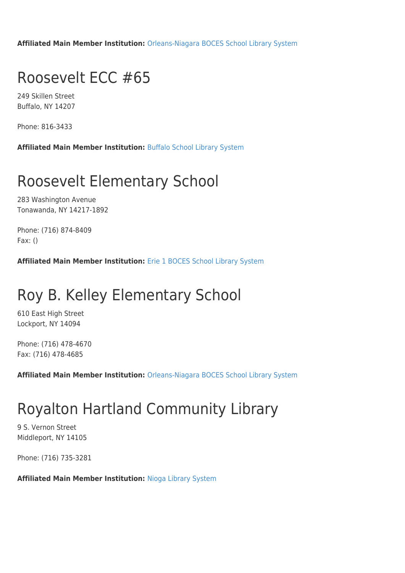**Affiliated Main Member Institution:** [Orleans-Niagara BOCES School Library System](http://www.wnylrc.org/membership/member/62)

### Roosevelt ECC #65

249 Skillen Street Buffalo, NY 14207

Phone: 816-3433

**Affiliated Main Member Institution:** [Buffalo School Library System](http://www.wnylrc.org/membership/member/12)

### Roosevelt Elementary School

283 Washington Avenue Tonawanda, NY 14217-1892

Phone: (716) 874-8409 Fax: ()

**Affiliated Main Member Institution:** [Erie 1 BOCES School Library System](http://www.wnylrc.org/membership/member/28)

# Roy B. Kelley Elementary School

610 East High Street Lockport, NY 14094

Phone: (716) 478-4670 Fax: (716) 478-4685

**Affiliated Main Member Institution:** [Orleans-Niagara BOCES School Library System](http://www.wnylrc.org/membership/member/62)

### Royalton Hartland Community Library

9 S. Vernon Street Middleport, NY 14105

Phone: (716) 735-3281

**Affiliated Main Member Institution:** [Nioga Library System](http://www.wnylrc.org/membership/member/59)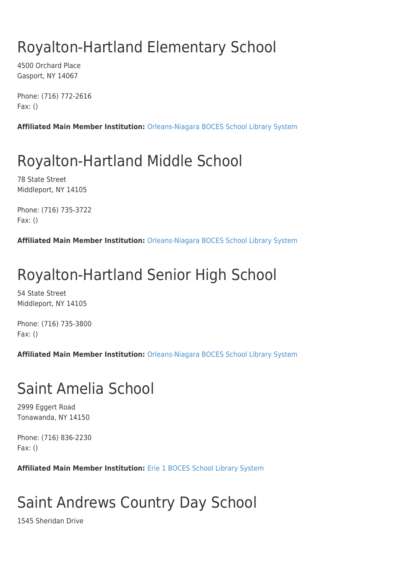# Royalton-Hartland Elementary School

4500 Orchard Place Gasport, NY 14067

Phone: (716) 772-2616 Fax: ()

**Affiliated Main Member Institution:** [Orleans-Niagara BOCES School Library System](http://www.wnylrc.org/membership/member/62)

# Royalton-Hartland Middle School

78 State Street Middleport, NY 14105

Phone: (716) 735-3722 Fax: ()

**Affiliated Main Member Institution:** [Orleans-Niagara BOCES School Library System](http://www.wnylrc.org/membership/member/62)

# Royalton-Hartland Senior High School

54 State Street Middleport, NY 14105

Phone: (716) 735-3800 Fax: ()

**Affiliated Main Member Institution:** [Orleans-Niagara BOCES School Library System](http://www.wnylrc.org/membership/member/62)

# Saint Amelia School

2999 Eggert Road Tonawanda, NY 14150

Phone: (716) 836-2230 Fax: ()

**Affiliated Main Member Institution:** [Erie 1 BOCES School Library System](http://www.wnylrc.org/membership/member/28)

# Saint Andrews Country Day School

1545 Sheridan Drive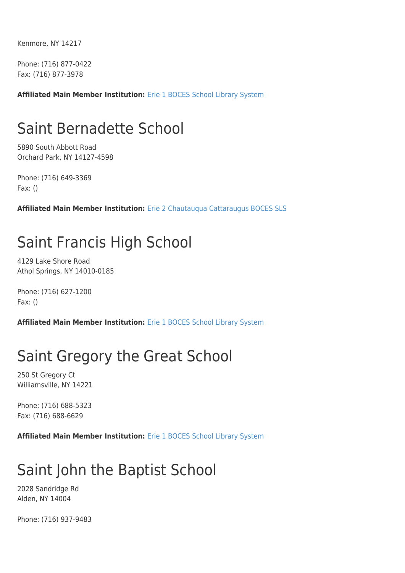Kenmore, NY 14217

Phone: (716) 877-0422 Fax: (716) 877-3978

**Affiliated Main Member Institution:** [Erie 1 BOCES School Library System](http://www.wnylrc.org/membership/member/28)

#### Saint Bernadette School

5890 South Abbott Road Orchard Park, NY 14127-4598

Phone: (716) 649-3369 Fax: ()

**Affiliated Main Member Institution:** [Erie 2 Chautauqua Cattaraugus BOCES SLS](http://www.wnylrc.org/membership/member/29)

#### Saint Francis High School

4129 Lake Shore Road Athol Springs, NY 14010-0185

Phone: (716) 627-1200 Fax: ()

**Affiliated Main Member Institution:** [Erie 1 BOCES School Library System](http://www.wnylrc.org/membership/member/28)

### Saint Gregory the Great School

250 St Gregory Ct Williamsville, NY 14221

Phone: (716) 688-5323 Fax: (716) 688-6629

**Affiliated Main Member Institution:** [Erie 1 BOCES School Library System](http://www.wnylrc.org/membership/member/28)

### Saint John the Baptist School

2028 Sandridge Rd Alden, NY 14004

Phone: (716) 937-9483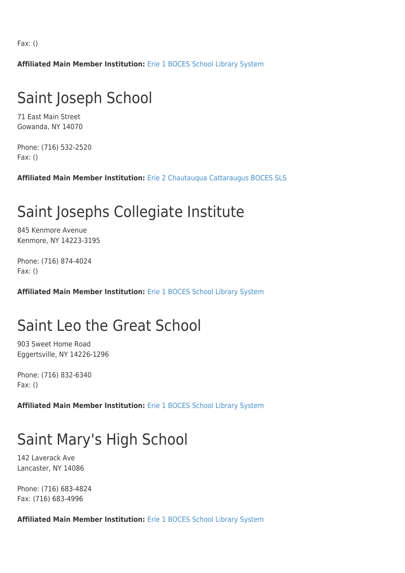Fax: ()

**Affiliated Main Member Institution:** [Erie 1 BOCES School Library System](http://www.wnylrc.org/membership/member/28)

#### Saint Joseph School

71 East Main Street Gowanda, NY 14070

Phone: (716) 532-2520 Fax: ()

**Affiliated Main Member Institution:** [Erie 2 Chautauqua Cattaraugus BOCES SLS](http://www.wnylrc.org/membership/member/29)

#### Saint Josephs Collegiate Institute

845 Kenmore Avenue Kenmore, NY 14223-3195

Phone: (716) 874-4024 Fax: ()

**Affiliated Main Member Institution:** [Erie 1 BOCES School Library System](http://www.wnylrc.org/membership/member/28)

#### Saint Leo the Great School

903 Sweet Home Road Eggertsville, NY 14226-1296

Phone: (716) 832-6340 Fax: ()

**Affiliated Main Member Institution:** [Erie 1 BOCES School Library System](http://www.wnylrc.org/membership/member/28)

#### Saint Mary's High School

142 Laverack Ave Lancaster, NY 14086

Phone: (716) 683-4824 Fax: (716) 683-4996

**Affiliated Main Member Institution:** [Erie 1 BOCES School Library System](http://www.wnylrc.org/membership/member/28)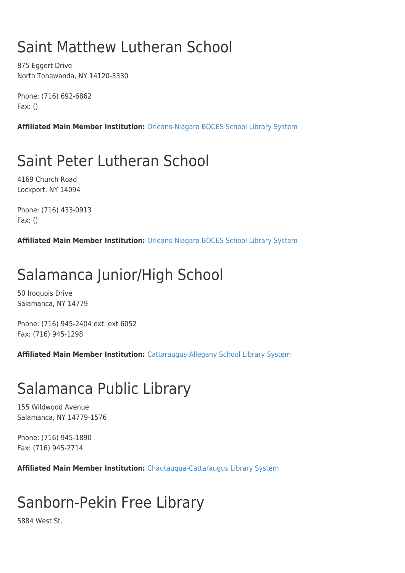# Saint Matthew Lutheran School

875 Eggert Drive North Tonawanda, NY 14120-3330

Phone: (716) 692-6862 Fax: ()

**Affiliated Main Member Institution:** [Orleans-Niagara BOCES School Library System](http://www.wnylrc.org/membership/member/62)

# Saint Peter Lutheran School

4169 Church Road Lockport, NY 14094

Phone: (716) 433-0913 Fax: ()

**Affiliated Main Member Institution:** [Orleans-Niagara BOCES School Library System](http://www.wnylrc.org/membership/member/62)

# Salamanca Junior/High School

50 Iroquois Drive Salamanca, NY 14779

Phone: (716) 945-2404 ext. ext 6052 Fax: (716) 945-1298

**Affiliated Main Member Institution:** [Cattaraugus-Allegany School Library System](http://www.wnylrc.org/membership/member/17)

# Salamanca Public Library

155 Wildwood Avenue Salamanca, NY 14779-1576

Phone: (716) 945-1890 Fax: (716) 945-2714

**Affiliated Main Member Institution:** [Chautauqua-Cattaraugus Library System](http://www.wnylrc.org/membership/member/20)

# Sanborn-Pekin Free Library

5884 West St.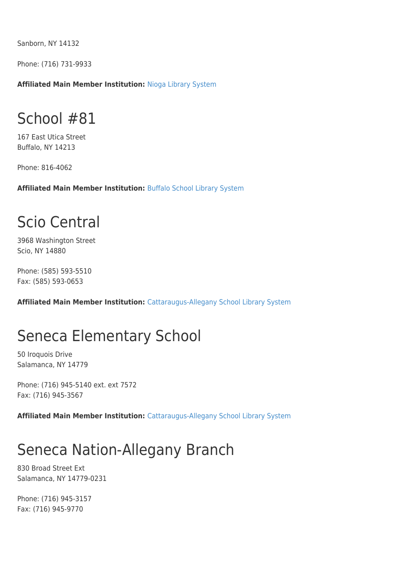Sanborn, NY 14132

Phone: (716) 731-9933

**Affiliated Main Member Institution:** [Nioga Library System](http://www.wnylrc.org/membership/member/59)

#### School #81

167 East Utica Street Buffalo, NY 14213

Phone: 816-4062

**Affiliated Main Member Institution:** [Buffalo School Library System](http://www.wnylrc.org/membership/member/12)

#### Scio Central

3968 Washington Street Scio, NY 14880

Phone: (585) 593-5510 Fax: (585) 593-0653

**Affiliated Main Member Institution:** [Cattaraugus-Allegany School Library System](http://www.wnylrc.org/membership/member/17)

# Seneca Elementary School

50 Iroquois Drive Salamanca, NY 14779

Phone: (716) 945-5140 ext. ext 7572 Fax: (716) 945-3567

**Affiliated Main Member Institution:** [Cattaraugus-Allegany School Library System](http://www.wnylrc.org/membership/member/17)

# Seneca Nation-Allegany Branch

830 Broad Street Ext Salamanca, NY 14779-0231

Phone: (716) 945-3157 Fax: (716) 945-9770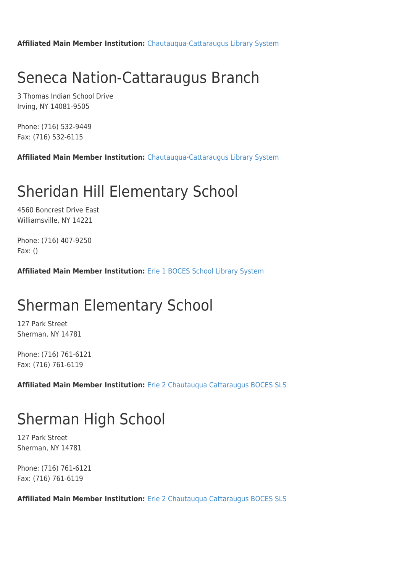**Affiliated Main Member Institution:** [Chautauqua-Cattaraugus Library System](http://www.wnylrc.org/membership/member/20)

### Seneca Nation-Cattaraugus Branch

3 Thomas Indian School Drive Irving, NY 14081-9505

Phone: (716) 532-9449 Fax: (716) 532-6115

**Affiliated Main Member Institution:** [Chautauqua-Cattaraugus Library System](http://www.wnylrc.org/membership/member/20)

### Sheridan Hill Elementary School

4560 Boncrest Drive East Williamsville, NY 14221

Phone: (716) 407-9250 Fax: ()

**Affiliated Main Member Institution:** [Erie 1 BOCES School Library System](http://www.wnylrc.org/membership/member/28)

#### Sherman Elementary School

127 Park Street Sherman, NY 14781

Phone: (716) 761-6121 Fax: (716) 761-6119

**Affiliated Main Member Institution:** [Erie 2 Chautauqua Cattaraugus BOCES SLS](http://www.wnylrc.org/membership/member/29)

# Sherman High School

127 Park Street Sherman, NY 14781

Phone: (716) 761-6121 Fax: (716) 761-6119

**Affiliated Main Member Institution:** [Erie 2 Chautauqua Cattaraugus BOCES SLS](http://www.wnylrc.org/membership/member/29)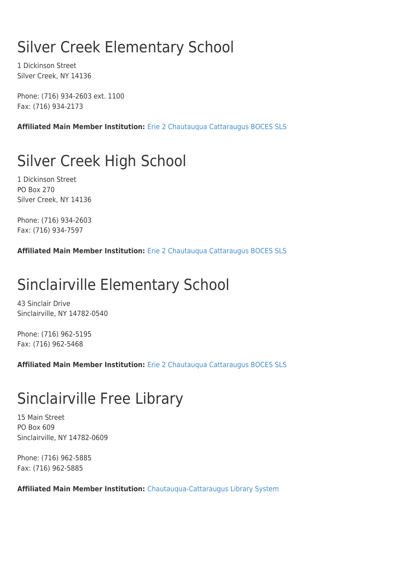# Silver Creek Elementary School

1 Dickinson Street Silver Creek, NY 14136

Phone: (716) 934-2603 ext. 1100 Fax: (716) 934-2173

**Affiliated Main Member Institution:** [Erie 2 Chautauqua Cattaraugus BOCES SLS](http://www.wnylrc.org/membership/member/29)

# Silver Creek High School

1 Dickinson Street PO Box 270 Silver Creek, NY 14136

Phone: (716) 934-2603 Fax: (716) 934-7597

**Affiliated Main Member Institution:** [Erie 2 Chautauqua Cattaraugus BOCES SLS](http://www.wnylrc.org/membership/member/29)

# Sinclairville Elementary School

43 Sinclair Drive Sinclairville, NY 14782-0540

Phone: (716) 962-5195 Fax: (716) 962-5468

**Affiliated Main Member Institution:** [Erie 2 Chautauqua Cattaraugus BOCES SLS](http://www.wnylrc.org/membership/member/29)

### Sinclairville Free Library

15 Main Street PO Box 609 Sinclairville, NY 14782-0609

Phone: (716) 962-5885 Fax: (716) 962-5885

**Affiliated Main Member Institution:** [Chautauqua-Cattaraugus Library System](http://www.wnylrc.org/membership/member/20)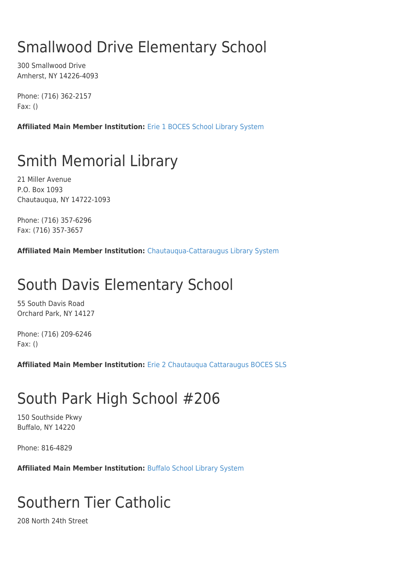# Smallwood Drive Elementary School

300 Smallwood Drive Amherst, NY 14226-4093

Phone: (716) 362-2157 Fax: ()

**Affiliated Main Member Institution:** [Erie 1 BOCES School Library System](http://www.wnylrc.org/membership/member/28)

# Smith Memorial Library

21 Miller Avenue P.O. Box 1093 Chautauqua, NY 14722-1093

Phone: (716) 357-6296 Fax: (716) 357-3657

**Affiliated Main Member Institution:** [Chautauqua-Cattaraugus Library System](http://www.wnylrc.org/membership/member/20)

# South Davis Elementary School

55 South Davis Road Orchard Park, NY 14127

Phone: (716) 209-6246 Fax: ()

**Affiliated Main Member Institution:** [Erie 2 Chautauqua Cattaraugus BOCES SLS](http://www.wnylrc.org/membership/member/29)

# South Park High School #206

150 Southside Pkwy Buffalo, NY 14220

Phone: 816-4829

**Affiliated Main Member Institution:** [Buffalo School Library System](http://www.wnylrc.org/membership/member/12)

# Southern Tier Catholic

208 North 24th Street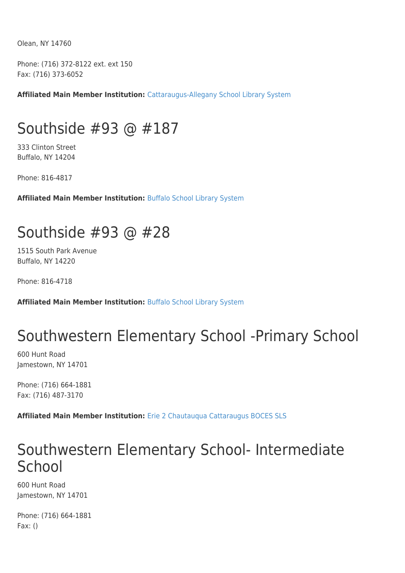Olean, NY 14760

Phone: (716) 372-8122 ext. ext 150 Fax: (716) 373-6052

**Affiliated Main Member Institution:** [Cattaraugus-Allegany School Library System](http://www.wnylrc.org/membership/member/17)

### Southside #93 @ #187

333 Clinton Street Buffalo, NY 14204

Phone: 816-4817

**Affiliated Main Member Institution:** [Buffalo School Library System](http://www.wnylrc.org/membership/member/12)

#### Southside #93 @ #28

1515 South Park Avenue Buffalo, NY 14220

Phone: 816-4718

**Affiliated Main Member Institution:** [Buffalo School Library System](http://www.wnylrc.org/membership/member/12)

# Southwestern Elementary School -Primary School

600 Hunt Road Jamestown, NY 14701

Phone: (716) 664-1881 Fax: (716) 487-3170

**Affiliated Main Member Institution:** [Erie 2 Chautauqua Cattaraugus BOCES SLS](http://www.wnylrc.org/membership/member/29)

#### Southwestern Elementary School- Intermediate **School**

600 Hunt Road Jamestown, NY 14701

Phone: (716) 664-1881 Fax: ()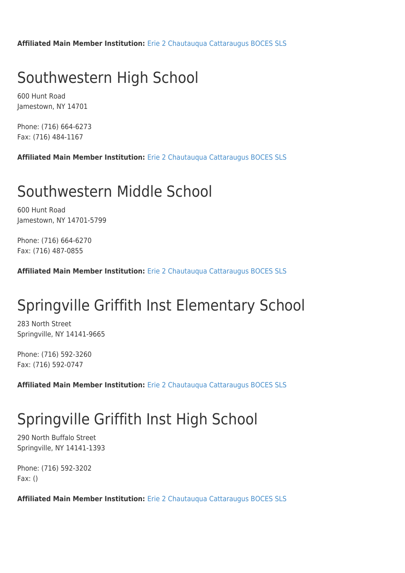**Affiliated Main Member Institution:** [Erie 2 Chautauqua Cattaraugus BOCES SLS](http://www.wnylrc.org/membership/member/29)

### Southwestern High School

600 Hunt Road Jamestown, NY 14701

Phone: (716) 664-6273 Fax: (716) 484-1167

**Affiliated Main Member Institution:** [Erie 2 Chautauqua Cattaraugus BOCES SLS](http://www.wnylrc.org/membership/member/29)

### Southwestern Middle School

600 Hunt Road Jamestown, NY 14701-5799

Phone: (716) 664-6270 Fax: (716) 487-0855

**Affiliated Main Member Institution:** [Erie 2 Chautauqua Cattaraugus BOCES SLS](http://www.wnylrc.org/membership/member/29)

# Springville Griffith Inst Elementary School

283 North Street Springville, NY 14141-9665

Phone: (716) 592-3260 Fax: (716) 592-0747

**Affiliated Main Member Institution:** [Erie 2 Chautauqua Cattaraugus BOCES SLS](http://www.wnylrc.org/membership/member/29)

# Springville Griffith Inst High School

290 North Buffalo Street Springville, NY 14141-1393

Phone: (716) 592-3202 Fax: ()

**Affiliated Main Member Institution:** [Erie 2 Chautauqua Cattaraugus BOCES SLS](http://www.wnylrc.org/membership/member/29)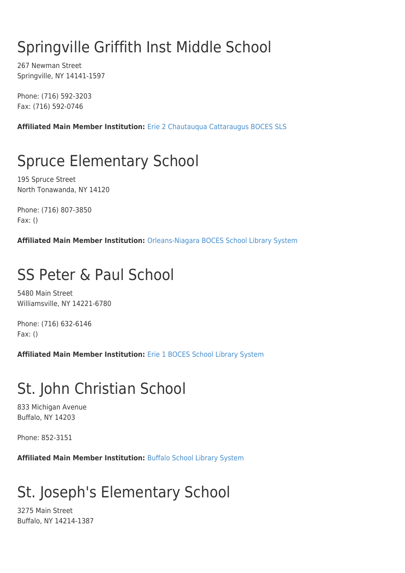# Springville Griffith Inst Middle School

267 Newman Street Springville, NY 14141-1597

Phone: (716) 592-3203 Fax: (716) 592-0746

**Affiliated Main Member Institution:** [Erie 2 Chautauqua Cattaraugus BOCES SLS](http://www.wnylrc.org/membership/member/29)

# Spruce Elementary School

195 Spruce Street North Tonawanda, NY 14120

Phone: (716) 807-3850 Fax: ()

**Affiliated Main Member Institution:** [Orleans-Niagara BOCES School Library System](http://www.wnylrc.org/membership/member/62)

# SS Peter & Paul School

5480 Main Street Williamsville, NY 14221-6780

Phone: (716) 632-6146 Fax: ()

**Affiliated Main Member Institution:** [Erie 1 BOCES School Library System](http://www.wnylrc.org/membership/member/28)

# St. John Christian School

833 Michigan Avenue Buffalo, NY 14203

Phone: 852-3151

**Affiliated Main Member Institution:** [Buffalo School Library System](http://www.wnylrc.org/membership/member/12)

# St. Joseph's Elementary School

3275 Main Street Buffalo, NY 14214-1387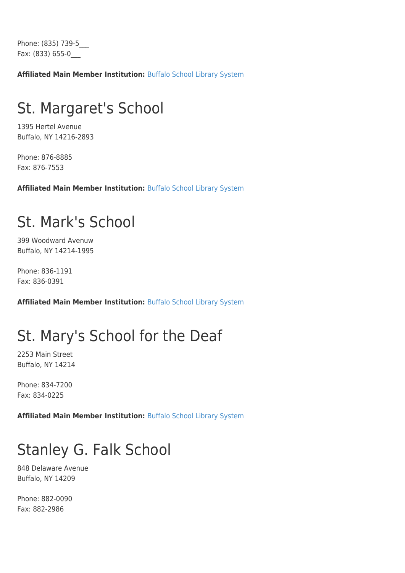Phone: (835) 739-5\_\_\_ Fax: (833) 655-0\_\_\_

**Affiliated Main Member Institution:** [Buffalo School Library System](http://www.wnylrc.org/membership/member/12)

### St. Margaret's School

1395 Hertel Avenue Buffalo, NY 14216-2893

Phone: 876-8885 Fax: 876-7553

**Affiliated Main Member Institution:** [Buffalo School Library System](http://www.wnylrc.org/membership/member/12)

#### St. Mark's School

399 Woodward Avenuw Buffalo, NY 14214-1995

Phone: 836-1191 Fax: 836-0391

**Affiliated Main Member Institution:** [Buffalo School Library System](http://www.wnylrc.org/membership/member/12)

# St. Mary's School for the Deaf

2253 Main Street Buffalo, NY 14214

Phone: 834-7200 Fax: 834-0225

**Affiliated Main Member Institution:** [Buffalo School Library System](http://www.wnylrc.org/membership/member/12)

# Stanley G. Falk School

848 Delaware Avenue Buffalo, NY 14209

Phone: 882-0090 Fax: 882-2986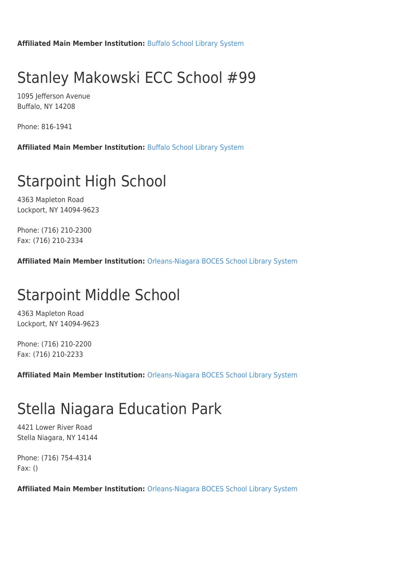**Affiliated Main Member Institution:** [Buffalo School Library System](http://www.wnylrc.org/membership/member/12)

# Stanley Makowski ECC School #99

1095 Jefferson Avenue Buffalo, NY 14208

Phone: 816-1941

**Affiliated Main Member Institution:** [Buffalo School Library System](http://www.wnylrc.org/membership/member/12)

### Starpoint High School

4363 Mapleton Road Lockport, NY 14094-9623

Phone: (716) 210-2300 Fax: (716) 210-2334

**Affiliated Main Member Institution:** [Orleans-Niagara BOCES School Library System](http://www.wnylrc.org/membership/member/62)

### Starpoint Middle School

4363 Mapleton Road Lockport, NY 14094-9623

Phone: (716) 210-2200 Fax: (716) 210-2233

**Affiliated Main Member Institution:** [Orleans-Niagara BOCES School Library System](http://www.wnylrc.org/membership/member/62)

#### Stella Niagara Education Park

4421 Lower River Road Stella Niagara, NY 14144

Phone: (716) 754-4314 Fax: ()

**Affiliated Main Member Institution:** [Orleans-Niagara BOCES School Library System](http://www.wnylrc.org/membership/member/62)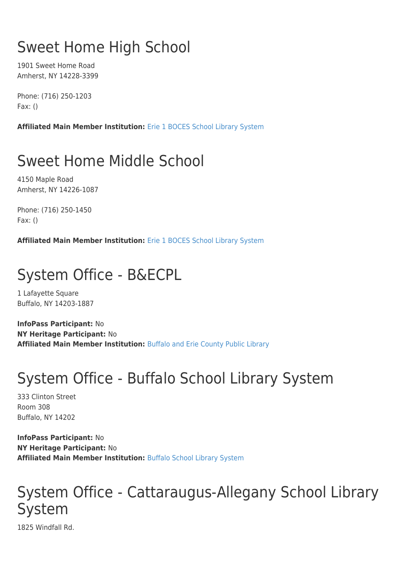# Sweet Home High School

1901 Sweet Home Road Amherst, NY 14228-3399

Phone: (716) 250-1203 Fax: ()

**Affiliated Main Member Institution:** [Erie 1 BOCES School Library System](http://www.wnylrc.org/membership/member/28)

# Sweet Home Middle School

4150 Maple Road Amherst, NY 14226-1087

Phone: (716) 250-1450 Fax: ()

**Affiliated Main Member Institution:** [Erie 1 BOCES School Library System](http://www.wnylrc.org/membership/member/28)

# System Office - B&ECPL

1 Lafayette Square Buffalo, NY 14203-1887

**InfoPass Participant:** No **NY Heritage Participant:** No **Affiliated Main Member Institution:** [Buffalo and Erie County Public Library](http://www.wnylrc.org/membership/member/6)

### System Office - Buffalo School Library System

333 Clinton Street Room 308 Buffalo, NY 14202

**InfoPass Participant:** No **NY Heritage Participant:** No **Affiliated Main Member Institution:** [Buffalo School Library System](http://www.wnylrc.org/membership/member/12)

### System Office - Cattaraugus-Allegany School Library System

1825 Windfall Rd.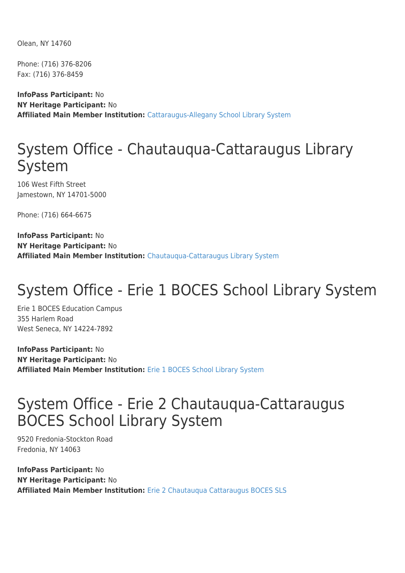Olean, NY 14760

Phone: (716) 376-8206 Fax: (716) 376-8459

**InfoPass Participant:** No **NY Heritage Participant:** No **Affiliated Main Member Institution:** [Cattaraugus-Allegany School Library System](http://www.wnylrc.org/membership/member/17)

#### System Office - Chautauqua-Cattaraugus Library System

106 West Fifth Street Jamestown, NY 14701-5000

Phone: (716) 664-6675

**InfoPass Participant:** No **NY Heritage Participant:** No **Affiliated Main Member Institution:** [Chautauqua-Cattaraugus Library System](http://www.wnylrc.org/membership/member/20)

# System Office - Erie 1 BOCES School Library System

Erie 1 BOCES Education Campus 355 Harlem Road West Seneca, NY 14224-7892

**InfoPass Participant:** No **NY Heritage Participant:** No **Affiliated Main Member Institution:** [Erie 1 BOCES School Library System](http://www.wnylrc.org/membership/member/28)

#### System Office - Erie 2 Chautauqua-Cattaraugus BOCES School Library System

9520 Fredonia-Stockton Road Fredonia, NY 14063

**InfoPass Participant:** No **NY Heritage Participant:** No **Affiliated Main Member Institution:** [Erie 2 Chautauqua Cattaraugus BOCES SLS](http://www.wnylrc.org/membership/member/29)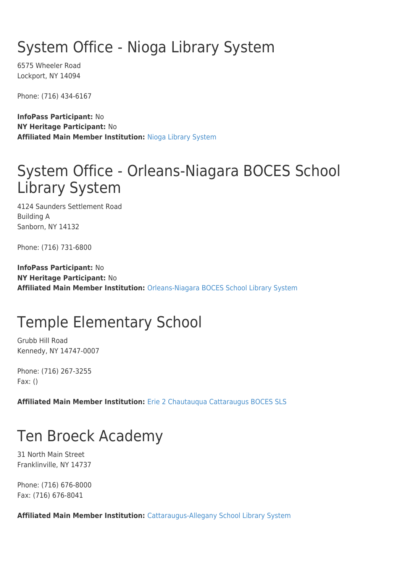# System Office - Nioga Library System

6575 Wheeler Road Lockport, NY 14094

Phone: (716) 434-6167

**InfoPass Participant:** No **NY Heritage Participant:** No **Affiliated Main Member Institution:** [Nioga Library System](http://www.wnylrc.org/membership/member/59)

#### System Office - Orleans-Niagara BOCES School Library System

4124 Saunders Settlement Road Building A Sanborn, NY 14132

Phone: (716) 731-6800

**InfoPass Participant:** No **NY Heritage Participant:** No **Affiliated Main Member Institution:** [Orleans-Niagara BOCES School Library System](http://www.wnylrc.org/membership/member/62)

### Temple Elementary School

Grubb Hill Road Kennedy, NY 14747-0007

Phone: (716) 267-3255 Fax: ()

**Affiliated Main Member Institution:** [Erie 2 Chautauqua Cattaraugus BOCES SLS](http://www.wnylrc.org/membership/member/29)

# Ten Broeck Academy

31 North Main Street Franklinville, NY 14737

Phone: (716) 676-8000 Fax: (716) 676-8041

**Affiliated Main Member Institution:** [Cattaraugus-Allegany School Library System](http://www.wnylrc.org/membership/member/17)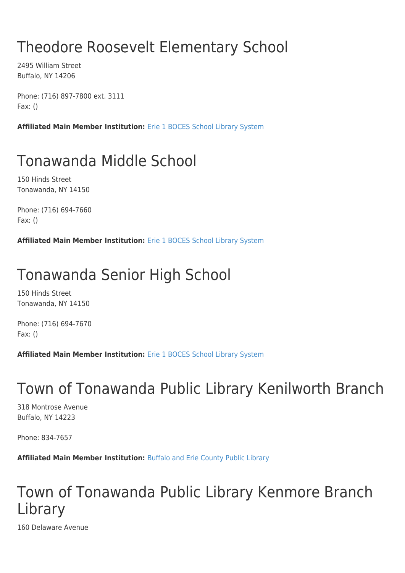# Theodore Roosevelt Elementary School

2495 William Street Buffalo, NY 14206

Phone: (716) 897-7800 ext. 3111 Fax: ()

**Affiliated Main Member Institution:** [Erie 1 BOCES School Library System](http://www.wnylrc.org/membership/member/28)

# Tonawanda Middle School

150 Hinds Street Tonawanda, NY 14150

Phone: (716) 694-7660 Fax: ()

**Affiliated Main Member Institution:** [Erie 1 BOCES School Library System](http://www.wnylrc.org/membership/member/28)

# Tonawanda Senior High School

150 Hinds Street Tonawanda, NY 14150

Phone: (716) 694-7670 Fax: ()

**Affiliated Main Member Institution:** [Erie 1 BOCES School Library System](http://www.wnylrc.org/membership/member/28)

# Town of Tonawanda Public Library Kenilworth Branch

318 Montrose Avenue Buffalo, NY 14223

Phone: 834-7657

**Affiliated Main Member Institution:** [Buffalo and Erie County Public Library](http://www.wnylrc.org/membership/member/6)

### Town of Tonawanda Public Library Kenmore Branch Library

160 Delaware Avenue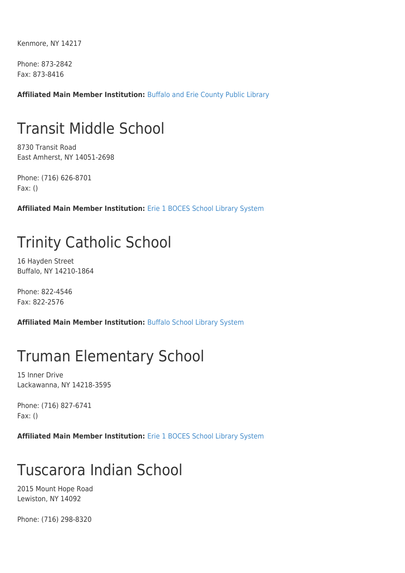Kenmore, NY 14217

Phone: 873-2842 Fax: 873-8416

**Affiliated Main Member Institution:** [Buffalo and Erie County Public Library](http://www.wnylrc.org/membership/member/6)

#### Transit Middle School

8730 Transit Road East Amherst, NY 14051-2698

Phone: (716) 626-8701 Fax: ()

**Affiliated Main Member Institution:** [Erie 1 BOCES School Library System](http://www.wnylrc.org/membership/member/28)

#### Trinity Catholic School

16 Hayden Street Buffalo, NY 14210-1864

Phone: 822-4546 Fax: 822-2576

**Affiliated Main Member Institution:** [Buffalo School Library System](http://www.wnylrc.org/membership/member/12)

### Truman Elementary School

15 Inner Drive Lackawanna, NY 14218-3595

Phone: (716) 827-6741 Fax: ()

**Affiliated Main Member Institution:** [Erie 1 BOCES School Library System](http://www.wnylrc.org/membership/member/28)

### Tuscarora Indian School

2015 Mount Hope Road Lewiston, NY 14092

Phone: (716) 298-8320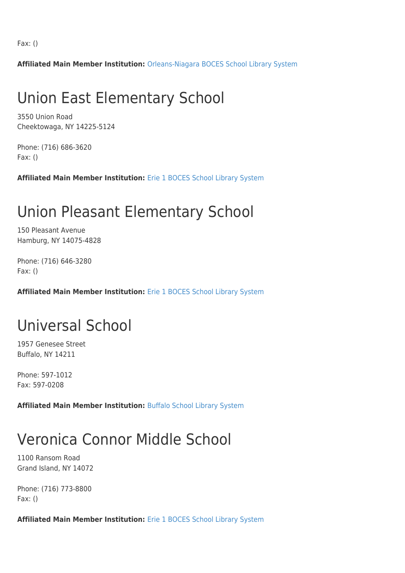Fax: ()

**Affiliated Main Member Institution:** [Orleans-Niagara BOCES School Library System](http://www.wnylrc.org/membership/member/62)

#### Union East Elementary School

3550 Union Road Cheektowaga, NY 14225-5124

Phone: (716) 686-3620 Fax: ()

**Affiliated Main Member Institution:** [Erie 1 BOCES School Library System](http://www.wnylrc.org/membership/member/28)

#### Union Pleasant Elementary School

150 Pleasant Avenue Hamburg, NY 14075-4828

Phone: (716) 646-3280 Fax: ()

**Affiliated Main Member Institution:** [Erie 1 BOCES School Library System](http://www.wnylrc.org/membership/member/28)

#### Universal School

1957 Genesee Street Buffalo, NY 14211

Phone: 597-1012 Fax: 597-0208

**Affiliated Main Member Institution:** [Buffalo School Library System](http://www.wnylrc.org/membership/member/12)

#### Veronica Connor Middle School

1100 Ransom Road Grand Island, NY 14072

Phone: (716) 773-8800 Fax: ()

**Affiliated Main Member Institution:** [Erie 1 BOCES School Library System](http://www.wnylrc.org/membership/member/28)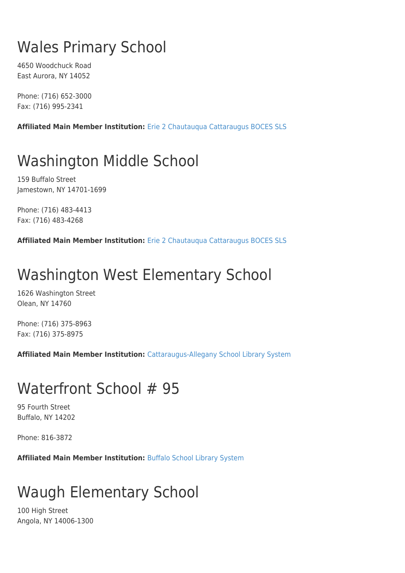# Wales Primary School

4650 Woodchuck Road East Aurora, NY 14052

Phone: (716) 652-3000 Fax: (716) 995-2341

**Affiliated Main Member Institution:** [Erie 2 Chautauqua Cattaraugus BOCES SLS](http://www.wnylrc.org/membership/member/29)

# Washington Middle School

159 Buffalo Street Jamestown, NY 14701-1699

Phone: (716) 483-4413 Fax: (716) 483-4268

**Affiliated Main Member Institution:** [Erie 2 Chautauqua Cattaraugus BOCES SLS](http://www.wnylrc.org/membership/member/29)

# Washington West Elementary School

1626 Washington Street Olean, NY 14760

Phone: (716) 375-8963 Fax: (716) 375-8975

**Affiliated Main Member Institution:** [Cattaraugus-Allegany School Library System](http://www.wnylrc.org/membership/member/17)

#### Waterfront School # 95

95 Fourth Street Buffalo, NY 14202

Phone: 816-3872

**Affiliated Main Member Institution:** [Buffalo School Library System](http://www.wnylrc.org/membership/member/12)

## Waugh Elementary School

100 High Street Angola, NY 14006-1300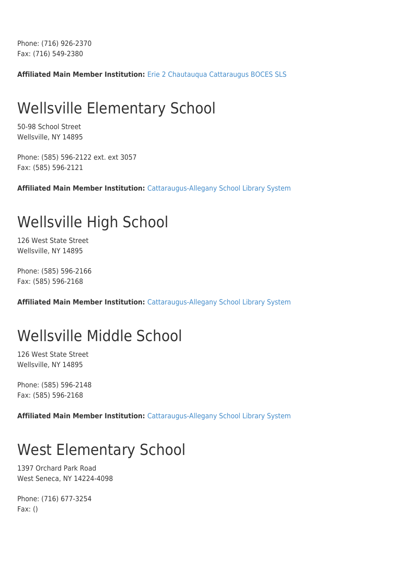Phone: (716) 926-2370 Fax: (716) 549-2380

**Affiliated Main Member Institution:** [Erie 2 Chautauqua Cattaraugus BOCES SLS](http://www.wnylrc.org/membership/member/29)

## Wellsville Elementary School

50-98 School Street Wellsville, NY 14895

Phone: (585) 596-2122 ext. ext 3057 Fax: (585) 596-2121

**Affiliated Main Member Institution:** [Cattaraugus-Allegany School Library System](http://www.wnylrc.org/membership/member/17)

## Wellsville High School

126 West State Street Wellsville, NY 14895

Phone: (585) 596-2166 Fax: (585) 596-2168

**Affiliated Main Member Institution:** [Cattaraugus-Allegany School Library System](http://www.wnylrc.org/membership/member/17)

## Wellsville Middle School

126 West State Street Wellsville, NY 14895

Phone: (585) 596-2148 Fax: (585) 596-2168

**Affiliated Main Member Institution:** [Cattaraugus-Allegany School Library System](http://www.wnylrc.org/membership/member/17)

# West Elementary School

1397 Orchard Park Road West Seneca, NY 14224-4098

Phone: (716) 677-3254 Fax: ()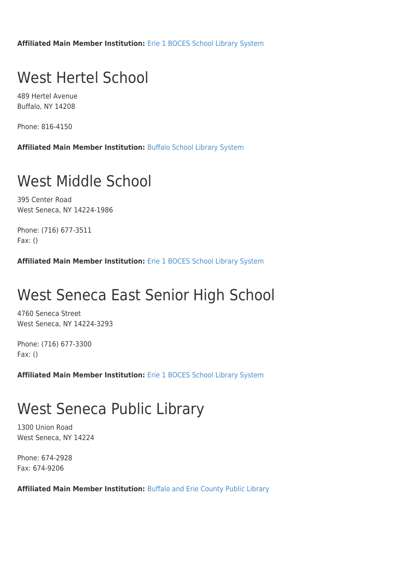**Affiliated Main Member Institution:** [Erie 1 BOCES School Library System](http://www.wnylrc.org/membership/member/28)

#### West Hertel School

489 Hertel Avenue Buffalo, NY 14208

Phone: 816-4150

**Affiliated Main Member Institution:** [Buffalo School Library System](http://www.wnylrc.org/membership/member/12)

#### West Middle School

395 Center Road West Seneca, NY 14224-1986

Phone: (716) 677-3511 Fax: ()

**Affiliated Main Member Institution:** [Erie 1 BOCES School Library System](http://www.wnylrc.org/membership/member/28)

#### West Seneca East Senior High School

4760 Seneca Street West Seneca, NY 14224-3293

Phone: (716) 677-3300 Fax: ()

**Affiliated Main Member Institution:** [Erie 1 BOCES School Library System](http://www.wnylrc.org/membership/member/28)

#### West Seneca Public Library

1300 Union Road West Seneca, NY 14224

Phone: 674-2928 Fax: 674-9206

**Affiliated Main Member Institution:** [Buffalo and Erie County Public Library](http://www.wnylrc.org/membership/member/6)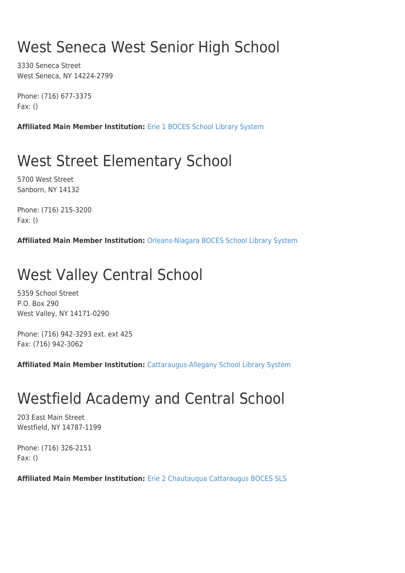#### West Seneca West Senior High School

3330 Seneca Street West Seneca, NY 14224-2799

Phone: (716) 677-3375 Fax: ()

**Affiliated Main Member Institution:** [Erie 1 BOCES School Library System](http://www.wnylrc.org/membership/member/28)

## West Street Elementary School

5700 West Street Sanborn, NY 14132

Phone: (716) 215-3200 Fax: ()

**Affiliated Main Member Institution:** [Orleans-Niagara BOCES School Library System](http://www.wnylrc.org/membership/member/62)

#### West Valley Central School

5359 School Street P.O. Box 290 West Valley, NY 14171-0290

Phone: (716) 942-3293 ext. ext 425 Fax: (716) 942-3062

**Affiliated Main Member Institution:** [Cattaraugus-Allegany School Library System](http://www.wnylrc.org/membership/member/17)

# Westfield Academy and Central School

203 East Main Street Westfield, NY 14787-1199

Phone: (716) 326-2151 Fax: ()

**Affiliated Main Member Institution:** [Erie 2 Chautauqua Cattaraugus BOCES SLS](http://www.wnylrc.org/membership/member/29)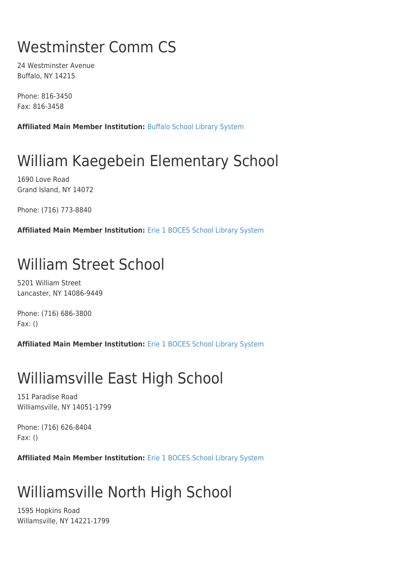## Westminster Comm CS

24 Westminster Avenue Buffalo, NY 14215

Phone: 816-3450 Fax: 816-3458

**Affiliated Main Member Institution:** [Buffalo School Library System](http://www.wnylrc.org/membership/member/12)

# William Kaegebein Elementary School

1690 Love Road Grand Island, NY 14072

Phone: (716) 773-8840

**Affiliated Main Member Institution:** [Erie 1 BOCES School Library System](http://www.wnylrc.org/membership/member/28)

## William Street School

5201 William Street Lancaster, NY 14086-9449

Phone: (716) 686-3800 Fax: ()

**Affiliated Main Member Institution:** [Erie 1 BOCES School Library System](http://www.wnylrc.org/membership/member/28)

#### Williamsville East High School

151 Paradise Road Williamsville, NY 14051-1799

Phone: (716) 626-8404 Fax: ()

**Affiliated Main Member Institution:** [Erie 1 BOCES School Library System](http://www.wnylrc.org/membership/member/28)

## Williamsville North High School

1595 Hopkins Road Willamsville, NY 14221-1799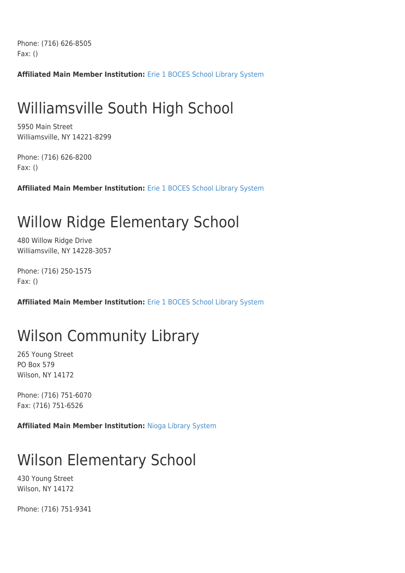Phone: (716) 626-8505 Fax: ()

**Affiliated Main Member Institution:** [Erie 1 BOCES School Library System](http://www.wnylrc.org/membership/member/28)

## Williamsville South High School

5950 Main Street Williamsville, NY 14221-8299

Phone: (716) 626-8200 Fax: ()

**Affiliated Main Member Institution:** [Erie 1 BOCES School Library System](http://www.wnylrc.org/membership/member/28)

#### Willow Ridge Elementary School

480 Willow Ridge Drive Williamsville, NY 14228-3057

Phone: (716) 250-1575 Fax: ()

**Affiliated Main Member Institution:** [Erie 1 BOCES School Library System](http://www.wnylrc.org/membership/member/28)

# Wilson Community Library

265 Young Street PO Box 579 Wilson, NY 14172

Phone: (716) 751-6070 Fax: (716) 751-6526

**Affiliated Main Member Institution:** [Nioga Library System](http://www.wnylrc.org/membership/member/59)

#### Wilson Elementary School

430 Young Street Wilson, NY 14172

Phone: (716) 751-9341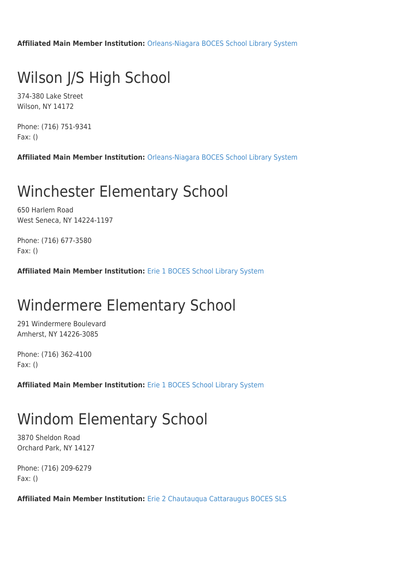**Affiliated Main Member Institution:** [Orleans-Niagara BOCES School Library System](http://www.wnylrc.org/membership/member/62)

## Wilson J/S High School

374-380 Lake Street Wilson, NY 14172

Phone: (716) 751-9341 Fax: ()

**Affiliated Main Member Institution:** [Orleans-Niagara BOCES School Library System](http://www.wnylrc.org/membership/member/62)

#### Winchester Elementary School

650 Harlem Road West Seneca, NY 14224-1197

Phone: (716) 677-3580 Fax: ()

**Affiliated Main Member Institution:** [Erie 1 BOCES School Library System](http://www.wnylrc.org/membership/member/28)

#### Windermere Elementary School

291 Windermere Boulevard Amherst, NY 14226-3085

Phone: (716) 362-4100 Fax: ()

**Affiliated Main Member Institution:** [Erie 1 BOCES School Library System](http://www.wnylrc.org/membership/member/28)

#### Windom Elementary School

3870 Sheldon Road Orchard Park, NY 14127

Phone: (716) 209-6279 Fax: ()

**Affiliated Main Member Institution:** [Erie 2 Chautauqua Cattaraugus BOCES SLS](http://www.wnylrc.org/membership/member/29)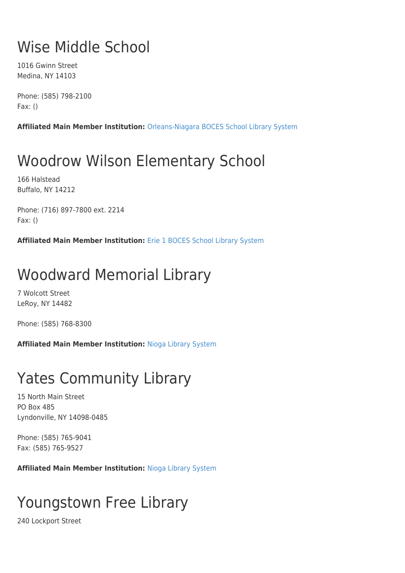## Wise Middle School

1016 Gwinn Street Medina, NY 14103

Phone: (585) 798-2100 Fax: ()

**Affiliated Main Member Institution:** [Orleans-Niagara BOCES School Library System](http://www.wnylrc.org/membership/member/62)

# Woodrow Wilson Elementary School

166 Halstead Buffalo, NY 14212

Phone: (716) 897-7800 ext. 2214 Fax: ()

**Affiliated Main Member Institution:** [Erie 1 BOCES School Library System](http://www.wnylrc.org/membership/member/28)

#### Woodward Memorial Library

7 Wolcott Street LeRoy, NY 14482

Phone: (585) 768-8300

**Affiliated Main Member Institution:** [Nioga Library System](http://www.wnylrc.org/membership/member/59)

#### Yates Community Library

15 North Main Street PO Box 485 Lyndonville, NY 14098-0485

Phone: (585) 765-9041 Fax: (585) 765-9527

**Affiliated Main Member Institution:** [Nioga Library System](http://www.wnylrc.org/membership/member/59)

## Youngstown Free Library

240 Lockport Street